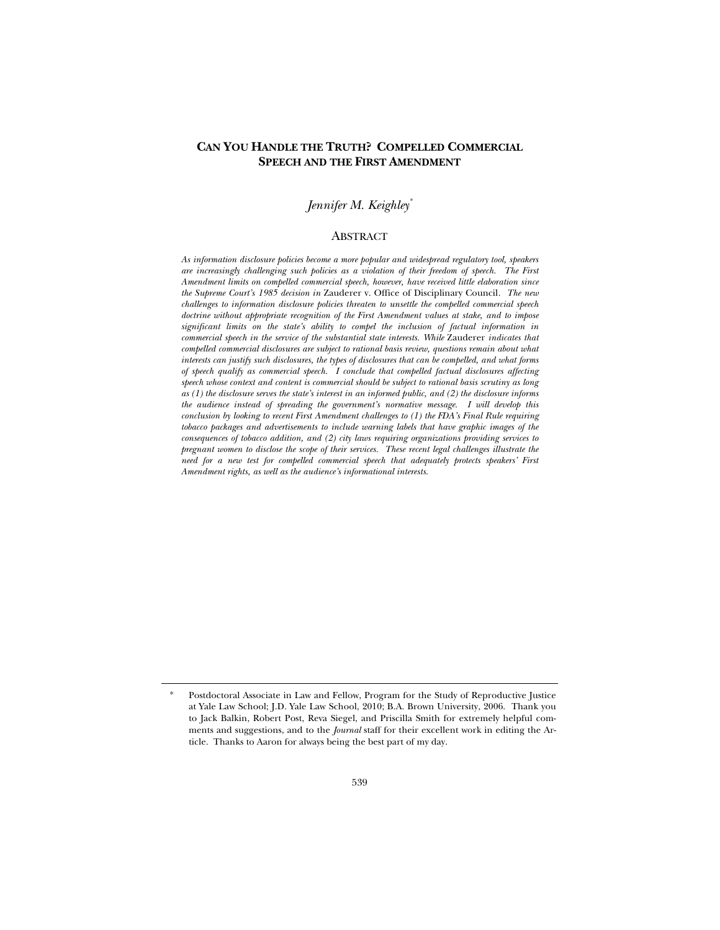## **CAN YOU HANDLE THE TRUTH? COMPELLED COMMERCIAL SPEECH AND THE FIRST AMENDMENT**

## *Jennifer M. Keighley\**

### **ABSTRACT**

*As information disclosure policies become a more popular and widespread regulatory tool, speakers are increasingly challenging such policies as a violation of their freedom of speech. The First Amendment limits on compelled commercial speech, however, have received little elaboration since the Supreme Court's 1985 decision in* Zauderer v. Office of Disciplinary Council*. The new challenges to information disclosure policies threaten to unsettle the compelled commercial speech doctrine without appropriate recognition of the First Amendment values at stake, and to impose significant limits on the state's ability to compel the inclusion of factual information in commercial speech in the service of the substantial state interests. While* Zauderer *indicates that compelled commercial disclosures are subject to rational basis review, questions remain about what interests can justify such disclosures, the types of disclosures that can be compelled, and what forms of speech qualify as commercial speech. I conclude that compelled factual disclosures affecting speech whose context and content is commercial should be subject to rational basis scrutiny as long as (1) the disclosure serves the state's interest in an informed public, and (2) the disclosure informs the audience instead of spreading the government's normative message. I will develop this conclusion by looking to recent First Amendment challenges to (1) the FDA's Final Rule requiring tobacco packages and advertisements to include warning labels that have graphic images of the consequences of tobacco addition, and (2) city laws requiring organizations providing services to pregnant women to disclose the scope of their services. These recent legal challenges illustrate the need for a new test for compelled commercial speech that adequately protects speakers' First Amendment rights, as well as the audience's informational interests.* 

Postdoctoral Associate in Law and Fellow, Program for the Study of Reproductive Justice at Yale Law School; J.D. Yale Law School, 2010; B.A. Brown University, 2006. Thank you to Jack Balkin, Robert Post, Reva Siegel, and Priscilla Smith for extremely helpful comments and suggestions, and to the *Journal* staff for their excellent work in editing the Article. Thanks to Aaron for always being the best part of my day.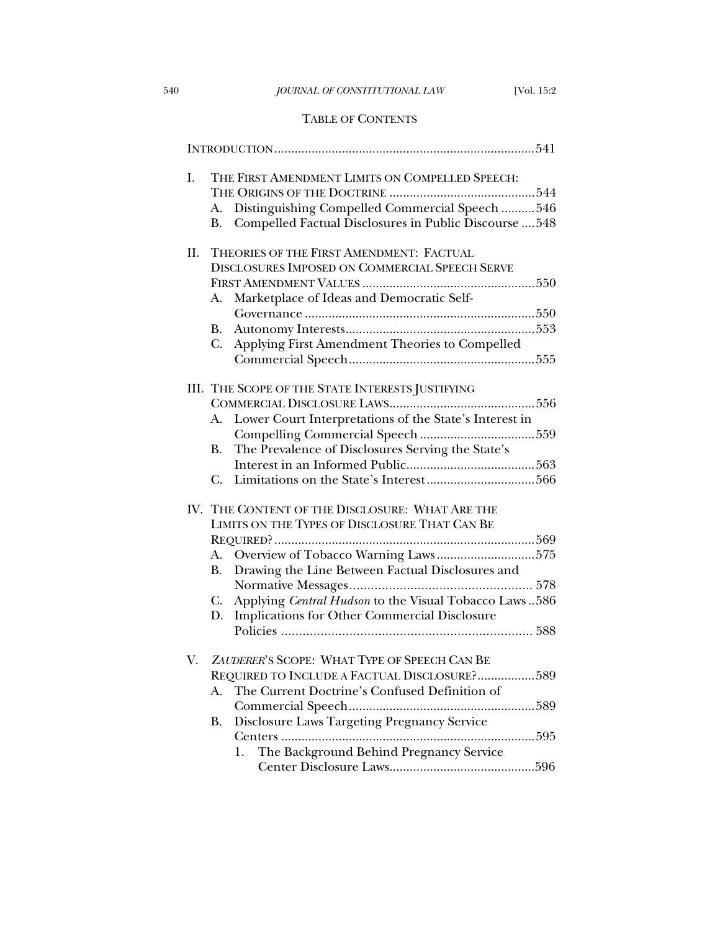# TABLE OF CONTENTS

| I.  | THE FIRST AMENDMENT LIMITS ON COMPELLED SPEECH:<br>Distinguishing Compelled Commercial Speech 546<br>A.<br>Compelled Factual Disclosures in Public Discourse  548<br><b>B.</b>                                                                                                                                                      |
|-----|-------------------------------------------------------------------------------------------------------------------------------------------------------------------------------------------------------------------------------------------------------------------------------------------------------------------------------------|
| II. | THEORIES OF THE FIRST AMENDMENT: FACTUAL<br>DISCLOSURES IMPOSED ON COMMERCIAL SPEECH SERVE<br>Marketplace of Ideas and Democratic Self-<br>А.<br><b>B.</b><br>$C_{\cdot}$<br>Applying First Amendment Theories to Compelled                                                                                                         |
|     | III. THE SCOPE OF THE STATE INTERESTS JUSTIFYING<br>Lower Court Interpretations of the State's Interest in<br>A.<br>The Prevalence of Disclosures Serving the State's<br><b>B.</b><br>C.                                                                                                                                            |
|     | IV. THE CONTENT OF THE DISCLOSURE: WHAT ARE THE<br>LIMITS ON THE TYPES OF DISCLOSURE THAT CAN BE<br>Overview of Tobacco Warning Laws575<br>A.<br>Drawing the Line Between Factual Disclosures and<br><b>B.</b><br>Applying Central Hudson to the Visual Tobacco Laws586<br>C.<br>Implications for Other Commercial Disclosure<br>D. |
| V.  | ZAUDERER'S SCOPE: WHAT TYPE OF SPEECH CAN BE<br>REQUIRED TO INCLUDE A FACTUAL DISCLOSURE?589<br>The Current Doctrine's Confused Definition of<br>А.<br>Commercial Speech<br>589<br>Disclosure Laws Targeting Pregnancy Service<br><b>B.</b><br>Centers<br>595<br>The Background Behind Pregnancy Service<br>1.                      |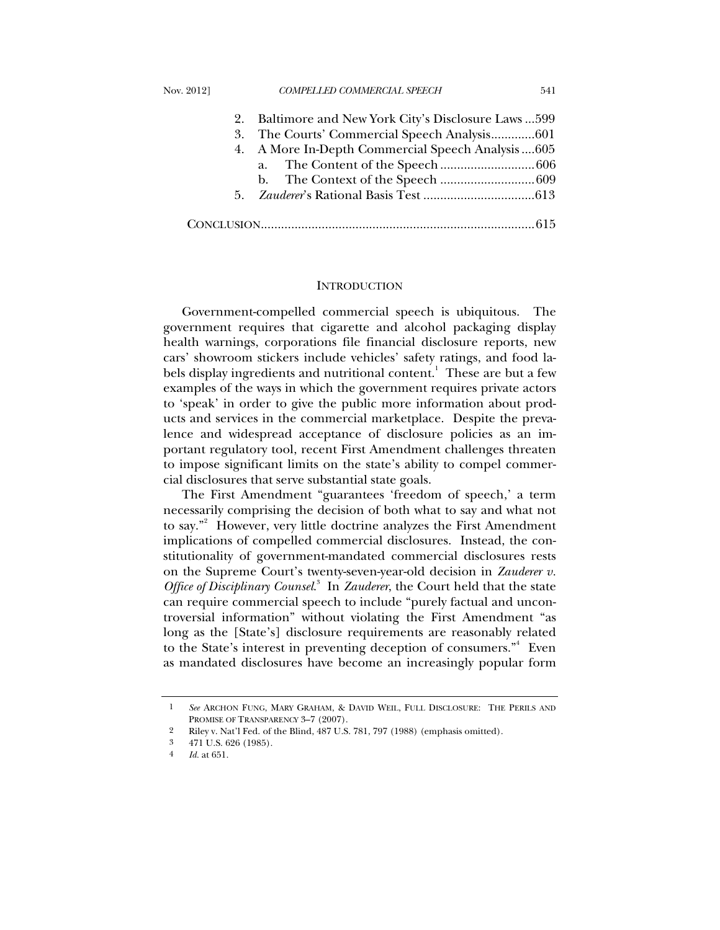|  | 2. Baltimore and New York City's Disclosure Laws  599 |  |
|--|-------------------------------------------------------|--|
|  |                                                       |  |
|  | 4. A More In-Depth Commercial Speech Analysis  605    |  |
|  |                                                       |  |
|  |                                                       |  |
|  |                                                       |  |
|  |                                                       |  |

#### **INTRODUCTION**

Government-compelled commercial speech is ubiquitous. The government requires that cigarette and alcohol packaging display health warnings, corporations file financial disclosure reports, new cars' showroom stickers include vehicles' safety ratings, and food labels display ingredients and nutritional content. $^1$  These are but a few examples of the ways in which the government requires private actors to 'speak' in order to give the public more information about products and services in the commercial marketplace. Despite the prevalence and widespread acceptance of disclosure policies as an important regulatory tool, recent First Amendment challenges threaten to impose significant limits on the state's ability to compel commercial disclosures that serve substantial state goals.

The First Amendment "guarantees 'freedom of speech,' a term necessarily comprising the decision of both what to say and what not to say."<sup>2</sup> However, very little doctrine analyzes the First Amendment implications of compelled commercial disclosures. Instead, the constitutionality of government-mandated commercial disclosures rests on the Supreme Court's twenty-seven-year-old decision in *Zauderer v. Office of Disciplinary Counsel*. 3 In *Zauderer*, the Court held that the state can require commercial speech to include "purely factual and uncontroversial information" without violating the First Amendment "as long as the [State's] disclosure requirements are reasonably related to the State's interest in preventing deception of consumers."<sup>4</sup> Even as mandated disclosures have become an increasingly popular form

<sup>1</sup> *See* ARCHON FUNG, MARY GRAHAM, & DAVID WEIL, FULL DISCLOSURE: THE PERILS AND PROMISE OF TRANSPARENCY 3-7 (2007).

<sup>2</sup> Riley v. Nat'l Fed. of the Blind, 487 U.S. 781, 797 (1988) (emphasis omitted).

<sup>3 471</sup> U.S. 626 (1985).

<sup>4</sup> *Id.* at 651.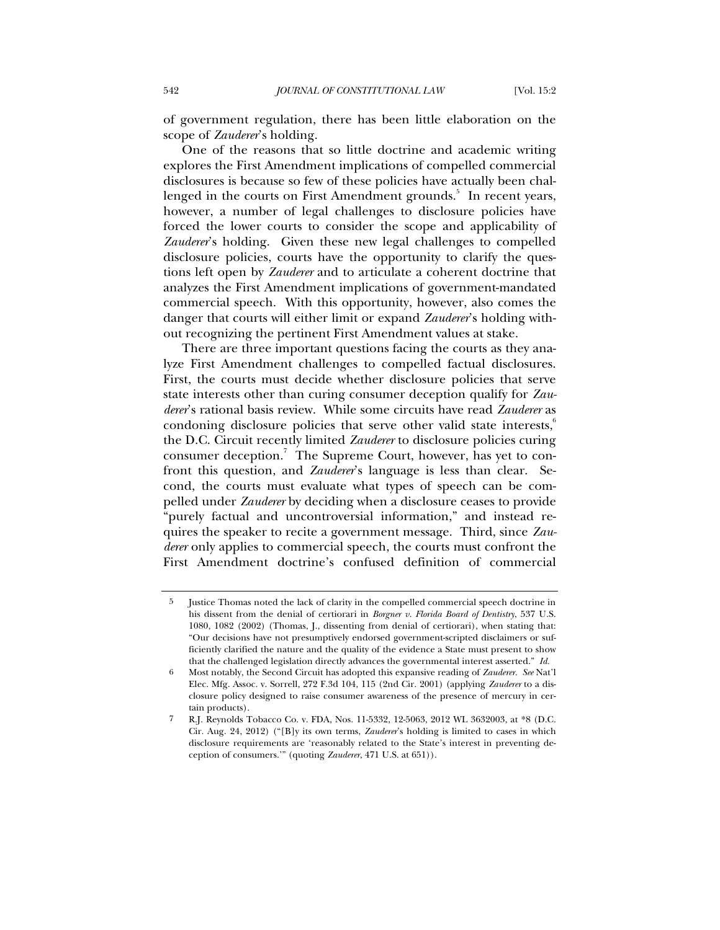of government regulation, there has been little elaboration on the scope of *Zauderer*'s holding.

One of the reasons that so little doctrine and academic writing explores the First Amendment implications of compelled commercial disclosures is because so few of these policies have actually been challenged in the courts on First Amendment grounds.<sup>5</sup> In recent years, however, a number of legal challenges to disclosure policies have forced the lower courts to consider the scope and applicability of *Zauderer*'s holding. Given these new legal challenges to compelled disclosure policies, courts have the opportunity to clarify the questions left open by *Zauderer* and to articulate a coherent doctrine that analyzes the First Amendment implications of government-mandated commercial speech. With this opportunity, however, also comes the danger that courts will either limit or expand *Zauderer*'s holding without recognizing the pertinent First Amendment values at stake.

There are three important questions facing the courts as they analyze First Amendment challenges to compelled factual disclosures. First, the courts must decide whether disclosure policies that serve state interests other than curing consumer deception qualify for *Zauderer*'s rational basis review. While some circuits have read *Zauderer* as condoning disclosure policies that serve other valid state interests, $6\overline{6}$ the D.C. Circuit recently limited *Zauderer* to disclosure policies curing consumer deception.<sup>7</sup> The Supreme Court, however, has yet to confront this question, and *Zauderer*'s language is less than clear. Second, the courts must evaluate what types of speech can be compelled under *Zauderer* by deciding when a disclosure ceases to provide "purely factual and uncontroversial information," and instead requires the speaker to recite a government message. Third, since *Zauderer* only applies to commercial speech, the courts must confront the First Amendment doctrine's confused definition of commercial

<sup>5</sup> Justice Thomas noted the lack of clarity in the compelled commercial speech doctrine in his dissent from the denial of certiorari in *Borgner v. Florida Board of Dentistry*, 537 U.S. 1080, 1082 (2002) (Thomas, J., dissenting from denial of certiorari), when stating that: "Our decisions have not presumptively endorsed government-scripted disclaimers or sufficiently clarified the nature and the quality of the evidence a State must present to show that the challenged legislation directly advances the governmental interest asserted." *Id.*

<sup>6</sup> Most notably, the Second Circuit has adopted this expansive reading of *Zauderer*. *See* Nat'l Elec. Mfg. Assoc. v. Sorrell, 272 F.3d 104, 115 (2nd Cir. 2001) (applying *Zauderer* to a disclosure policy designed to raise consumer awareness of the presence of mercury in certain products).

<sup>7</sup> R.J. Reynolds Tobacco Co. v. FDA, Nos. 11-5332, 12-5063, 2012 WL 3632003, at \*8 (D.C. Cir. Aug. 24, 2012) ("[B]y its own terms, *Zauderer*'s holding is limited to cases in which disclosure requirements are 'reasonably related to the State's interest in preventing deception of consumers.'" (quoting *Zauderer*, 471 U.S. at 651)).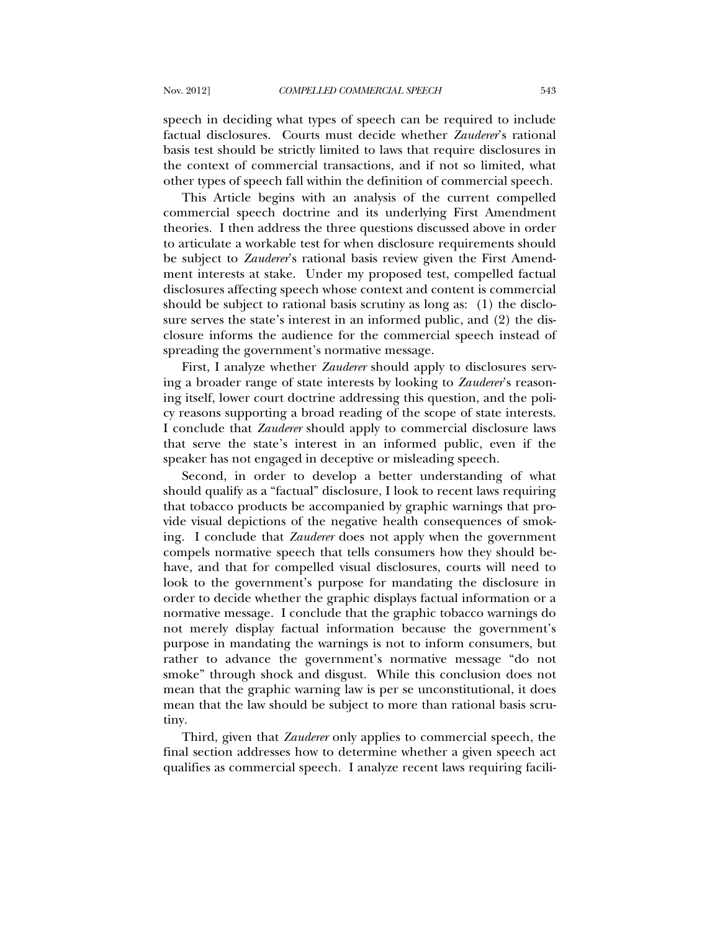speech in deciding what types of speech can be required to include factual disclosures. Courts must decide whether *Zauderer*'s rational basis test should be strictly limited to laws that require disclosures in the context of commercial transactions, and if not so limited, what other types of speech fall within the definition of commercial speech.

This Article begins with an analysis of the current compelled commercial speech doctrine and its underlying First Amendment theories. I then address the three questions discussed above in order to articulate a workable test for when disclosure requirements should be subject to *Zauderer*'s rational basis review given the First Amendment interests at stake. Under my proposed test, compelled factual disclosures affecting speech whose context and content is commercial should be subject to rational basis scrutiny as long as: (1) the disclosure serves the state's interest in an informed public, and (2) the disclosure informs the audience for the commercial speech instead of spreading the government's normative message.

First, I analyze whether *Zauderer* should apply to disclosures serving a broader range of state interests by looking to *Zauderer*'s reasoning itself, lower court doctrine addressing this question, and the policy reasons supporting a broad reading of the scope of state interests. I conclude that *Zauderer* should apply to commercial disclosure laws that serve the state's interest in an informed public, even if the speaker has not engaged in deceptive or misleading speech.

Second, in order to develop a better understanding of what should qualify as a "factual" disclosure, I look to recent laws requiring that tobacco products be accompanied by graphic warnings that provide visual depictions of the negative health consequences of smoking. I conclude that *Zauderer* does not apply when the government compels normative speech that tells consumers how they should behave, and that for compelled visual disclosures, courts will need to look to the government's purpose for mandating the disclosure in order to decide whether the graphic displays factual information or a normative message. I conclude that the graphic tobacco warnings do not merely display factual information because the government's purpose in mandating the warnings is not to inform consumers, but rather to advance the government's normative message "do not smoke" through shock and disgust. While this conclusion does not mean that the graphic warning law is per se unconstitutional, it does mean that the law should be subject to more than rational basis scrutiny.

Third, given that *Zauderer* only applies to commercial speech, the final section addresses how to determine whether a given speech act qualifies as commercial speech. I analyze recent laws requiring facili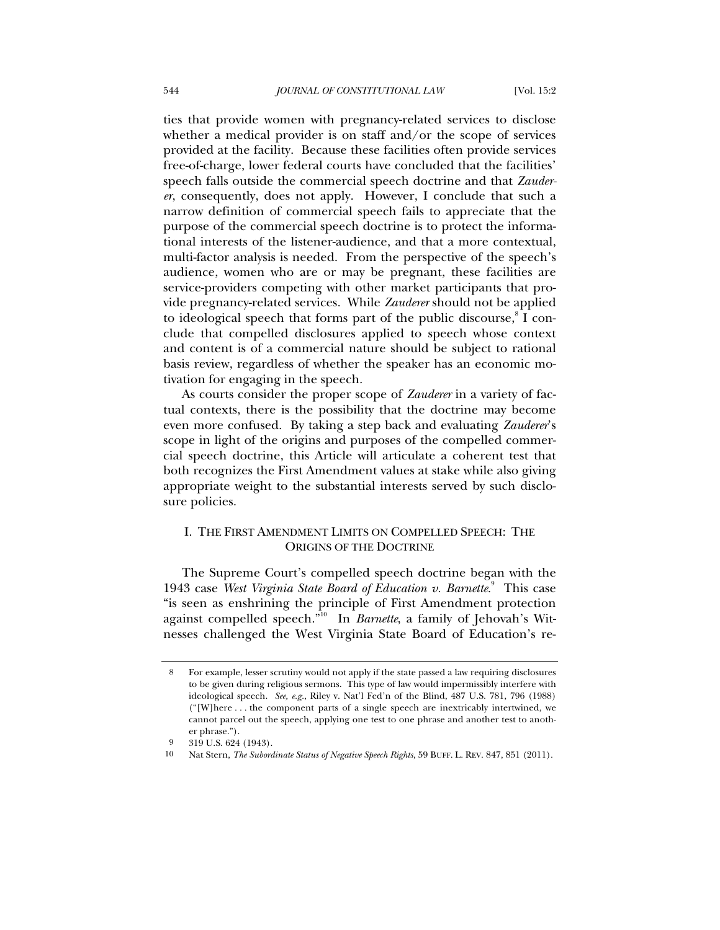ties that provide women with pregnancy-related services to disclose whether a medical provider is on staff and/or the scope of services provided at the facility. Because these facilities often provide services free-of-charge, lower federal courts have concluded that the facilities' speech falls outside the commercial speech doctrine and that *Zauderer*, consequently, does not apply. However, I conclude that such a narrow definition of commercial speech fails to appreciate that the purpose of the commercial speech doctrine is to protect the informational interests of the listener-audience, and that a more contextual, multi-factor analysis is needed. From the perspective of the speech's audience, women who are or may be pregnant, these facilities are service-providers competing with other market participants that provide pregnancy-related services. While *Zauderer* should not be applied to ideological speech that forms part of the public discourse, I conclude that compelled disclosures applied to speech whose context and content is of a commercial nature should be subject to rational basis review, regardless of whether the speaker has an economic motivation for engaging in the speech.

As courts consider the proper scope of *Zauderer* in a variety of factual contexts, there is the possibility that the doctrine may become even more confused. By taking a step back and evaluating *Zauderer*'s scope in light of the origins and purposes of the compelled commercial speech doctrine, this Article will articulate a coherent test that both recognizes the First Amendment values at stake while also giving appropriate weight to the substantial interests served by such disclosure policies.

## I. THE FIRST AMENDMENT LIMITS ON COMPELLED SPEECH: THE ORIGINS OF THE DOCTRINE

The Supreme Court's compelled speech doctrine began with the 1943 case West Virginia State Board of Education v. Barnette.<sup>9</sup> This case "is seen as enshrining the principle of First Amendment protection against compelled speech."10 In *Barnette*, a family of Jehovah's Witnesses challenged the West Virginia State Board of Education's re-

<sup>8</sup> For example, lesser scrutiny would not apply if the state passed a law requiring disclosures to be given during religious sermons. This type of law would impermissibly interfere with ideological speech. *See, e.g.*, Riley v. Nat'l Fed'n of the Blind, 487 U.S. 781, 796 (1988) ("[W]here . . . the component parts of a single speech are inextricably intertwined, we cannot parcel out the speech, applying one test to one phrase and another test to another phrase.").

<sup>9 319</sup> U.S. 624 (1943).

<sup>10</sup> Nat Stern, *The Subordinate Status of Negative Speech Rights*, 59 BUFF. L. REV. 847, 851 (2011).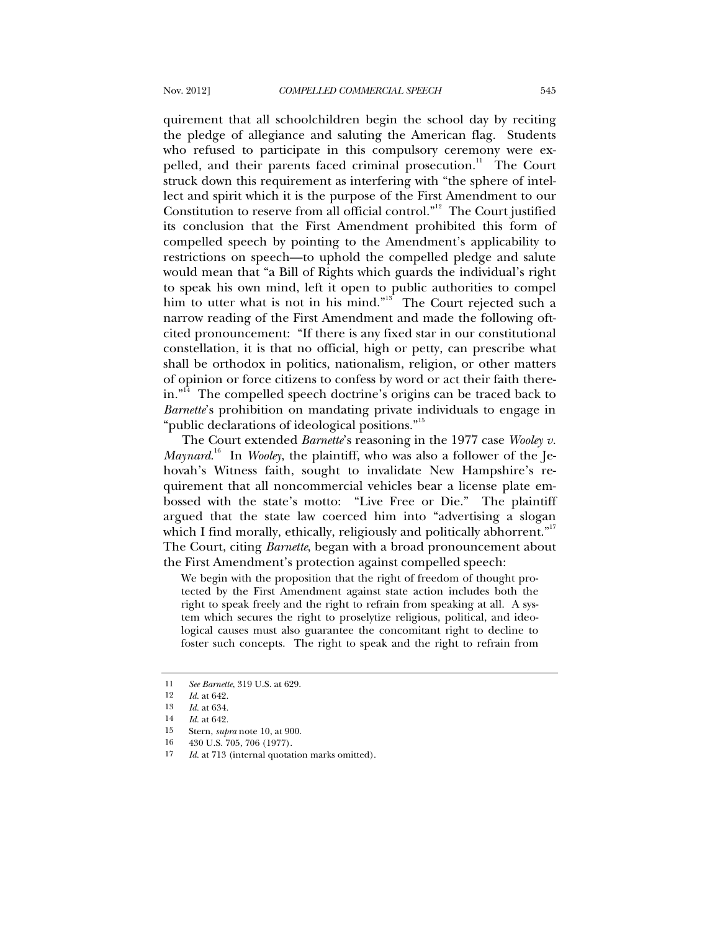quirement that all schoolchildren begin the school day by reciting the pledge of allegiance and saluting the American flag. Students who refused to participate in this compulsory ceremony were expelled, and their parents faced criminal prosecution.<sup>11</sup> The Court struck down this requirement as interfering with "the sphere of intellect and spirit which it is the purpose of the First Amendment to our Constitution to reserve from all official control."<sup>12</sup> The Court justified its conclusion that the First Amendment prohibited this form of compelled speech by pointing to the Amendment's applicability to restrictions on speech—to uphold the compelled pledge and salute would mean that "a Bill of Rights which guards the individual's right to speak his own mind, left it open to public authorities to compel him to utter what is not in his mind."<sup>13</sup> The Court rejected such a narrow reading of the First Amendment and made the following oftcited pronouncement: "If there is any fixed star in our constitutional constellation, it is that no official, high or petty, can prescribe what shall be orthodox in politics, nationalism, religion, or other matters of opinion or force citizens to confess by word or act their faith therein."<sup>14</sup> The compelled speech doctrine's origins can be traced back to *Barnette*'s prohibition on mandating private individuals to engage in "public declarations of ideological positions."<sup>15</sup>

The Court extended *Barnette*'s reasoning in the 1977 case *Wooley v. Maynard*. 16 In *Wooley*, the plaintiff, who was also a follower of the Jehovah's Witness faith, sought to invalidate New Hampshire's requirement that all noncommercial vehicles bear a license plate embossed with the state's motto: "Live Free or Die." The plaintiff argued that the state law coerced him into "advertising a slogan which I find morally, ethically, religiously and politically abhorrent. $n<sup>17</sup>$ The Court, citing *Barnette*, began with a broad pronouncement about the First Amendment's protection against compelled speech:

We begin with the proposition that the right of freedom of thought protected by the First Amendment against state action includes both the right to speak freely and the right to refrain from speaking at all. A system which secures the right to proselytize religious, political, and ideological causes must also guarantee the concomitant right to decline to foster such concepts. The right to speak and the right to refrain from

16 430 U.S. 705, 706 (1977).

<sup>11</sup> *See Barnette*, 319 U.S. at 629.<br>12 *Id.* at 649

*Id.* at 642.

<sup>13</sup> *Id.* at 634.

<sup>14</sup> *Id.* at 642.

<sup>15</sup> Stern, *supra* note 10, at 900.

<sup>17</sup> *Id.* at 713 (internal quotation marks omitted).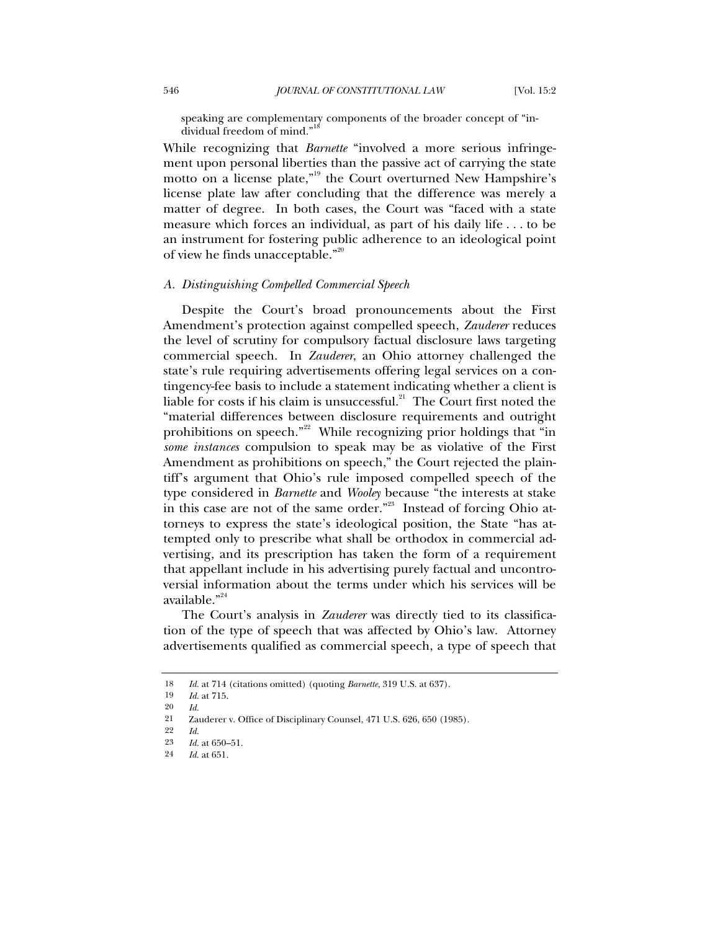speaking are complementary components of the broader concept of "individual freedom of mind."

While recognizing that *Barnette* "involved a more serious infringement upon personal liberties than the passive act of carrying the state motto on a license plate,"<sup>19</sup> the Court overturned New Hampshire's license plate law after concluding that the difference was merely a matter of degree. In both cases, the Court was "faced with a state measure which forces an individual, as part of his daily life . . . to be an instrument for fostering public adherence to an ideological point of view he finds unacceptable."<sup>20</sup>

#### *A. Distinguishing Compelled Commercial Speech*

Despite the Court's broad pronouncements about the First Amendment's protection against compelled speech, *Zauderer* reduces the level of scrutiny for compulsory factual disclosure laws targeting commercial speech. In *Zauderer*, an Ohio attorney challenged the state's rule requiring advertisements offering legal services on a contingency-fee basis to include a statement indicating whether a client is liable for costs if his claim is unsuccessful. $^{21}$  The Court first noted the "material differences between disclosure requirements and outright prohibitions on speech."<sup>22</sup> While recognizing prior holdings that "in *some instances* compulsion to speak may be as violative of the First Amendment as prohibitions on speech," the Court rejected the plaintiff's argument that Ohio's rule imposed compelled speech of the type considered in *Barnette* and *Wooley* because "the interests at stake in this case are not of the same order."<sup>23</sup> Instead of forcing Ohio attorneys to express the state's ideological position, the State "has attempted only to prescribe what shall be orthodox in commercial advertising, and its prescription has taken the form of a requirement that appellant include in his advertising purely factual and uncontroversial information about the terms under which his services will be available."<sup>24</sup>

The Court's analysis in *Zauderer* was directly tied to its classification of the type of speech that was affected by Ohio's law. Attorney advertisements qualified as commercial speech, a type of speech that

<sup>18</sup> *Id.* at 714 (citations omitted) (quoting *Barnette*, 319 U.S. at 637).<br>19 *Id.* at 715

*Id.* at 715.

<sup>20</sup> *Id.*

<sup>21</sup> Zauderer v. Office of Disciplinary Counsel, 471 U.S. 626, 650 (1985).

<sup>22</sup> *Id.*

<sup>23</sup> *Id.* at 650–51.

<sup>24</sup> *Id.* at 651.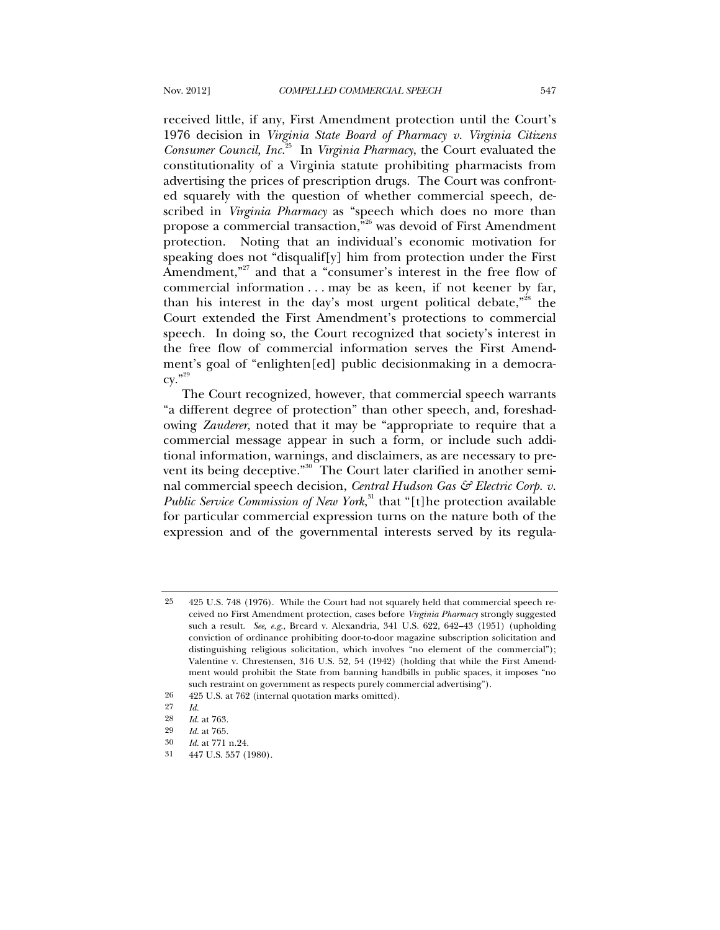received little, if any, First Amendment protection until the Court's 1976 decision in *Virginia State Board of Pharmacy v. Virginia Citizens Consumer Council, Inc.*25 In *Virginia Pharmacy*, the Court evaluated the constitutionality of a Virginia statute prohibiting pharmacists from advertising the prices of prescription drugs. The Court was confronted squarely with the question of whether commercial speech, described in *Virginia Pharmacy* as "speech which does no more than propose a commercial transaction, $\overline{r}^{26}$  was devoid of First Amendment protection. Noting that an individual's economic motivation for speaking does not "disqualif[y] him from protection under the First Amendment,<sup>"27</sup> and that a "consumer's interest in the free flow of commercial information . . . may be as keen, if not keener by far, than his interest in the day's most urgent political debate,"<sup>28</sup> the Court extended the First Amendment's protections to commercial speech. In doing so, the Court recognized that society's interest in the free flow of commercial information serves the First Amendment's goal of "enlighten[ed] public decisionmaking in a democra- $\text{cv.} \cdot$ <sup>29</sup>

The Court recognized, however, that commercial speech warrants "a different degree of protection" than other speech, and, foreshadowing *Zauderer*, noted that it may be "appropriate to require that a commercial message appear in such a form, or include such additional information, warnings, and disclaimers, as are necessary to prevent its being deceptive."30 The Court later clarified in another seminal commercial speech decision, *Central Hudson Gas & Electric Corp. v. Public Service Commission of New York*, 31 that "[t]he protection available for particular commercial expression turns on the nature both of the expression and of the governmental interests served by its regula-

<sup>25 425</sup> U.S. 748 (1976). While the Court had not squarely held that commercial speech received no First Amendment protection, cases before *Virginia Pharmacy* strongly suggested such a result. *See, e.g.*, Breard v. Alexandria, 341 U.S. 622, 642–43 (1951) (upholding conviction of ordinance prohibiting door-to-door magazine subscription solicitation and distinguishing religious solicitation, which involves "no element of the commercial"); Valentine v. Chrestensen, 316 U.S. 52, 54 (1942) (holding that while the First Amendment would prohibit the State from banning handbills in public spaces, it imposes "no such restraint on government as respects purely commercial advertising").

<sup>26 425</sup> U.S. at 762 (internal quotation marks omitted).

<sup>27</sup> *Id.*

<sup>28</sup> *Id.* at 763.

<sup>29</sup> *Id.* at 765.

<sup>30</sup> *Id.* at 771 n.24.

<sup>31 447</sup> U.S. 557 (1980).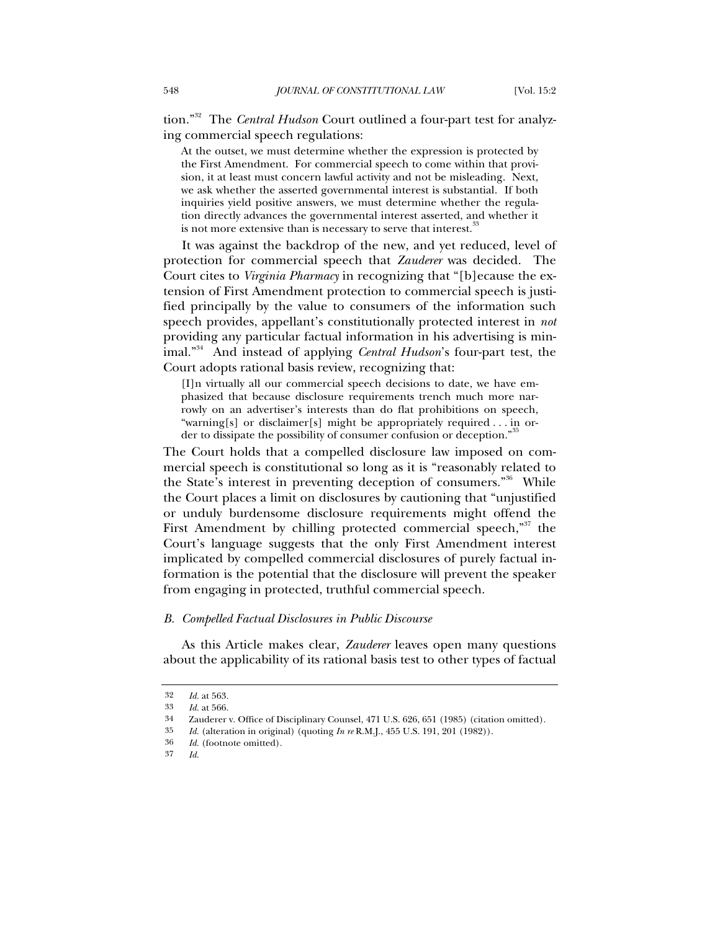tion."32 The *Central Hudson* Court outlined a four-part test for analyzing commercial speech regulations:

At the outset, we must determine whether the expression is protected by the First Amendment. For commercial speech to come within that provision, it at least must concern lawful activity and not be misleading. Next, we ask whether the asserted governmental interest is substantial. If both inquiries yield positive answers, we must determine whether the regulation directly advances the governmental interest asserted, and whether it is not more extensive than is necessary to serve that interest.

It was against the backdrop of the new, and yet reduced, level of protection for commercial speech that *Zauderer* was decided. The Court cites to *Virginia Pharmacy* in recognizing that "[b]ecause the extension of First Amendment protection to commercial speech is justified principally by the value to consumers of the information such speech provides, appellant's constitutionally protected interest in *not* providing any particular factual information in his advertising is minimal."34 And instead of applying *Central Hudson*'s four-part test, the Court adopts rational basis review, recognizing that:

[I]n virtually all our commercial speech decisions to date, we have emphasized that because disclosure requirements trench much more narrowly on an advertiser's interests than do flat prohibitions on speech, "warning[s] or disclaimer[s] might be appropriately required . . . in order to dissipate the possibility of consumer confusion or deception."

The Court holds that a compelled disclosure law imposed on commercial speech is constitutional so long as it is "reasonably related to the State's interest in preventing deception of consumers.<sup>36</sup> While the Court places a limit on disclosures by cautioning that "unjustified or unduly burdensome disclosure requirements might offend the First Amendment by chilling protected commercial speech, $\frac{357}{100}$  the Court's language suggests that the only First Amendment interest implicated by compelled commercial disclosures of purely factual information is the potential that the disclosure will prevent the speaker from engaging in protected, truthful commercial speech.

#### *B. Compelled Factual Disclosures in Public Discourse*

As this Article makes clear, *Zauderer* leaves open many questions about the applicability of its rational basis test to other types of factual

<sup>32</sup> *Id.* at 563.

<sup>33</sup> *Id.* at 566.

<sup>34</sup> Zauderer v. Office of Disciplinary Counsel, 471 U.S. 626, 651 (1985) (citation omitted).

<sup>35</sup> *Id.* (alteration in original) (quoting *In re* R.M.J., 455 U.S. 191, 201 (1982)).

<sup>36</sup> *Id.* (footnote omitted).

<sup>37</sup> *Id.*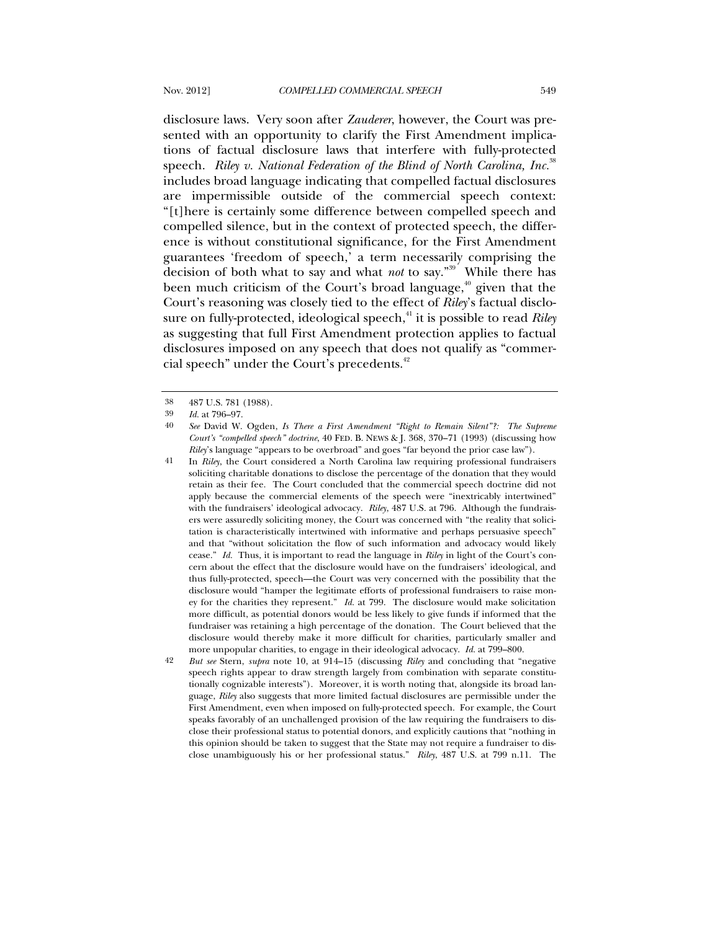disclosure laws. Very soon after *Zauderer*, however, the Court was presented with an opportunity to clarify the First Amendment implications of factual disclosure laws that interfere with fully-protected speech. *Riley v. National Federation of the Blind of North Carolina, Inc.*<sup>38</sup> includes broad language indicating that compelled factual disclosures are impermissible outside of the commercial speech context: "[t]here is certainly some difference between compelled speech and compelled silence, but in the context of protected speech, the difference is without constitutional significance, for the First Amendment guarantees 'freedom of speech,' a term necessarily comprising the decision of both what to say and what *not* to say."39 While there has been much criticism of the Court's broad language, $40$  given that the Court's reasoning was closely tied to the effect of *Riley*'s factual disclosure on fully-protected, ideological speech,<sup>41</sup> it is possible to read *Riley* as suggesting that full First Amendment protection applies to factual disclosures imposed on any speech that does not qualify as "commercial speech" under the Court's precedents.<sup>42</sup>

<sup>38 487</sup> U.S. 781 (1988).

<sup>39</sup> *Id.* at 796–97.

<sup>40</sup> *See* David W. Ogden, *Is There a First Amendment "Right to Remain Silent"?: The Supreme Court's "compelled speech" doctrine*, 40 FED. B. NEWS & J. 368, 370–71 (1993) (discussing how *Riley*'s language "appears to be overbroad" and goes "far beyond the prior case law").

<sup>41</sup> In *Riley*, the Court considered a North Carolina law requiring professional fundraisers soliciting charitable donations to disclose the percentage of the donation that they would retain as their fee. The Court concluded that the commercial speech doctrine did not apply because the commercial elements of the speech were "inextricably intertwined" with the fundraisers' ideological advocacy. *Riley*, 487 U.S. at 796. Although the fundraisers were assuredly soliciting money, the Court was concerned with "the reality that solicitation is characteristically intertwined with informative and perhaps persuasive speech" and that "without solicitation the flow of such information and advocacy would likely cease." *Id.* Thus, it is important to read the language in *Riley* in light of the Court's concern about the effect that the disclosure would have on the fundraisers' ideological, and thus fully-protected, speech—the Court was very concerned with the possibility that the disclosure would "hamper the legitimate efforts of professional fundraisers to raise money for the charities they represent." *Id.* at 799. The disclosure would make solicitation more difficult, as potential donors would be less likely to give funds if informed that the fundraiser was retaining a high percentage of the donation. The Court believed that the disclosure would thereby make it more difficult for charities, particularly smaller and more unpopular charities, to engage in their ideological advocacy. *Id.* at 799–800.

<sup>42</sup> *But see* Stern, *supra* note 10, at 914–15 (discussing *Riley* and concluding that "negative speech rights appear to draw strength largely from combination with separate constitutionally cognizable interests"). Moreover, it is worth noting that, alongside its broad language, *Riley* also suggests that more limited factual disclosures are permissible under the First Amendment, even when imposed on fully-protected speech. For example, the Court speaks favorably of an unchallenged provision of the law requiring the fundraisers to disclose their professional status to potential donors, and explicitly cautions that "nothing in this opinion should be taken to suggest that the State may not require a fundraiser to disclose unambiguously his or her professional status." *Riley*, 487 U.S. at 799 n.11. The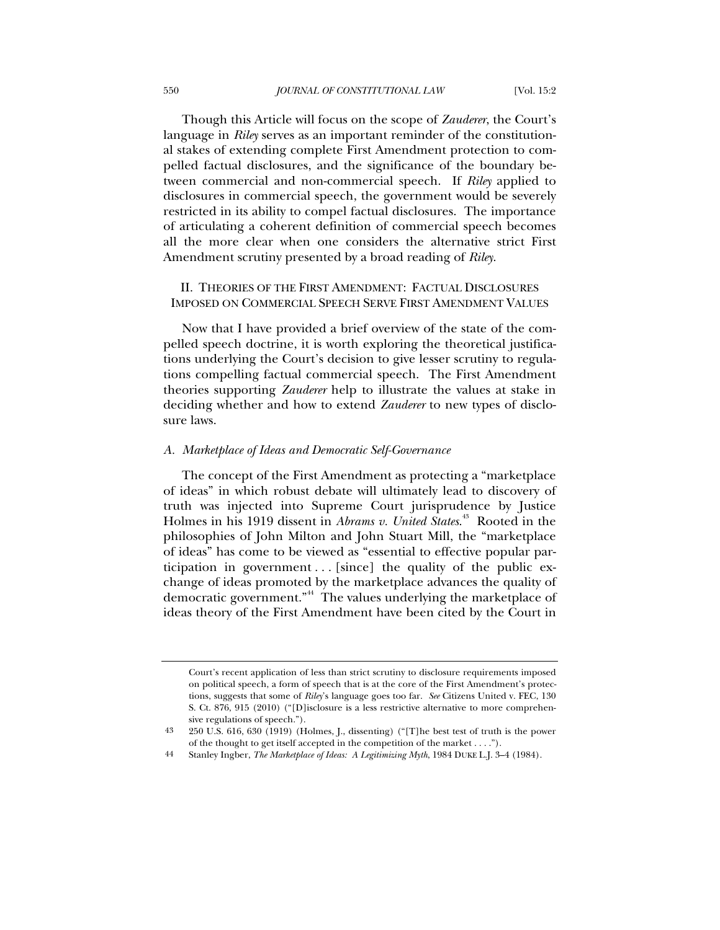Though this Article will focus on the scope of *Zauderer*, the Court's language in *Riley* serves as an important reminder of the constitutional stakes of extending complete First Amendment protection to compelled factual disclosures, and the significance of the boundary between commercial and non-commercial speech. If *Riley* applied to disclosures in commercial speech, the government would be severely restricted in its ability to compel factual disclosures. The importance of articulating a coherent definition of commercial speech becomes all the more clear when one considers the alternative strict First Amendment scrutiny presented by a broad reading of *Riley*.

### II. THEORIES OF THE FIRST AMENDMENT: FACTUAL DISCLOSURES IMPOSED ON COMMERCIAL SPEECH SERVE FIRST AMENDMENT VALUES

Now that I have provided a brief overview of the state of the compelled speech doctrine, it is worth exploring the theoretical justifications underlying the Court's decision to give lesser scrutiny to regulations compelling factual commercial speech. The First Amendment theories supporting *Zauderer* help to illustrate the values at stake in deciding whether and how to extend *Zauderer* to new types of disclosure laws.

#### *A. Marketplace of Ideas and Democratic Self-Governance*

The concept of the First Amendment as protecting a "marketplace of ideas" in which robust debate will ultimately lead to discovery of truth was injected into Supreme Court jurisprudence by Justice Holmes in his 1919 dissent in *Abrams v. United States*. 43 Rooted in the philosophies of John Milton and John Stuart Mill, the "marketplace of ideas" has come to be viewed as "essential to effective popular participation in government  $\ldots$  [since] the quality of the public exchange of ideas promoted by the marketplace advances the quality of democratic government."44 The values underlying the marketplace of ideas theory of the First Amendment have been cited by the Court in

Court's recent application of less than strict scrutiny to disclosure requirements imposed on political speech, a form of speech that is at the core of the First Amendment's protections, suggests that some of *Riley*'s language goes too far. *See* Citizens United v. FEC, 130 S. Ct. 876, 915 (2010) ("[D]isclosure is a less restrictive alternative to more comprehensive regulations of speech.").

<sup>43 250</sup> U.S. 616, 630 (1919) (Holmes, J., dissenting) ("[T]he best test of truth is the power of the thought to get itself accepted in the competition of the market . . . .").

<sup>44</sup> Stanley Ingber, *The Marketplace of Ideas: A Legitimizing Myth*, 1984 DUKE L.J. 3–4 (1984).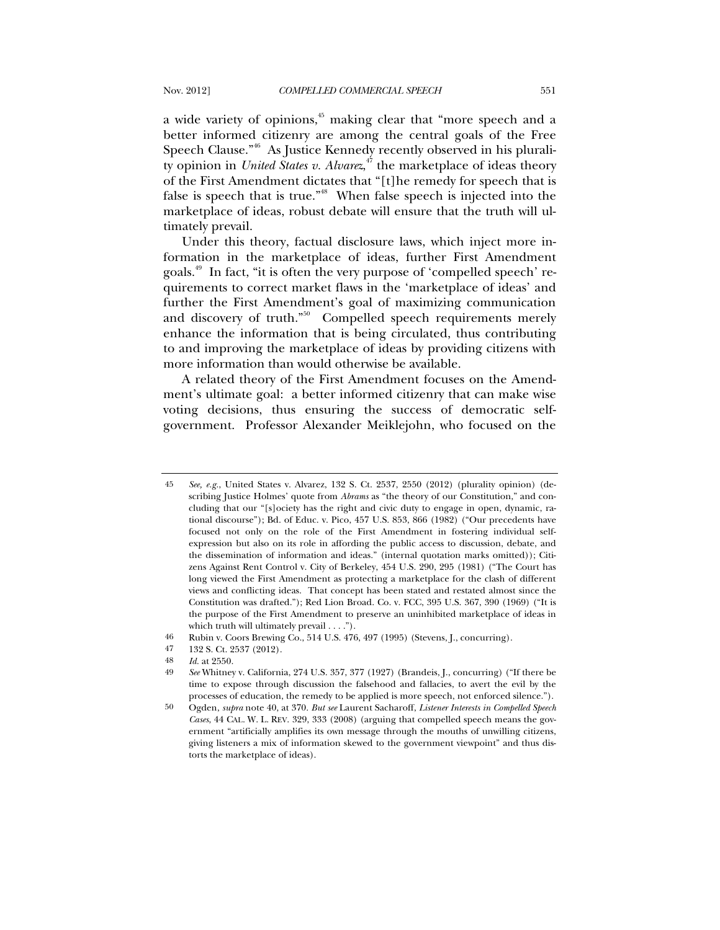a wide variety of opinions,<sup>45</sup> making clear that "more speech and a better informed citizenry are among the central goals of the Free Speech Clause."<sup>46</sup> As Justice Kennedy recently observed in his plurality opinion in *United States v. Alvarez*, 47 the marketplace of ideas theory of the First Amendment dictates that "[t]he remedy for speech that is false is speech that is true."<sup>48</sup> When false speech is injected into the marketplace of ideas, robust debate will ensure that the truth will ultimately prevail.

Under this theory, factual disclosure laws, which inject more information in the marketplace of ideas, further First Amendment goals.49 In fact, "it is often the very purpose of 'compelled speech' requirements to correct market flaws in the 'marketplace of ideas' and further the First Amendment's goal of maximizing communication and discovery of truth."<sup>50</sup> Compelled speech requirements merely enhance the information that is being circulated, thus contributing to and improving the marketplace of ideas by providing citizens with more information than would otherwise be available.

A related theory of the First Amendment focuses on the Amendment's ultimate goal: a better informed citizenry that can make wise voting decisions, thus ensuring the success of democratic selfgovernment. Professor Alexander Meiklejohn, who focused on the

<sup>45</sup> *See, e.g.*, United States v. Alvarez, 132 S. Ct. 2537, 2550 (2012) (plurality opinion) (describing Justice Holmes' quote from *Abrams* as "the theory of our Constitution," and concluding that our "[s]ociety has the right and civic duty to engage in open, dynamic, rational discourse"); Bd. of Educ. v. Pico, 457 U.S. 853, 866 (1982) ("Our precedents have focused not only on the role of the First Amendment in fostering individual selfexpression but also on its role in affording the public access to discussion, debate, and the dissemination of information and ideas." (internal quotation marks omitted)); Citizens Against Rent Control v. City of Berkeley, 454 U.S. 290, 295 (1981) ("The Court has long viewed the First Amendment as protecting a marketplace for the clash of different views and conflicting ideas. That concept has been stated and restated almost since the Constitution was drafted."); Red Lion Broad. Co. v. FCC, 395 U.S. 367, 390 (1969) ("It is the purpose of the First Amendment to preserve an uninhibited marketplace of ideas in which truth will ultimately prevail . . . .").

<sup>46</sup> Rubin v. Coors Brewing Co., 514 U.S. 476, 497 (1995) (Stevens, J., concurring).

<sup>47 132</sup> S. Ct. 2537 (2012).

<sup>48</sup> *Id.* at 2550.

<sup>49</sup> *See* Whitney v. California, 274 U.S. 357, 377 (1927) (Brandeis, J., concurring) ("If there be time to expose through discussion the falsehood and fallacies, to avert the evil by the processes of education, the remedy to be applied is more speech, not enforced silence.").

<sup>50</sup> Ogden, *supra* note 40, at 370. *But see* Laurent Sacharoff, *Listener Interests in Compelled Speech Cases*, 44 CAL. W. L. REV. 329, 333 (2008) (arguing that compelled speech means the government "artificially amplifies its own message through the mouths of unwilling citizens, giving listeners a mix of information skewed to the government viewpoint" and thus distorts the marketplace of ideas).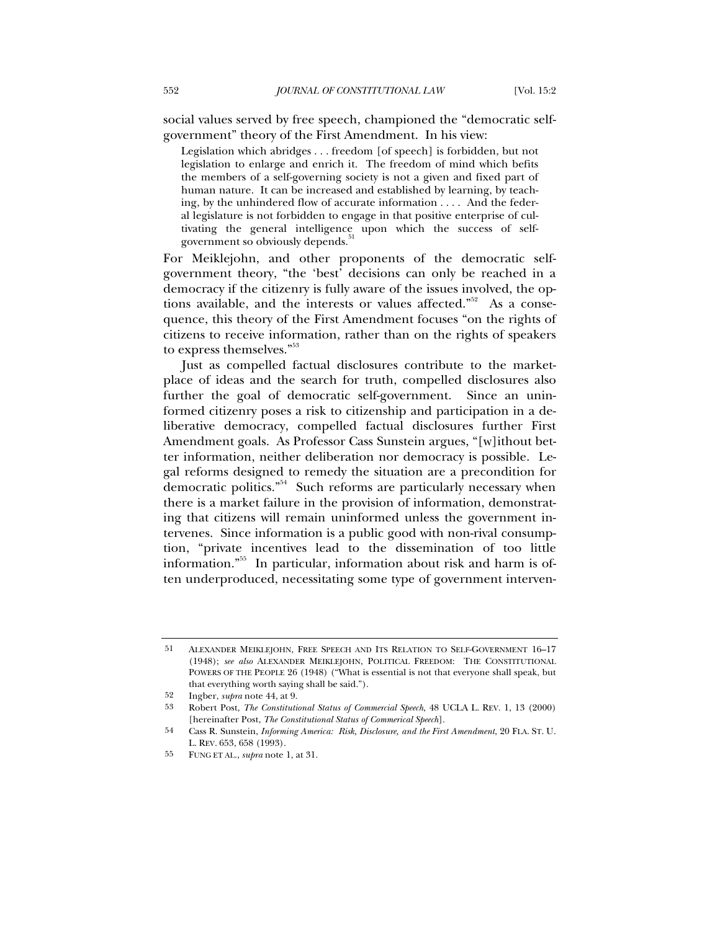social values served by free speech, championed the "democratic selfgovernment" theory of the First Amendment. In his view:

Legislation which abridges . . . freedom [of speech] is forbidden, but not legislation to enlarge and enrich it. The freedom of mind which befits the members of a self-governing society is not a given and fixed part of human nature. It can be increased and established by learning, by teaching, by the unhindered flow of accurate information . . . . And the federal legislature is not forbidden to engage in that positive enterprise of cultivating the general intelligence upon which the success of selfgovernment so obviously depends.

For Meiklejohn, and other proponents of the democratic selfgovernment theory, "the 'best' decisions can only be reached in a democracy if the citizenry is fully aware of the issues involved, the options available, and the interests or values affected."<sup>52</sup> As a consequence, this theory of the First Amendment focuses "on the rights of citizens to receive information, rather than on the rights of speakers to express themselves."<sup>53</sup>

Just as compelled factual disclosures contribute to the marketplace of ideas and the search for truth, compelled disclosures also further the goal of democratic self-government. Since an uninformed citizenry poses a risk to citizenship and participation in a deliberative democracy, compelled factual disclosures further First Amendment goals. As Professor Cass Sunstein argues, "[w]ithout better information, neither deliberation nor democracy is possible. Legal reforms designed to remedy the situation are a precondition for democratic politics."54 Such reforms are particularly necessary when there is a market failure in the provision of information, demonstrating that citizens will remain uninformed unless the government intervenes. Since information is a public good with non-rival consumption, "private incentives lead to the dissemination of too little information."55 In particular, information about risk and harm is often underproduced, necessitating some type of government interven-

<sup>51</sup> ALEXANDER MEIKLEJOHN, FREE SPEECH AND ITS RELATION TO SELF-GOVERNMENT 16–17 (1948); *see also* ALEXANDER MEIKLEJOHN, POLITICAL FREEDOM: THE CONSTITUTIONAL POWERS OF THE PEOPLE 26 (1948) ("What is essential is not that everyone shall speak, but that everything worth saying shall be said.").

<sup>52</sup> Ingber, *supra* note 44, at 9.

<sup>53</sup> Robert Post, *The Constitutional Status of Commercial Speech*, 48 UCLA L. REV. 1, 13 (2000) [hereinafter Post, *The Constitutional Status of Commerical Speech*].

<sup>54</sup> Cass R. Sunstein, *Informing America: Risk, Disclosure, and the First Amendment*, 20 FLA. ST. U. L. REV. 653, 658 (1993).

<sup>55</sup> FUNG ET AL., *supra* note 1, at 31.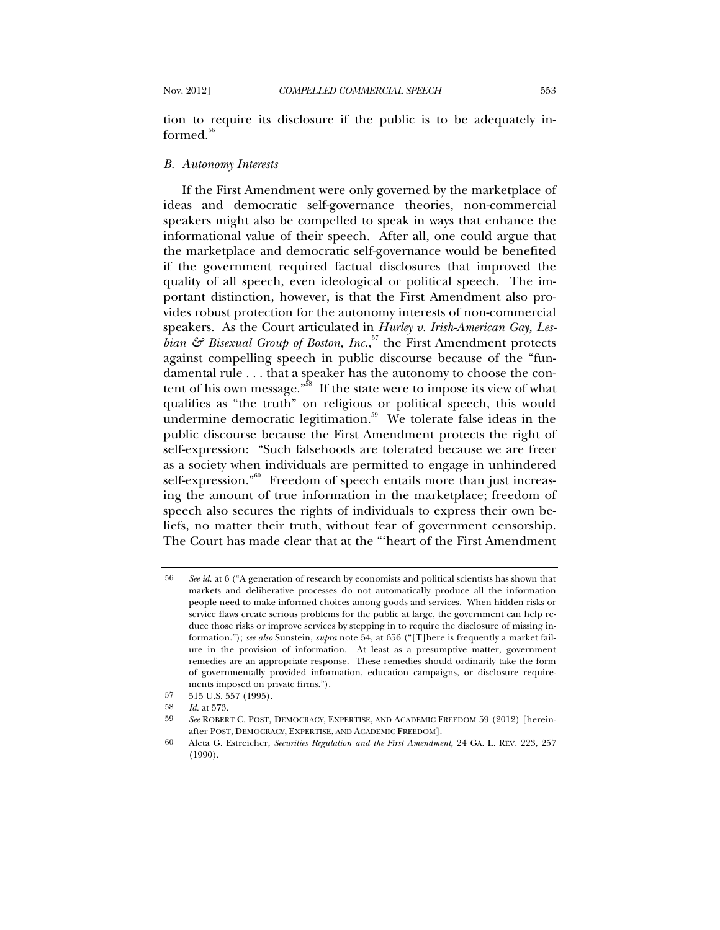tion to require its disclosure if the public is to be adequately in $formed<sup>56</sup>$ 

#### *B. Autonomy Interests*

If the First Amendment were only governed by the marketplace of ideas and democratic self-governance theories, non-commercial speakers might also be compelled to speak in ways that enhance the informational value of their speech. After all, one could argue that the marketplace and democratic self-governance would be benefited if the government required factual disclosures that improved the quality of all speech, even ideological or political speech. The important distinction, however, is that the First Amendment also provides robust protection for the autonomy interests of non-commercial speakers. As the Court articulated in *Hurley v. Irish-American Gay, Les*bian & Bisexual Group of Boston, Inc.,<sup>57</sup> the First Amendment protects against compelling speech in public discourse because of the "fundamental rule . . . that a speaker has the autonomy to choose the content of his own message."<sup>58</sup> If the state were to impose its view of what qualifies as "the truth" on religious or political speech, this would undermine democratic legitimation.<sup>59</sup> We tolerate false ideas in the public discourse because the First Amendment protects the right of self-expression: "Such falsehoods are tolerated because we are freer as a society when individuals are permitted to engage in unhindered self-expression."<sup>60</sup> Freedom of speech entails more than just increasing the amount of true information in the marketplace; freedom of speech also secures the rights of individuals to express their own beliefs, no matter their truth, without fear of government censorship. The Court has made clear that at the "'heart of the First Amendment

<sup>56</sup> *See id.* at 6 ("A generation of research by economists and political scientists has shown that markets and deliberative processes do not automatically produce all the information people need to make informed choices among goods and services. When hidden risks or service flaws create serious problems for the public at large, the government can help reduce those risks or improve services by stepping in to require the disclosure of missing information."); *see also* Sunstein, *supra* note 54, at 656 ("[T]here is frequently a market failure in the provision of information. At least as a presumptive matter, government remedies are an appropriate response. These remedies should ordinarily take the form of governmentally provided information, education campaigns, or disclosure requirements imposed on private firms.").

<sup>57 515</sup> U.S. 557 (1995).

<sup>58</sup> *Id.* at 573.

<sup>59</sup> *See* ROBERT C. POST, DEMOCRACY, EXPERTISE, AND ACADEMIC FREEDOM 59 (2012) [hereinafter POST, DEMOCRACY, EXPERTISE, AND ACADEMIC FREEDOM].

<sup>60</sup> Aleta G. Estreicher, *Securities Regulation and the First Amendment*, 24 GA. L. REV. 223, 257 (1990).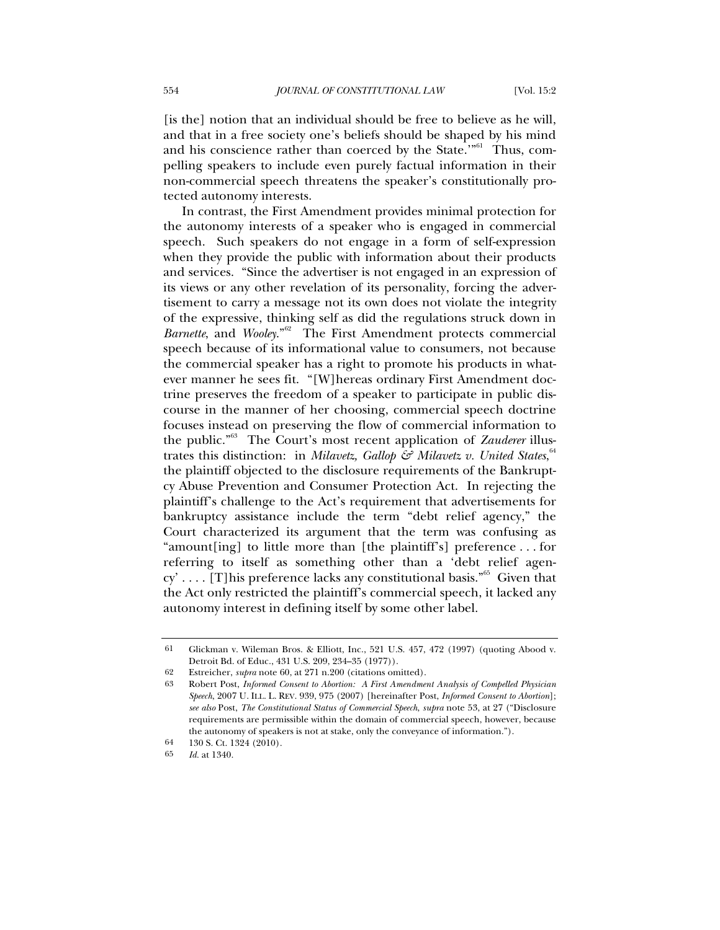[is the] notion that an individual should be free to believe as he will, and that in a free society one's beliefs should be shaped by his mind and his conscience rather than coerced by the State."<sup>61</sup> Thus, compelling speakers to include even purely factual information in their non-commercial speech threatens the speaker's constitutionally protected autonomy interests.

In contrast, the First Amendment provides minimal protection for the autonomy interests of a speaker who is engaged in commercial speech. Such speakers do not engage in a form of self-expression when they provide the public with information about their products and services. "Since the advertiser is not engaged in an expression of its views or any other revelation of its personality, forcing the advertisement to carry a message not its own does not violate the integrity of the expressive, thinking self as did the regulations struck down in *Barnette*, and *Wooley*."62 The First Amendment protects commercial speech because of its informational value to consumers, not because the commercial speaker has a right to promote his products in whatever manner he sees fit. "[W]hereas ordinary First Amendment doctrine preserves the freedom of a speaker to participate in public discourse in the manner of her choosing, commercial speech doctrine focuses instead on preserving the flow of commercial information to the public."63 The Court's most recent application of *Zauderer* illustrates this distinction: in *Milavetz*, *Gallop & Milavetz v. United States*,  $64$ the plaintiff objected to the disclosure requirements of the Bankruptcy Abuse Prevention and Consumer Protection Act. In rejecting the plaintiff's challenge to the Act's requirement that advertisements for bankruptcy assistance include the term "debt relief agency," the Court characterized its argument that the term was confusing as "amount[ing] to little more than [the plaintiff's] preference . . . for referring to itself as something other than a 'debt relief agency' . . . . [T]his preference lacks any constitutional basis."<sup>65</sup> Given that the Act only restricted the plaintiff's commercial speech, it lacked any autonomy interest in defining itself by some other label.

<sup>61</sup> Glickman v. Wileman Bros. & Elliott, Inc., 521 U.S. 457, 472 (1997) (quoting Abood v. Detroit Bd. of Educ., 431 U.S. 209, 234–35 (1977)).

<sup>62</sup> Estreicher, *supra* note 60, at 271 n.200 (citations omitted).

<sup>63</sup> Robert Post, *Informed Consent to Abortion: A First Amendment Analysis of Compelled Physician Speech*, 2007 U. ILL. L. REV. 939, 975 (2007) [hereinafter Post, *Informed Consent to Abortion*]; *see also* Post, *The Constitutional Status of Commercial Speech*, *supra* note 53, at 27 ("Disclosure requirements are permissible within the domain of commercial speech, however, because the autonomy of speakers is not at stake, only the conveyance of information.").

<sup>64 130</sup> S. Ct. 1324 (2010).

<sup>65</sup> *Id.* at 1340.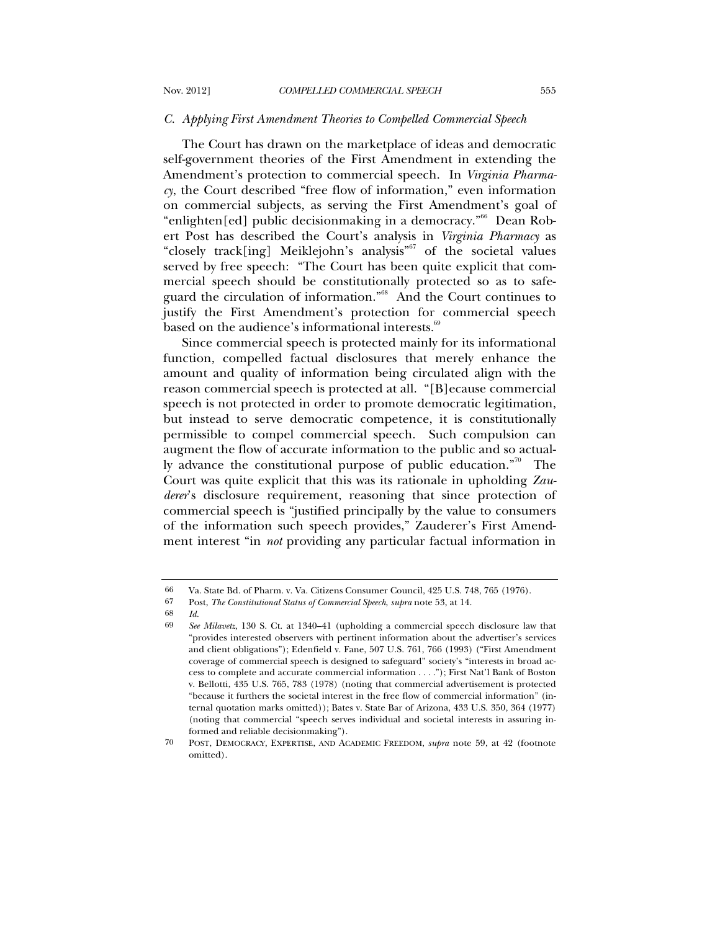#### *C. Applying First Amendment Theories to Compelled Commercial Speech*

The Court has drawn on the marketplace of ideas and democratic self-government theories of the First Amendment in extending the Amendment's protection to commercial speech. In *Virginia Pharmacy*, the Court described "free flow of information," even information on commercial subjects, as serving the First Amendment's goal of "enlighten[ed] public decisionmaking in a democracy."66 Dean Robert Post has described the Court's analysis in *Virginia Pharmacy* as "closely track[ing] Meiklejohn's analysis"<sup>67</sup> of the societal values served by free speech: "The Court has been quite explicit that commercial speech should be constitutionally protected so as to safeguard the circulation of information."68 And the Court continues to justify the First Amendment's protection for commercial speech based on the audience's informational interests.<sup>69</sup>

Since commercial speech is protected mainly for its informational function, compelled factual disclosures that merely enhance the amount and quality of information being circulated align with the reason commercial speech is protected at all. "[B]ecause commercial speech is not protected in order to promote democratic legitimation, but instead to serve democratic competence, it is constitutionally permissible to compel commercial speech. Such compulsion can augment the flow of accurate information to the public and so actually advance the constitutional purpose of public education. $\mathbb{R}^{70}$  The Court was quite explicit that this was its rationale in upholding *Zauderer*'s disclosure requirement, reasoning that since protection of commercial speech is "justified principally by the value to consumers of the information such speech provides," Zauderer's First Amendment interest "in *not* providing any particular factual information in

<sup>66</sup> Va. State Bd. of Pharm. v. Va. Citizens Consumer Council, 425 U.S. 748, 765 (1976).

<sup>67</sup> Post, *The Constitutional Status of Commercial Speech*, *supra* note 53, at 14.

<sup>68</sup> *Id.*

<sup>69</sup> *See Milavetz*, 130 S. Ct. at 1340–41 (upholding a commercial speech disclosure law that "provides interested observers with pertinent information about the advertiser's services and client obligations"); Edenfield v. Fane, 507 U.S. 761, 766 (1993) ("First Amendment coverage of commercial speech is designed to safeguard" society's "interests in broad access to complete and accurate commercial information . . . ."); First Nat'l Bank of Boston v. Bellotti, 435 U.S. 765, 783 (1978) (noting that commercial advertisement is protected "because it furthers the societal interest in the free flow of commercial information" (internal quotation marks omitted)); Bates v. State Bar of Arizona, 433 U.S. 350, 364 (1977) (noting that commercial "speech serves individual and societal interests in assuring informed and reliable decisionmaking").

<sup>70</sup> POST, DEMOCRACY, EXPERTISE, AND ACADEMIC FREEDOM, *supra* note 59, at 42 (footnote omitted).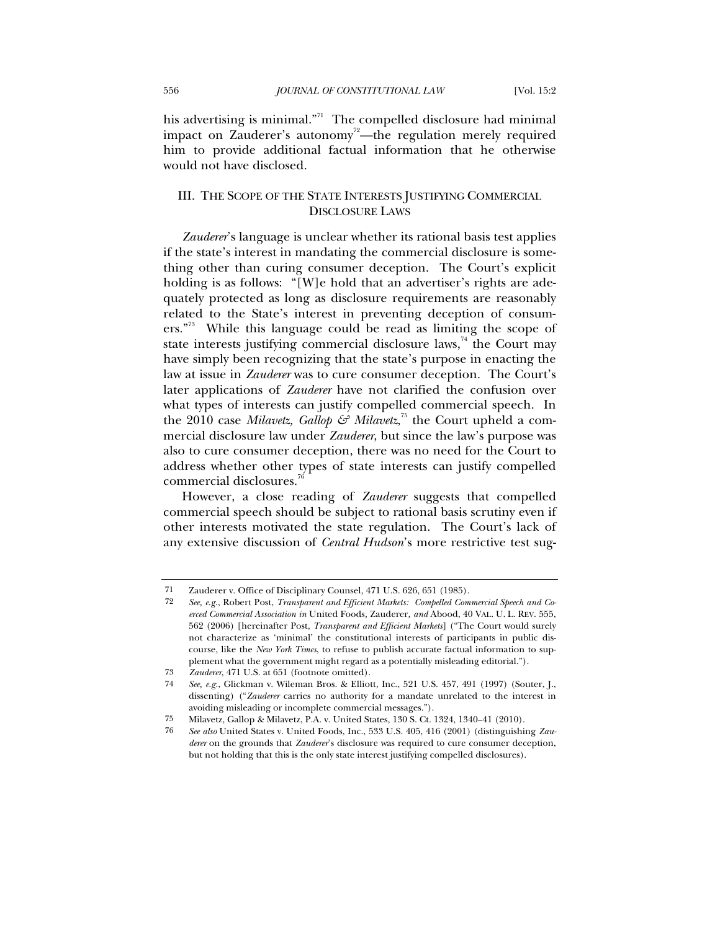his advertising is minimal. $n^{71}$  The compelled disclosure had minimal impact on Zauderer's autonomy<sup>72</sup>—the regulation merely required him to provide additional factual information that he otherwise would not have disclosed.

## III. THE SCOPE OF THE STATE INTERESTS JUSTIFYING COMMERCIAL DISCLOSURE LAWS

*Zauderer*'s language is unclear whether its rational basis test applies if the state's interest in mandating the commercial disclosure is something other than curing consumer deception. The Court's explicit holding is as follows: "[W]e hold that an advertiser's rights are adequately protected as long as disclosure requirements are reasonably related to the State's interest in preventing deception of consumers."<sup>73</sup> While this language could be read as limiting the scope of state interests justifying commercial disclosure laws,<sup>74</sup> the Court may have simply been recognizing that the state's purpose in enacting the law at issue in *Zauderer* was to cure consumer deception. The Court's later applications of *Zauderer* have not clarified the confusion over what types of interests can justify compelled commercial speech. In the 2010 case *Milavetz*, *Gallop & Milavetz*,<sup>75</sup> the Court upheld a commercial disclosure law under *Zauderer*, but since the law's purpose was also to cure consumer deception, there was no need for the Court to address whether other types of state interests can justify compelled commercial disclosures.<sup>76</sup>

However, a close reading of *Zauderer* suggests that compelled commercial speech should be subject to rational basis scrutiny even if other interests motivated the state regulation. The Court's lack of any extensive discussion of *Central Hudson*'s more restrictive test sug-

<sup>71</sup> Zauderer v. Office of Disciplinary Counsel, 471 U.S. 626, 651 (1985).

<sup>72</sup> *See, e.g.*, Robert Post, *Transparent and Efficient Markets: Compelled Commercial Speech and Coerced Commercial Association in* United Foods*,* Zauderer*, and* Abood, 40 VAL. U. L. REV. 555, 562 (2006) [hereinafter Post, *Transparent and Efficient Markets*] ("The Court would surely not characterize as 'minimal' the constitutional interests of participants in public discourse, like the *New York Times*, to refuse to publish accurate factual information to supplement what the government might regard as a potentially misleading editorial.").

<sup>73</sup> *Zauderer*, 471 U.S. at 651 (footnote omitted).

<sup>74</sup> *See, e.g.*, Glickman v. Wileman Bros. & Elliott, Inc., 521 U.S. 457, 491 (1997) (Souter, J., dissenting) ("*Zauderer* carries no authority for a mandate unrelated to the interest in avoiding misleading or incomplete commercial messages.").

<sup>75</sup> Milavetz, Gallop & Milavetz, P.A. v. United States, 130 S. Ct. 1324, 1340–41 (2010).

<sup>76</sup> *See also* United States v. United Foods, Inc., 533 U.S. 405, 416 (2001) (distinguishing *Zauderer* on the grounds that *Zauderer*'s disclosure was required to cure consumer deception, but not holding that this is the only state interest justifying compelled disclosures).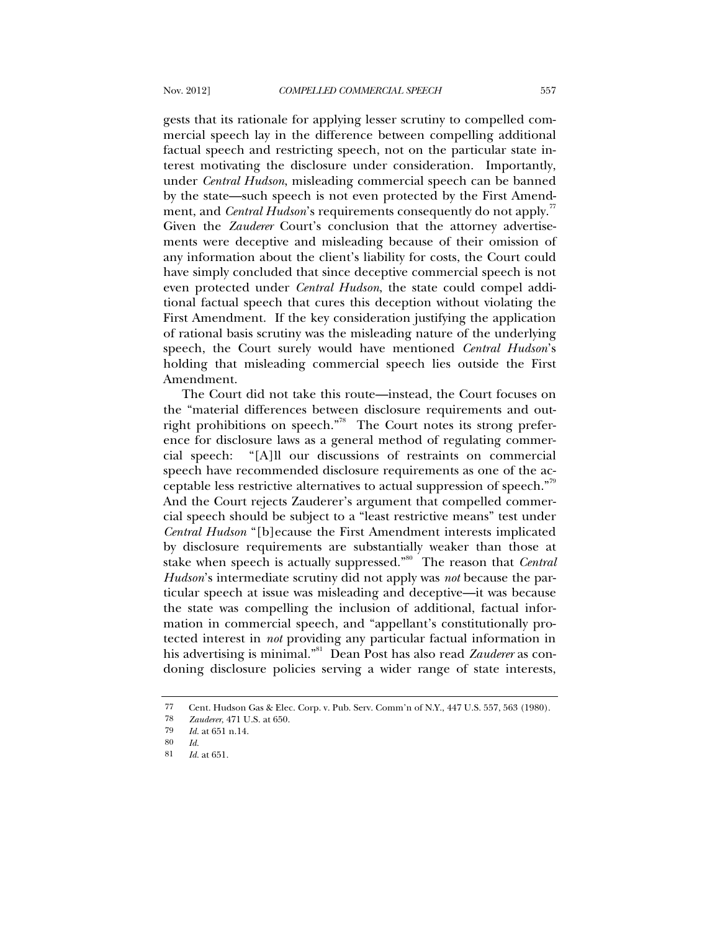gests that its rationale for applying lesser scrutiny to compelled commercial speech lay in the difference between compelling additional factual speech and restricting speech, not on the particular state interest motivating the disclosure under consideration. Importantly, under *Central Hudson*, misleading commercial speech can be banned by the state—such speech is not even protected by the First Amendment, and *Central Hudson*'s requirements consequently do not apply.<sup>77</sup> Given the *Zauderer* Court's conclusion that the attorney advertisements were deceptive and misleading because of their omission of any information about the client's liability for costs, the Court could have simply concluded that since deceptive commercial speech is not even protected under *Central Hudson*, the state could compel additional factual speech that cures this deception without violating the First Amendment. If the key consideration justifying the application of rational basis scrutiny was the misleading nature of the underlying speech, the Court surely would have mentioned *Central Hudson*'s holding that misleading commercial speech lies outside the First Amendment.

The Court did not take this route—instead, the Court focuses on the "material differences between disclosure requirements and outright prohibitions on speech."78 The Court notes its strong preference for disclosure laws as a general method of regulating commercial speech: "[A]ll our discussions of restraints on commercial speech have recommended disclosure requirements as one of the acceptable less restrictive alternatives to actual suppression of speech."79 And the Court rejects Zauderer's argument that compelled commercial speech should be subject to a "least restrictive means" test under *Central Hudson* "[b]ecause the First Amendment interests implicated by disclosure requirements are substantially weaker than those at stake when speech is actually suppressed."<sup>80</sup> The reason that *Central Hudson*'s intermediate scrutiny did not apply was *not* because the particular speech at issue was misleading and deceptive—it was because the state was compelling the inclusion of additional, factual information in commercial speech, and "appellant's constitutionally protected interest in *not* providing any particular factual information in his advertising is minimal."81 Dean Post has also read *Zauderer* as condoning disclosure policies serving a wider range of state interests,

<sup>77</sup> Cent. Hudson Gas & Elec. Corp. v. Pub. Serv. Comm'n of N.Y., 447 U.S. 557, 563 (1980).

<sup>78</sup> *Zauderer*, 471 U.S. at 650.

<sup>79</sup> *Id.* at 651 n.14.

<sup>80</sup> *Id.*

<sup>81</sup> *Id.* at 651.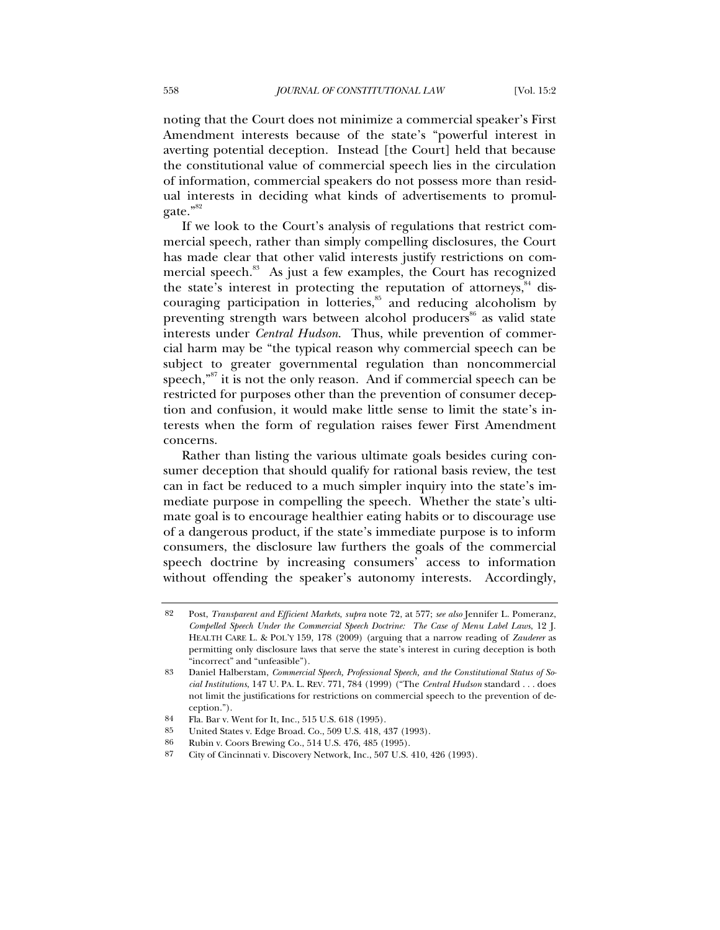noting that the Court does not minimize a commercial speaker's First Amendment interests because of the state's "powerful interest in averting potential deception. Instead [the Court] held that because the constitutional value of commercial speech lies in the circulation of information, commercial speakers do not possess more than residual interests in deciding what kinds of advertisements to promulgate."<sup>82</sup>

If we look to the Court's analysis of regulations that restrict commercial speech, rather than simply compelling disclosures, the Court has made clear that other valid interests justify restrictions on commercial speech.<sup>83</sup> As just a few examples, the Court has recognized the state's interest in protecting the reputation of attorneys, $84$  discouraging participation in lotteries,<sup>85</sup> and reducing alcoholism by preventing strength wars between alcohol producers<sup>86</sup> as valid state interests under *Central Hudson*. Thus, while prevention of commercial harm may be "the typical reason why commercial speech can be subject to greater governmental regulation than noncommercial speech,<sup>"87</sup> it is not the only reason. And if commercial speech can be restricted for purposes other than the prevention of consumer deception and confusion, it would make little sense to limit the state's interests when the form of regulation raises fewer First Amendment concerns.

Rather than listing the various ultimate goals besides curing consumer deception that should qualify for rational basis review, the test can in fact be reduced to a much simpler inquiry into the state's immediate purpose in compelling the speech. Whether the state's ultimate goal is to encourage healthier eating habits or to discourage use of a dangerous product, if the state's immediate purpose is to inform consumers, the disclosure law furthers the goals of the commercial speech doctrine by increasing consumers' access to information without offending the speaker's autonomy interests. Accordingly,

<sup>82</sup> Post, *Transparent and Efficient Markets*, *supra* note 72, at 577; *see also* Jennifer L. Pomeranz, *Compelled Speech Under the Commercial Speech Doctrine: The Case of Menu Label Laws*, 12 J. HEALTH CARE L. & POL'Y 159, 178 (2009) (arguing that a narrow reading of *Zauderer* as permitting only disclosure laws that serve the state's interest in curing deception is both "incorrect" and "unfeasible").

<sup>83</sup> Daniel Halberstam, *Commercial Speech, Professional Speech, and the Constitutional Status of Social Institutions*, 147 U. PA. L. REV. 771, 784 (1999) ("The *Central Hudson* standard . . . does not limit the justifications for restrictions on commercial speech to the prevention of deception.").

<sup>84</sup> Fla. Bar v. Went for It, Inc., 515 U.S. 618 (1995).

<sup>85</sup> United States v. Edge Broad. Co., 509 U.S. 418, 437 (1993).

<sup>86</sup> Rubin v. Coors Brewing Co., 514 U.S. 476, 485 (1995).

<sup>87</sup> City of Cincinnati v. Discovery Network, Inc., 507 U.S. 410, 426 (1993).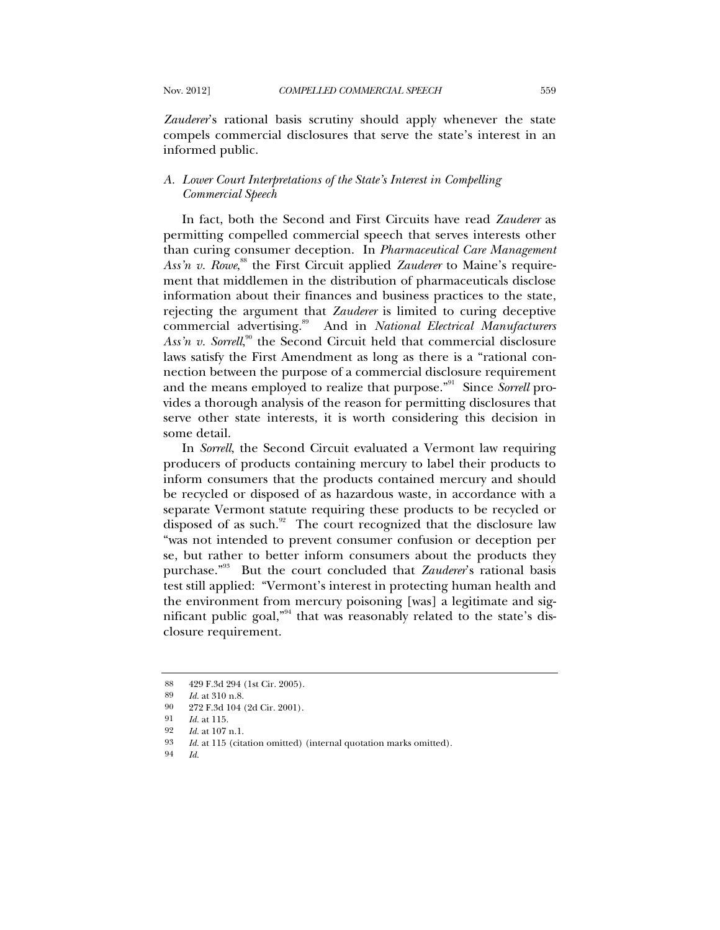*Zauderer*'s rational basis scrutiny should apply whenever the state compels commercial disclosures that serve the state's interest in an informed public.

### *A. Lower Court Interpretations of the State's Interest in Compelling Commercial Speech*

In fact, both the Second and First Circuits have read *Zauderer* as permitting compelled commercial speech that serves interests other than curing consumer deception. In *Pharmaceutical Care Management*  Ass'n v. Rowe,<sup>88</sup> the First Circuit applied *Zauderer* to Maine's requirement that middlemen in the distribution of pharmaceuticals disclose information about their finances and business practices to the state, rejecting the argument that *Zauderer* is limited to curing deceptive commercial advertising.89 And in *National Electrical Manufacturers*  Ass'n v. Sorrell,<sup>90</sup> the Second Circuit held that commercial disclosure laws satisfy the First Amendment as long as there is a "rational connection between the purpose of a commercial disclosure requirement and the means employed to realize that purpose."91 Since *Sorrell* provides a thorough analysis of the reason for permitting disclosures that serve other state interests, it is worth considering this decision in some detail.

In *Sorrell*, the Second Circuit evaluated a Vermont law requiring producers of products containing mercury to label their products to inform consumers that the products contained mercury and should be recycled or disposed of as hazardous waste, in accordance with a separate Vermont statute requiring these products to be recycled or disposed of as such.<sup>92</sup> The court recognized that the disclosure law "was not intended to prevent consumer confusion or deception per se, but rather to better inform consumers about the products they purchase."93 But the court concluded that *Zauderer*'s rational basis test still applied: "Vermont's interest in protecting human health and the environment from mercury poisoning [was] a legitimate and significant public goal,"94 that was reasonably related to the state's disclosure requirement.

<sup>88 429</sup> F.3d 294 (1st Cir. 2005).<br>89 Id. at 310 p.8

*Id.* at 310 n.8.

<sup>90 272</sup> F.3d 104 (2d Cir. 2001).

<sup>91</sup> *Id.* at 115.

<sup>92</sup> *Id.* at 107 n.1.

<sup>93</sup> *Id.* at 115 (citation omitted) (internal quotation marks omitted).

<sup>94</sup> *Id.*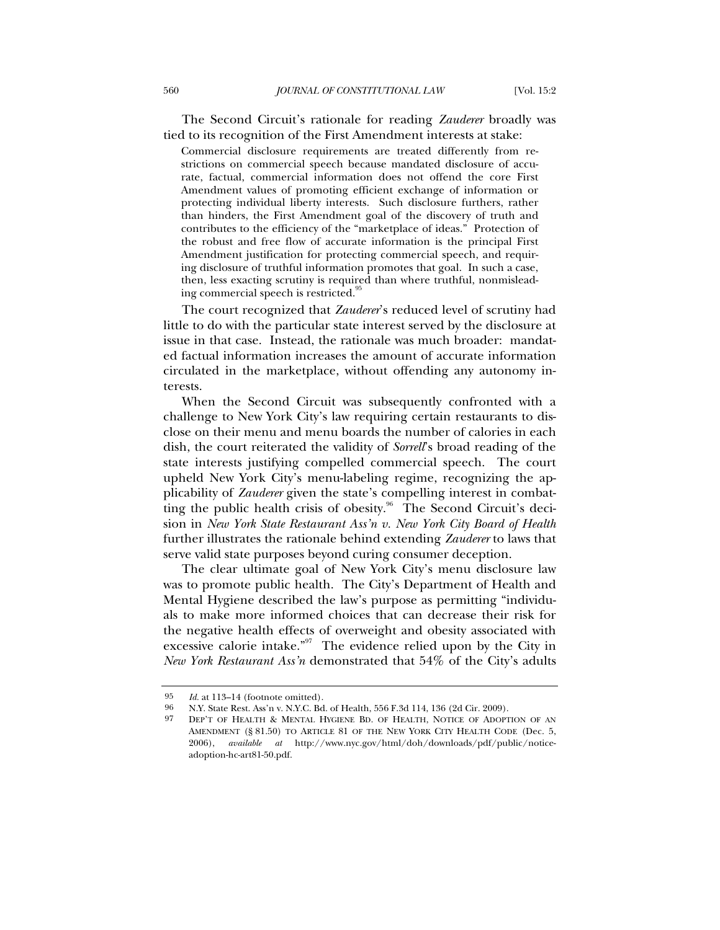The Second Circuit's rationale for reading *Zauderer* broadly was tied to its recognition of the First Amendment interests at stake:

Commercial disclosure requirements are treated differently from restrictions on commercial speech because mandated disclosure of accurate, factual, commercial information does not offend the core First Amendment values of promoting efficient exchange of information or protecting individual liberty interests. Such disclosure furthers, rather than hinders, the First Amendment goal of the discovery of truth and contributes to the efficiency of the "marketplace of ideas." Protection of the robust and free flow of accurate information is the principal First Amendment justification for protecting commercial speech, and requiring disclosure of truthful information promotes that goal. In such a case, then, less exacting scrutiny is required than where truthful, nonmisleading commercial speech is restricted.<sup>95</sup>

The court recognized that *Zauderer*'s reduced level of scrutiny had little to do with the particular state interest served by the disclosure at issue in that case. Instead, the rationale was much broader: mandated factual information increases the amount of accurate information circulated in the marketplace, without offending any autonomy interests.

When the Second Circuit was subsequently confronted with a challenge to New York City's law requiring certain restaurants to disclose on their menu and menu boards the number of calories in each dish, the court reiterated the validity of *Sorrell*'s broad reading of the state interests justifying compelled commercial speech. The court upheld New York City's menu-labeling regime, recognizing the applicability of *Zauderer* given the state's compelling interest in combatting the public health crisis of obesity.<sup>96</sup> The Second Circuit's decision in *New York State Restaurant Ass'n v. New York City Board of Health* further illustrates the rationale behind extending *Zauderer* to laws that serve valid state purposes beyond curing consumer deception.

The clear ultimate goal of New York City's menu disclosure law was to promote public health. The City's Department of Health and Mental Hygiene described the law's purpose as permitting "individuals to make more informed choices that can decrease their risk for the negative health effects of overweight and obesity associated with excessive calorie intake."<sup>97</sup> The evidence relied upon by the City in *New York Restaurant Ass'n* demonstrated that 54% of the City's adults

<sup>95</sup> *Id.* at 113–14 (footnote omitted).<br>96 NY State Rest Ass'n v NYC Rd

 <sup>96</sup> N.Y. State Rest. Ass'n v. N.Y.C. Bd. of Health, 556 F.3d 114, 136 (2d Cir. 2009).

<sup>97</sup> DEP'T OF HEALTH & MENTAL HYGIENE BD. OF HEALTH, NOTICE OF ADOPTION OF AN AMENDMENT (§ 81.50) TO ARTICLE 81 OF THE NEW YORK CITY HEALTH CODE (Dec. 5, 2006), *available at* http://www.nyc.gov/html/doh/downloads/pdf/public/noticeadoption-hc-art81-50.pdf.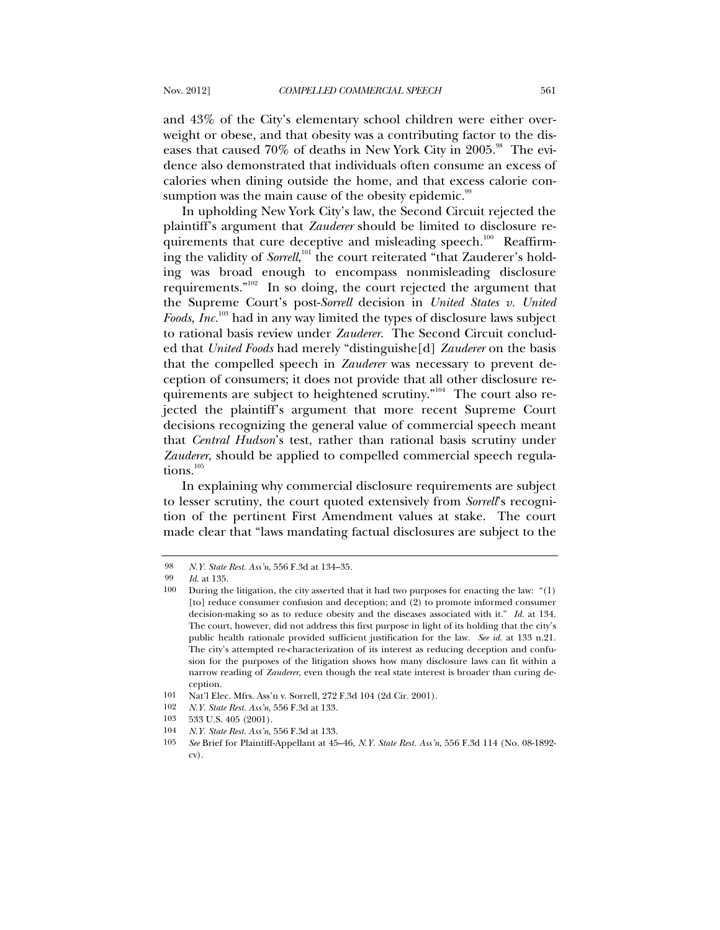and 43% of the City's elementary school children were either overweight or obese, and that obesity was a contributing factor to the diseases that caused  $70\%$  of deaths in New York City in 2005.<sup>98</sup> The evidence also demonstrated that individuals often consume an excess of calories when dining outside the home, and that excess calorie consumption was the main cause of the obesity epidemic.<sup>99</sup>

In upholding New York City's law, the Second Circuit rejected the plaintiff's argument that *Zauderer* should be limited to disclosure requirements that cure deceptive and misleading speech.<sup>100</sup> Reaffirming the validity of *Sorrell*,<sup>101</sup> the court reiterated "that Zauderer's holding was broad enough to encompass nonmisleading disclosure requirements. $n_{02}$  In so doing, the court rejected the argument that the Supreme Court's post-*Sorrell* decision in *United States v. United Foods, Inc.*103 had in any way limited the types of disclosure laws subject to rational basis review under *Zauderer*. The Second Circuit concluded that *United Foods* had merely "distinguishe[d] *Zauderer* on the basis that the compelled speech in *Zauderer* was necessary to prevent deception of consumers; it does not provide that all other disclosure requirements are subject to heightened scrutiny. $n^{104}$  The court also rejected the plaintiff's argument that more recent Supreme Court decisions recognizing the general value of commercial speech meant that *Central Hudson*'s test, rather than rational basis scrutiny under *Zauderer*, should be applied to compelled commercial speech regulations.<sup>105</sup>

In explaining why commercial disclosure requirements are subject to lesser scrutiny, the court quoted extensively from *Sorrell*'s recognition of the pertinent First Amendment values at stake. The court made clear that "laws mandating factual disclosures are subject to the

<sup>98</sup> *N.Y. State Rest. Ass'n*, 556 F.3d at 134–35.

<sup>99</sup> *Id.* at 135.

<sup>100</sup> During the litigation, the city asserted that it had two purposes for enacting the law: "(1) [to] reduce consumer confusion and deception; and (2) to promote informed consumer decision-making so as to reduce obesity and the diseases associated with it." *Id.* at 134. The court, however, did not address this first purpose in light of its holding that the city's public health rationale provided sufficient justification for the law. *See id.* at 133 n.21. The city's attempted re-characterization of its interest as reducing deception and confusion for the purposes of the litigation shows how many disclosure laws can fit within a narrow reading of *Zauderer*, even though the real state interest is broader than curing deception.

<sup>101</sup> Nat'l Elec. Mfrs. Ass'n v. Sorrell, 272 F.3d 104 (2d Cir. 2001).

<sup>102</sup> *N.Y. State Rest. Ass'n*, 556 F.3d at 133.

<sup>103 533</sup> U.S. 405 (2001).

<sup>104</sup> *N.Y. State Rest. Ass'n*, 556 F.3d at 133.

<sup>105</sup> *See* Brief for Plaintiff-Appellant at 45–46, *N.Y. State Rest. Ass'n*, 556 F.3d 114 (No. 08-1892 cv).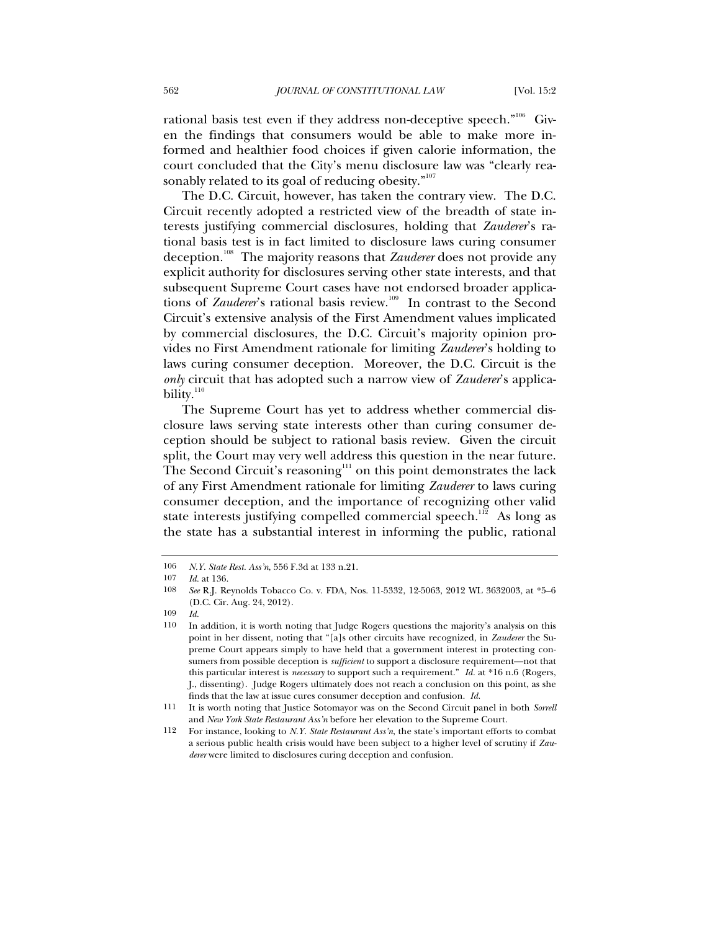rational basis test even if they address non-deceptive speech."<sup>106</sup> Given the findings that consumers would be able to make more informed and healthier food choices if given calorie information, the court concluded that the City's menu disclosure law was "clearly reasonably related to its goal of reducing obesity."<sup>107</sup>

The D.C. Circuit, however, has taken the contrary view. The D.C. Circuit recently adopted a restricted view of the breadth of state interests justifying commercial disclosures, holding that *Zauderer*'s rational basis test is in fact limited to disclosure laws curing consumer deception.108 The majority reasons that *Zauderer* does not provide any explicit authority for disclosures serving other state interests, and that subsequent Supreme Court cases have not endorsed broader applications of *Zauderer's* rational basis review.<sup>109</sup> In contrast to the Second Circuit's extensive analysis of the First Amendment values implicated by commercial disclosures, the D.C. Circuit's majority opinion provides no First Amendment rationale for limiting *Zauderer*'s holding to laws curing consumer deception. Moreover, the D.C. Circuit is the *only* circuit that has adopted such a narrow view of *Zauderer*'s applicability. $110$ 

The Supreme Court has yet to address whether commercial disclosure laws serving state interests other than curing consumer deception should be subject to rational basis review. Given the circuit split, the Court may very well address this question in the near future. The Second Circuit's reasoning<sup>111</sup> on this point demonstrates the lack of any First Amendment rationale for limiting *Zauderer* to laws curing consumer deception, and the importance of recognizing other valid state interests justifying compelled commercial speech.<sup>112</sup> As long as the state has a substantial interest in informing the public, rational

<sup>106</sup> *N.Y. State Rest. Ass'n*, 556 F.3d at 133 n.21.

<sup>107</sup> *Id.* at 136.

<sup>108</sup> *See* R.J. Reynolds Tobacco Co. v. FDA, Nos. 11-5332, 12-5063, 2012 WL 3632003, at \*5–6 (D.C. Cir. Aug. 24, 2012).

<sup>109</sup> *Id.*

<sup>110</sup> In addition, it is worth noting that Judge Rogers questions the majority's analysis on this point in her dissent, noting that "[a]s other circuits have recognized, in *Zauderer* the Supreme Court appears simply to have held that a government interest in protecting consumers from possible deception is *sufficient* to support a disclosure requirement—not that this particular interest is *necessary* to support such a requirement." *Id.* at \*16 n.6 (Rogers, J., dissenting). Judge Rogers ultimately does not reach a conclusion on this point, as she finds that the law at issue cures consumer deception and confusion. *Id.*

<sup>111</sup> It is worth noting that Justice Sotomayor was on the Second Circuit panel in both *Sorrell* and *New York State Restaurant Ass'n* before her elevation to the Supreme Court.

<sup>112</sup> For instance, looking to *N.Y. State Restaurant Ass'n*, the state's important efforts to combat a serious public health crisis would have been subject to a higher level of scrutiny if *Zauderer* were limited to disclosures curing deception and confusion.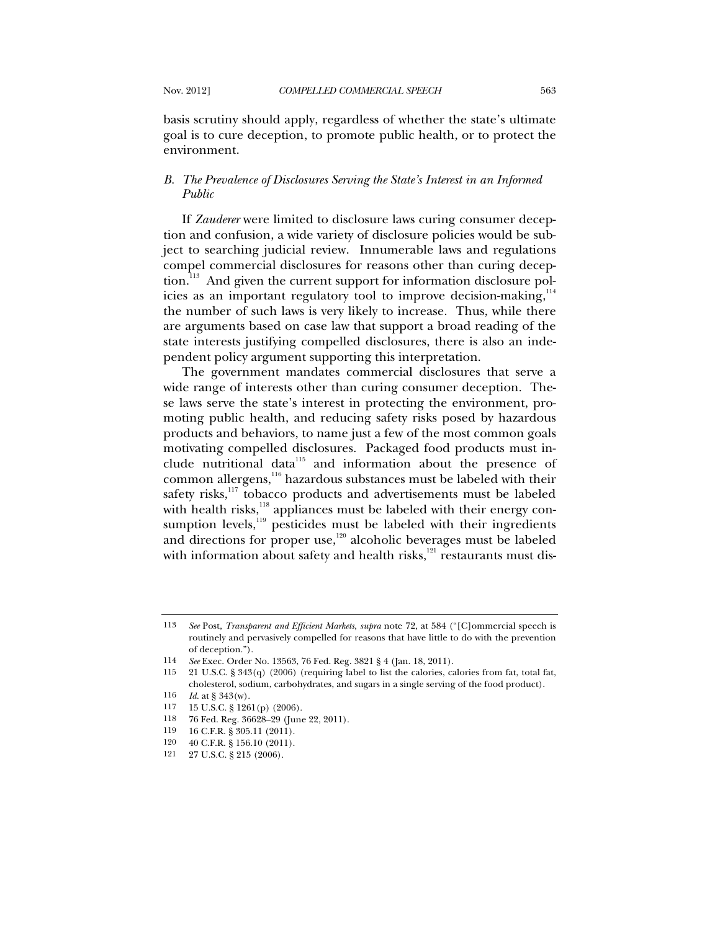basis scrutiny should apply, regardless of whether the state's ultimate goal is to cure deception, to promote public health, or to protect the environment.

## *B. The Prevalence of Disclosures Serving the State's Interest in an Informed Public*

If *Zauderer* were limited to disclosure laws curing consumer deception and confusion, a wide variety of disclosure policies would be subject to searching judicial review. Innumerable laws and regulations compel commercial disclosures for reasons other than curing deception.<sup>113</sup> And given the current support for information disclosure policies as an important regulatory tool to improve decision-making,  $14$ the number of such laws is very likely to increase. Thus, while there are arguments based on case law that support a broad reading of the state interests justifying compelled disclosures, there is also an independent policy argument supporting this interpretation.

The government mandates commercial disclosures that serve a wide range of interests other than curing consumer deception. These laws serve the state's interest in protecting the environment, promoting public health, and reducing safety risks posed by hazardous products and behaviors, to name just a few of the most common goals motivating compelled disclosures. Packaged food products must include nutritional data $115$  and information about the presence of common allergens, $116$  hazardous substances must be labeled with their safety risks,<sup>117</sup> tobacco products and advertisements must be labeled with health risks,<sup>118</sup> appliances must be labeled with their energy consumption levels,<sup>119</sup> pesticides must be labeled with their ingredients and directions for proper use, $120$  alcoholic beverages must be labeled with information about safety and health risks, $121$  restaurants must dis-

- 117 15 U.S.C. § 1261(p) (2006).
- 118 76 Fed. Reg. 36628–29 (June 22, 2011).
- 119 16 C.F.R. § 305.11 (2011).
- 120 40 C.F.R. § 156.10 (2011).
- 121 27 U.S.C. § 215 (2006).

<sup>113</sup> *See* Post, *Transparent and Efficient Markets*, *supra* note 72, at 584 ("[C]ommercial speech is routinely and pervasively compelled for reasons that have little to do with the prevention of deception.").

<sup>114</sup> *See* Exec. Order No. 13563, 76 Fed. Reg. 3821 § 4 (Jan. 18, 2011).

<sup>115 21</sup> U.S.C. § 343(q) (2006) (requiring label to list the calories, calories from fat, total fat, cholesterol, sodium, carbohydrates, and sugars in a single serving of the food product).

<sup>116</sup> *Id.* at § 343(w).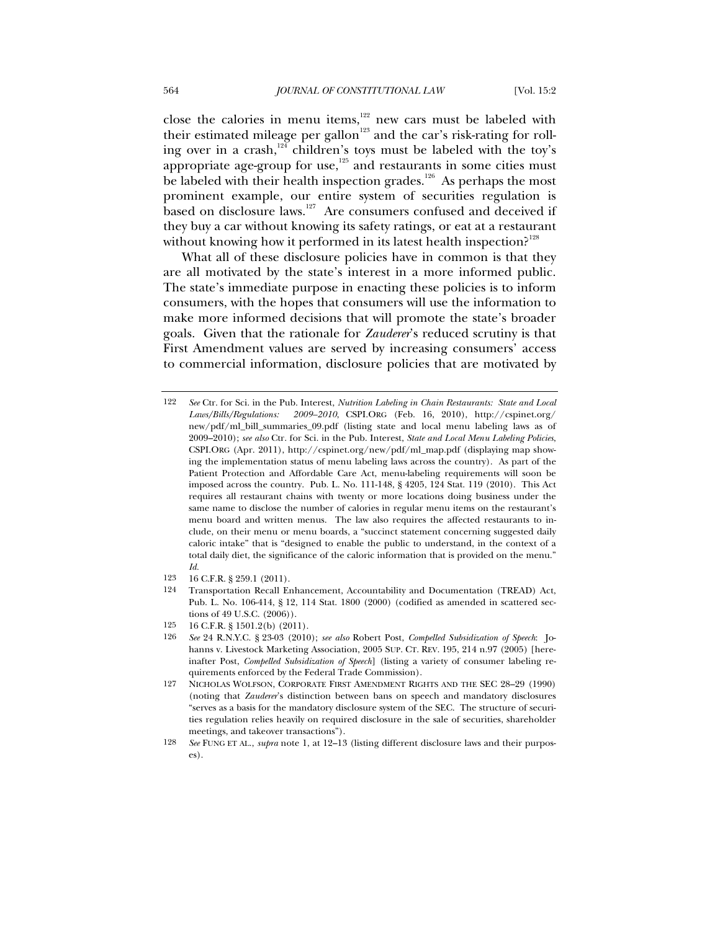close the calories in menu items, $122$  new cars must be labeled with their estimated mileage per gallon<sup>123</sup> and the car's risk-rating for rolling over in a crash, $124$  children's toys must be labeled with the toy's appropriate age-group for use,<sup>125</sup> and restaurants in some cities must be labeled with their health inspection grades.<sup>126</sup> As perhaps the most prominent example, our entire system of securities regulation is based on disclosure laws.<sup>127</sup> Are consumers confused and deceived if they buy a car without knowing its safety ratings, or eat at a restaurant without knowing how it performed in its latest health inspection?<sup>128</sup>

What all of these disclosure policies have in common is that they are all motivated by the state's interest in a more informed public. The state's immediate purpose in enacting these policies is to inform consumers, with the hopes that consumers will use the information to make more informed decisions that will promote the state's broader goals. Given that the rationale for *Zauderer*'s reduced scrutiny is that First Amendment values are served by increasing consumers' access to commercial information, disclosure policies that are motivated by

- 123 16 C.F.R. § 259.1 (2011).
- 124 Transportation Recall Enhancement, Accountability and Documentation (TREAD) Act, Pub. L. No. 106-414, § 12, 114 Stat. 1800 (2000) (codified as amended in scattered sections of 49 U.S.C. (2006)).
- 125 16 C.F.R. § 1501.2(b) (2011).
- 126 *See* 24 R.N.Y.C. § 23-03 (2010); *see also* Robert Post, *Compelled Subsidization of Speech*: Johanns v. Livestock Marketing Association, 2005 SUP. CT. REV. 195, 214 n.97 (2005) [hereinafter Post, *Compelled Subsidization of Speech*] (listing a variety of consumer labeling requirements enforced by the Federal Trade Commission).
- 127 NICHOLAS WOLFSON, CORPORATE FIRST AMENDMENT RIGHTS AND THE SEC 28–29 (1990) (noting that *Zauderer*'s distinction between bans on speech and mandatory disclosures "serves as a basis for the mandatory disclosure system of the SEC. The structure of securities regulation relies heavily on required disclosure in the sale of securities, shareholder meetings, and takeover transactions").
- 128 *See* FUNG ET AL., *supra* note 1, at 12–13 (listing different disclosure laws and their purposes).

<sup>122</sup> *See* Ctr. for Sci. in the Pub. Interest, *Nutrition Labeling in Chain Restaurants: State and Local Laws/Bills/Regulations: 2009–2010*, CSPI.ORG (Feb. 16, 2010), http://cspinet.org/ new/pdf/ml\_bill\_summaries\_09.pdf (listing state and local menu labeling laws as of 2009–2010); *see also* Ctr. for Sci. in the Pub. Interest, *State and Local Menu Labeling Policies*, CSPI.ORG (Apr. 2011), http://cspinet.org/new/pdf/ml\_map.pdf (displaying map showing the implementation status of menu labeling laws across the country). As part of the Patient Protection and Affordable Care Act, menu-labeling requirements will soon be imposed across the country. Pub. L. No. 111-148, § 4205, 124 Stat. 119 (2010). This Act requires all restaurant chains with twenty or more locations doing business under the same name to disclose the number of calories in regular menu items on the restaurant's menu board and written menus. The law also requires the affected restaurants to include, on their menu or menu boards, a "succinct statement concerning suggested daily caloric intake" that is "designed to enable the public to understand, in the context of a total daily diet, the significance of the caloric information that is provided on the menu." *Id.*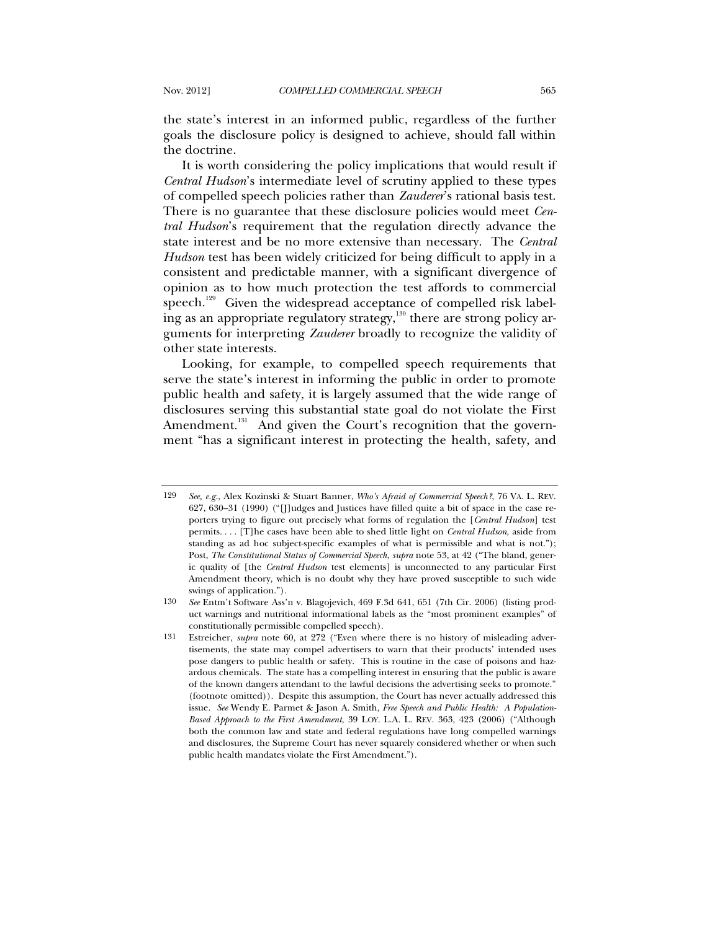the state's interest in an informed public, regardless of the further goals the disclosure policy is designed to achieve, should fall within the doctrine.

It is worth considering the policy implications that would result if *Central Hudson*'s intermediate level of scrutiny applied to these types of compelled speech policies rather than *Zauderer*'s rational basis test. There is no guarantee that these disclosure policies would meet *Central Hudson*'s requirement that the regulation directly advance the state interest and be no more extensive than necessary. The *Central Hudson* test has been widely criticized for being difficult to apply in a consistent and predictable manner, with a significant divergence of opinion as to how much protection the test affords to commercial speech.<sup>129</sup> Given the widespread acceptance of compelled risk labeling as an appropriate regulatory strategy, $\frac{1}{130}$  there are strong policy arguments for interpreting *Zauderer* broadly to recognize the validity of other state interests.

Looking, for example, to compelled speech requirements that serve the state's interest in informing the public in order to promote public health and safety, it is largely assumed that the wide range of disclosures serving this substantial state goal do not violate the First Amendment.<sup>131</sup> And given the Court's recognition that the government "has a significant interest in protecting the health, safety, and

<sup>129</sup> *See, e.g.*, Alex Kozinski & Stuart Banner, *Who's Afraid of Commercial Speech?*, 76 VA. L. REV. 627, 630–31 (1990) ("[J]udges and Justices have filled quite a bit of space in the case reporters trying to figure out precisely what forms of regulation the [*Central Hudson*] test permits. . . . [T]he cases have been able to shed little light on *Central Hudson*, aside from standing as ad hoc subject-specific examples of what is permissible and what is not."); Post, *The Constitutional Status of Commercial Speech*, *supra* note 53, at 42 ("The bland, generic quality of [the *Central Hudson* test elements] is unconnected to any particular First Amendment theory, which is no doubt why they have proved susceptible to such wide swings of application.").

<sup>130</sup> *See* Entm't Software Ass'n v. Blagojevich, 469 F.3d 641, 651 (7th Cir. 2006) (listing product warnings and nutritional informational labels as the "most prominent examples" of constitutionally permissible compelled speech).

<sup>131</sup> Estreicher, *supra* note 60, at 272 ("Even where there is no history of misleading advertisements, the state may compel advertisers to warn that their products' intended uses pose dangers to public health or safety. This is routine in the case of poisons and hazardous chemicals. The state has a compelling interest in ensuring that the public is aware of the known dangers attendant to the lawful decisions the advertising seeks to promote." (footnote omitted)). Despite this assumption, the Court has never actually addressed this issue. *See* Wendy E. Parmet & Jason A. Smith, *Free Speech and Public Health: A Population-Based Approach to the First Amendment*, 39 LOY. L.A. L. REV. 363, 423 (2006) ("Although both the common law and state and federal regulations have long compelled warnings and disclosures, the Supreme Court has never squarely considered whether or when such public health mandates violate the First Amendment.").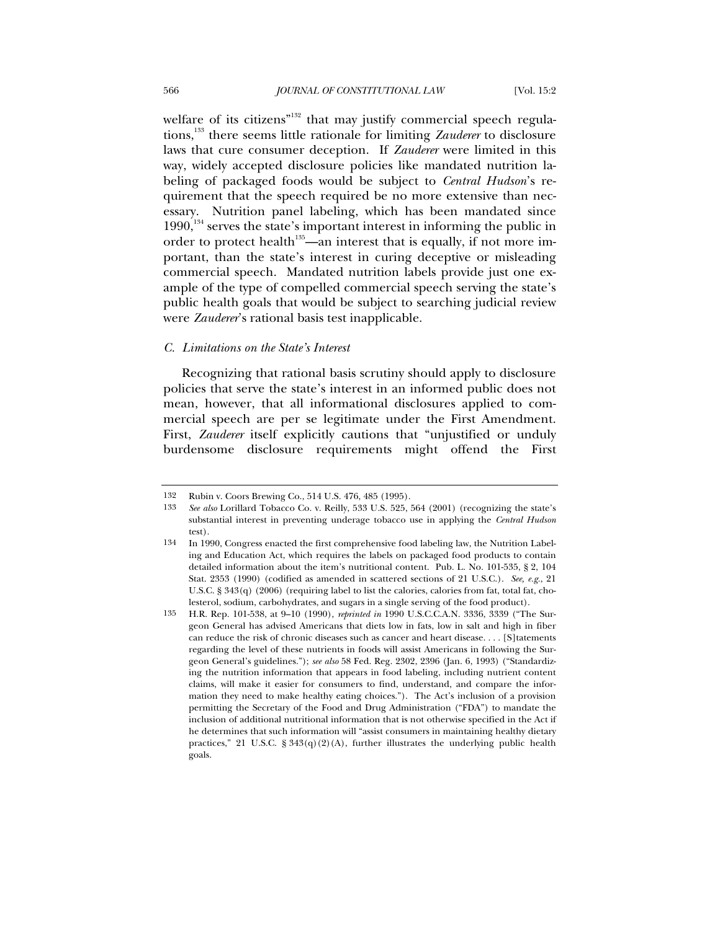welfare of its citizens<sup>"132</sup> that may justify commercial speech regulations,133 there seems little rationale for limiting *Zauderer* to disclosure laws that cure consumer deception. If *Zauderer* were limited in this way, widely accepted disclosure policies like mandated nutrition labeling of packaged foods would be subject to *Central Hudson*'s requirement that the speech required be no more extensive than necessary. Nutrition panel labeling, which has been mandated since  $1990$ ,<sup>134</sup> serves the state's important interest in informing the public in order to protect health<sup>135</sup>—an interest that is equally, if not more important, than the state's interest in curing deceptive or misleading commercial speech. Mandated nutrition labels provide just one example of the type of compelled commercial speech serving the state's public health goals that would be subject to searching judicial review were *Zauderer*'s rational basis test inapplicable.

### *C. Limitations on the State's Interest*

Recognizing that rational basis scrutiny should apply to disclosure policies that serve the state's interest in an informed public does not mean, however, that all informational disclosures applied to commercial speech are per se legitimate under the First Amendment. First, *Zauderer* itself explicitly cautions that "unjustified or unduly burdensome disclosure requirements might offend the First

<sup>132</sup> Rubin v. Coors Brewing Co., 514 U.S. 476, 485 (1995).

<sup>133</sup> *See also* Lorillard Tobacco Co. v. Reilly, 533 U.S. 525, 564 (2001) (recognizing the state's substantial interest in preventing underage tobacco use in applying the *Central Hudson*  test).

<sup>134</sup> In 1990, Congress enacted the first comprehensive food labeling law, the Nutrition Labeling and Education Act, which requires the labels on packaged food products to contain detailed information about the item's nutritional content. Pub. L. No. 101-535, § 2, 104 Stat. 2353 (1990) (codified as amended in scattered sections of 21 U.S.C.). *See, e.g.*, 21 U.S.C. § 343(q) (2006) (requiring label to list the calories, calories from fat, total fat, cholesterol, sodium, carbohydrates, and sugars in a single serving of the food product).

<sup>135</sup> H.R. Rep. 101-538, at 9–10 (1990), *reprinted in* 1990 U.S.C.C.A.N. 3336, 3339 ("The Surgeon General has advised Americans that diets low in fats, low in salt and high in fiber can reduce the risk of chronic diseases such as cancer and heart disease.... [S]tatements regarding the level of these nutrients in foods will assist Americans in following the Surgeon General's guidelines."); *see also* 58 Fed. Reg. 2302, 2396 (Jan. 6, 1993) ("Standardizing the nutrition information that appears in food labeling, including nutrient content claims, will make it easier for consumers to find, understand, and compare the information they need to make healthy eating choices."). The Act's inclusion of a provision permitting the Secretary of the Food and Drug Administration ("FDA") to mandate the inclusion of additional nutritional information that is not otherwise specified in the Act if he determines that such information will "assist consumers in maintaining healthy dietary practices," 21 U.S.C. § 343(q)(2)(A), further illustrates the underlying public health goals.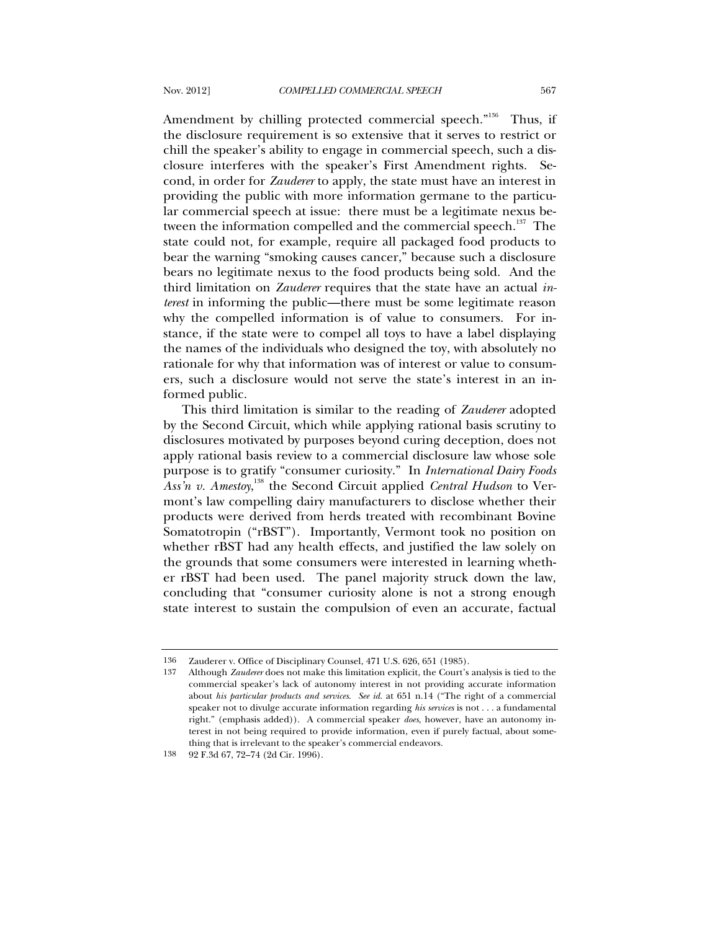Amendment by chilling protected commercial speech."<sup>136</sup> Thus, if the disclosure requirement is so extensive that it serves to restrict or chill the speaker's ability to engage in commercial speech, such a disclosure interferes with the speaker's First Amendment rights. Second, in order for *Zauderer* to apply, the state must have an interest in providing the public with more information germane to the particular commercial speech at issue: there must be a legitimate nexus between the information compelled and the commercial speech.<sup>137</sup> The state could not, for example, require all packaged food products to bear the warning "smoking causes cancer," because such a disclosure bears no legitimate nexus to the food products being sold. And the third limitation on *Zauderer* requires that the state have an actual *interest* in informing the public—there must be some legitimate reason why the compelled information is of value to consumers. For instance, if the state were to compel all toys to have a label displaying the names of the individuals who designed the toy, with absolutely no rationale for why that information was of interest or value to consumers, such a disclosure would not serve the state's interest in an informed public.

This third limitation is similar to the reading of *Zauderer* adopted by the Second Circuit, which while applying rational basis scrutiny to disclosures motivated by purposes beyond curing deception, does not apply rational basis review to a commercial disclosure law whose sole purpose is to gratify "consumer curiosity." In *International Dairy Foods*  Ass'n v. Amestoy,<sup>138</sup> the Second Circuit applied *Central Hudson* to Vermont's law compelling dairy manufacturers to disclose whether their products were derived from herds treated with recombinant Bovine Somatotropin ("rBST"). Importantly, Vermont took no position on whether rBST had any health effects, and justified the law solely on the grounds that some consumers were interested in learning whether rBST had been used. The panel majority struck down the law, concluding that "consumer curiosity alone is not a strong enough state interest to sustain the compulsion of even an accurate, factual

<sup>136</sup> Zauderer v. Office of Disciplinary Counsel, 471 U.S. 626, 651 (1985).

<sup>137</sup> Although *Zauderer* does not make this limitation explicit, the Court's analysis is tied to the commercial speaker's lack of autonomy interest in not providing accurate information about *his particular products and services*. *See id.* at 651 n.14 ("The right of a commercial speaker not to divulge accurate information regarding *his services* is not . . . a fundamental right." (emphasis added)). A commercial speaker *does*, however, have an autonomy interest in not being required to provide information, even if purely factual, about something that is irrelevant to the speaker's commercial endeavors.

<sup>138 92</sup> F.3d 67, 72–74 (2d Cir. 1996).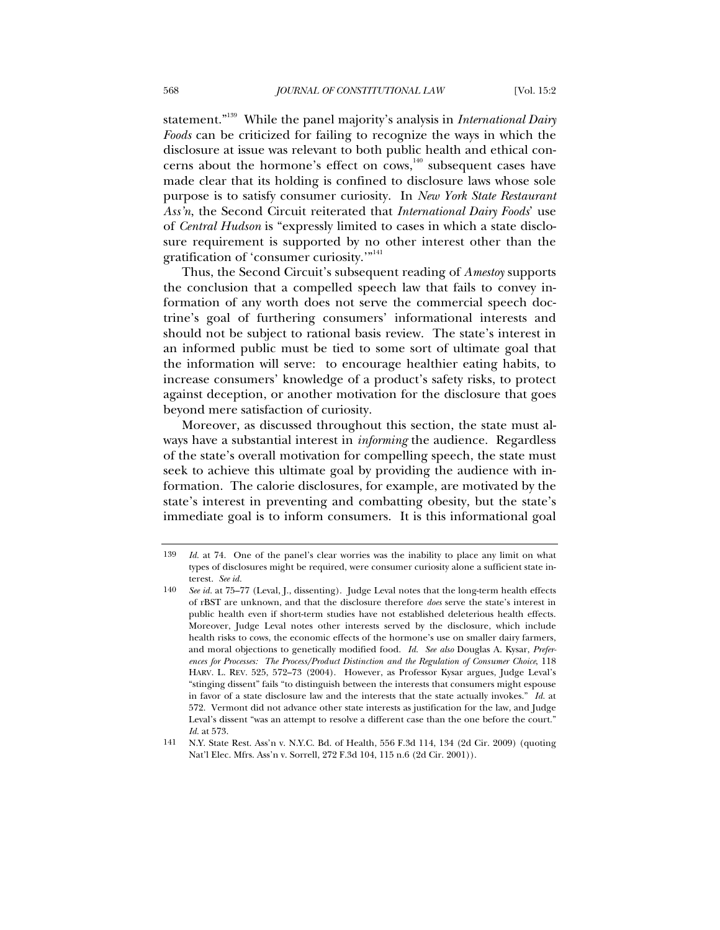statement."139 While the panel majority's analysis in *International Dairy Foods* can be criticized for failing to recognize the ways in which the disclosure at issue was relevant to both public health and ethical concerns about the hormone's effect on  $\cos$ ,<sup>140</sup> subsequent cases have made clear that its holding is confined to disclosure laws whose sole purpose is to satisfy consumer curiosity. In *New York State Restaurant Ass'n*, the Second Circuit reiterated that *International Dairy Foods*' use of *Central Hudson* is "expressly limited to cases in which a state disclosure requirement is supported by no other interest other than the gratification of 'consumer curiosity.'"<sup>141</sup>

Thus, the Second Circuit's subsequent reading of *Amestoy* supports the conclusion that a compelled speech law that fails to convey information of any worth does not serve the commercial speech doctrine's goal of furthering consumers' informational interests and should not be subject to rational basis review. The state's interest in an informed public must be tied to some sort of ultimate goal that the information will serve: to encourage healthier eating habits, to increase consumers' knowledge of a product's safety risks, to protect against deception, or another motivation for the disclosure that goes beyond mere satisfaction of curiosity.

Moreover, as discussed throughout this section, the state must always have a substantial interest in *informing* the audience. Regardless of the state's overall motivation for compelling speech, the state must seek to achieve this ultimate goal by providing the audience with information. The calorie disclosures, for example, are motivated by the state's interest in preventing and combatting obesity, but the state's immediate goal is to inform consumers. It is this informational goal

<sup>139</sup> *Id.* at 74. One of the panel's clear worries was the inability to place any limit on what types of disclosures might be required, were consumer curiosity alone a sufficient state interest. *See id.*

<sup>140</sup> *See id.* at 75–77 (Leval, J., dissenting). Judge Leval notes that the long-term health effects of rBST are unknown, and that the disclosure therefore *does* serve the state's interest in public health even if short-term studies have not established deleterious health effects. Moreover, Judge Leval notes other interests served by the disclosure, which include health risks to cows, the economic effects of the hormone's use on smaller dairy farmers, and moral objections to genetically modified food. *Id. See also* Douglas A. Kysar, *Preferences for Processes: The Process/Product Distinction and the Regulation of Consumer Choice*, 118 HARV. L. REV. 525, 572–73 (2004). However, as Professor Kysar argues, Judge Leval's "stinging dissent" fails "to distinguish between the interests that consumers might espouse in favor of a state disclosure law and the interests that the state actually invokes." *Id.* at 572. Vermont did not advance other state interests as justification for the law, and Judge Leval's dissent "was an attempt to resolve a different case than the one before the court." *Id.* at 573.

<sup>141</sup> N.Y. State Rest. Ass'n v. N.Y.C. Bd. of Health, 556 F.3d 114, 134 (2d Cir. 2009) (quoting Nat'l Elec. Mfrs. Ass'n v. Sorrell, 272 F.3d 104, 115 n.6 (2d Cir. 2001)).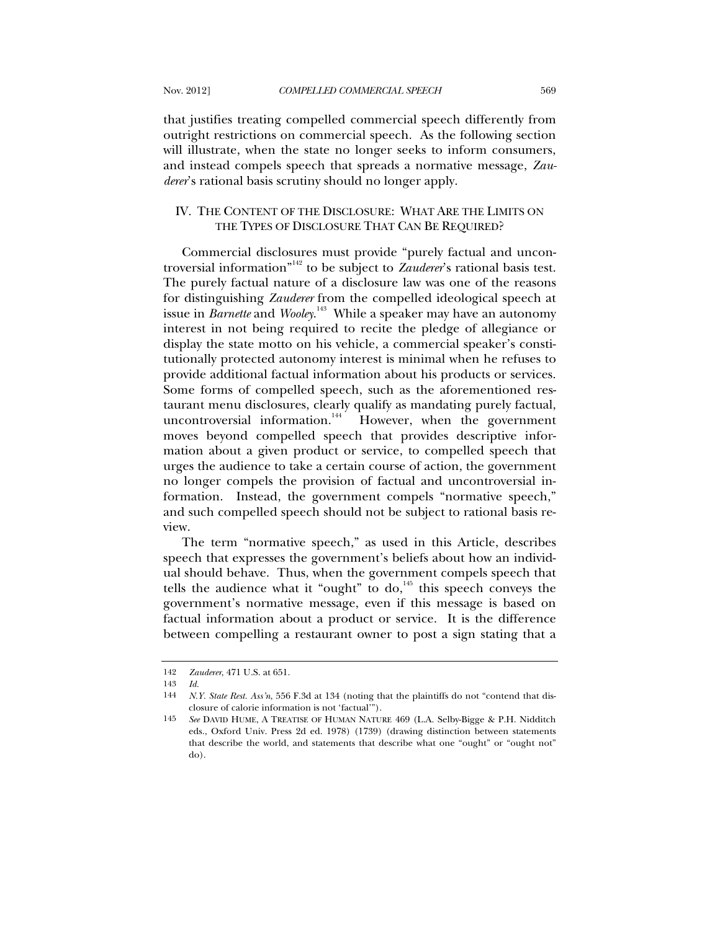that justifies treating compelled commercial speech differently from outright restrictions on commercial speech. As the following section will illustrate, when the state no longer seeks to inform consumers, and instead compels speech that spreads a normative message, *Zauderer*'s rational basis scrutiny should no longer apply.

## IV. THE CONTENT OF THE DISCLOSURE: WHAT ARE THE LIMITS ON THE TYPES OF DISCLOSURE THAT CAN BE REQUIRED?

Commercial disclosures must provide "purely factual and uncontroversial information"142 to be subject to *Zauderer*'s rational basis test. The purely factual nature of a disclosure law was one of the reasons for distinguishing *Zauderer* from the compelled ideological speech at issue in *Barnette* and *Wooley*. 143 While a speaker may have an autonomy interest in not being required to recite the pledge of allegiance or display the state motto on his vehicle, a commercial speaker's constitutionally protected autonomy interest is minimal when he refuses to provide additional factual information about his products or services. Some forms of compelled speech, such as the aforementioned restaurant menu disclosures, clearly qualify as mandating purely factual, uncontroversial information. $\frac{144}{100}$  However, when the government moves beyond compelled speech that provides descriptive information about a given product or service, to compelled speech that urges the audience to take a certain course of action, the government no longer compels the provision of factual and uncontroversial information. Instead, the government compels "normative speech," and such compelled speech should not be subject to rational basis review.

The term "normative speech," as used in this Article, describes speech that expresses the government's beliefs about how an individual should behave. Thus, when the government compels speech that tells the audience what it "ought" to do, $145$  this speech conveys the government's normative message, even if this message is based on factual information about a product or service. It is the difference between compelling a restaurant owner to post a sign stating that a

<sup>142</sup> *Zauderer*, 471 U.S. at 651.

<sup>143</sup> *Id.*

<sup>144</sup> *N.Y. State Rest. Ass'n*, 556 F.3d at 134 (noting that the plaintiffs do not "contend that disclosure of calorie information is not 'factual'").

<sup>145</sup> *See* DAVID HUME, A TREATISE OF HUMAN NATURE 469 (L.A. Selby-Bigge & P.H. Nidditch eds., Oxford Univ. Press 2d ed. 1978) (1739) (drawing distinction between statements that describe the world, and statements that describe what one "ought" or "ought not" do).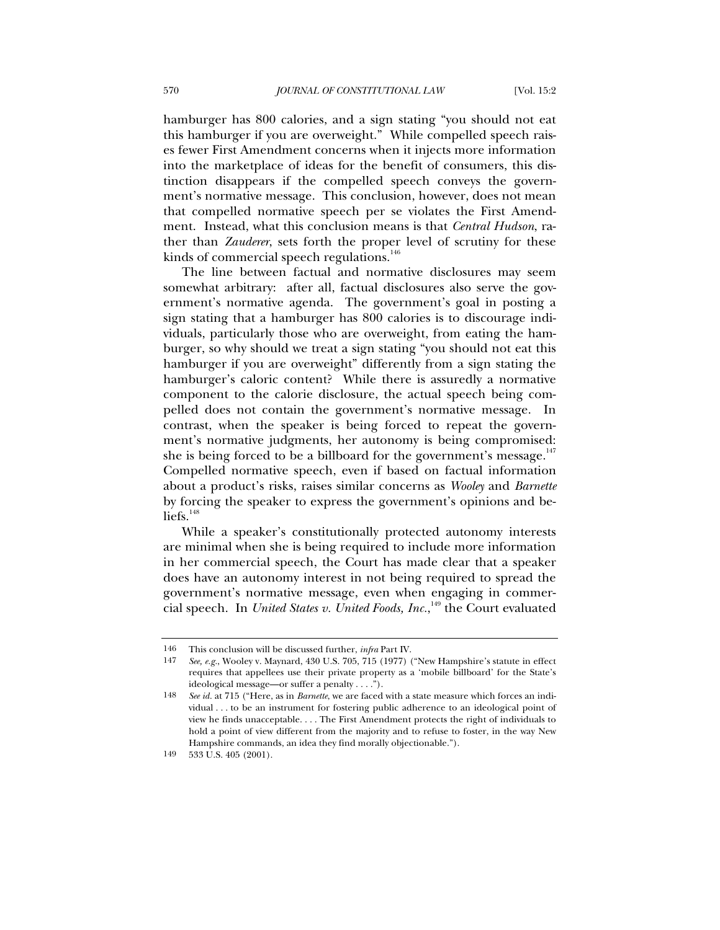hamburger has 800 calories, and a sign stating "you should not eat this hamburger if you are overweight." While compelled speech raises fewer First Amendment concerns when it injects more information into the marketplace of ideas for the benefit of consumers, this distinction disappears if the compelled speech conveys the government's normative message. This conclusion, however, does not mean that compelled normative speech per se violates the First Amendment. Instead, what this conclusion means is that *Central Hudson*, rather than *Zauderer*, sets forth the proper level of scrutiny for these kinds of commercial speech regulations. $146$ 

The line between factual and normative disclosures may seem somewhat arbitrary: after all, factual disclosures also serve the government's normative agenda. The government's goal in posting a sign stating that a hamburger has 800 calories is to discourage individuals, particularly those who are overweight, from eating the hamburger, so why should we treat a sign stating "you should not eat this hamburger if you are overweight" differently from a sign stating the hamburger's caloric content? While there is assuredly a normative component to the calorie disclosure, the actual speech being compelled does not contain the government's normative message. In contrast, when the speaker is being forced to repeat the government's normative judgments, her autonomy is being compromised: she is being forced to be a billboard for the government's message. $147$ Compelled normative speech, even if based on factual information about a product's risks, raises similar concerns as *Wooley* and *Barnette*  by forcing the speaker to express the government's opinions and be $liefs.<sup>148</sup>$ 

While a speaker's constitutionally protected autonomy interests are minimal when she is being required to include more information in her commercial speech, the Court has made clear that a speaker does have an autonomy interest in not being required to spread the government's normative message, even when engaging in commercial speech. In *United States v. United Foods, Inc.*,<sup>149</sup> the Court evaluated

<sup>146</sup> This conclusion will be discussed further, *infra* Part IV.

<sup>147</sup> *See, e.g.*, Wooley v. Maynard, 430 U.S. 705, 715 (1977) ("New Hampshire's statute in effect requires that appellees use their private property as a 'mobile billboard' for the State's ideological message—or suffer a penalty . . . .").

<sup>148</sup> *See id.* at 715 ("Here, as in *Barnette*, we are faced with a state measure which forces an individual . . . to be an instrument for fostering public adherence to an ideological point of view he finds unacceptable. . . . The First Amendment protects the right of individuals to hold a point of view different from the majority and to refuse to foster, in the way New Hampshire commands, an idea they find morally objectionable.").

<sup>149 533</sup> U.S. 405 (2001).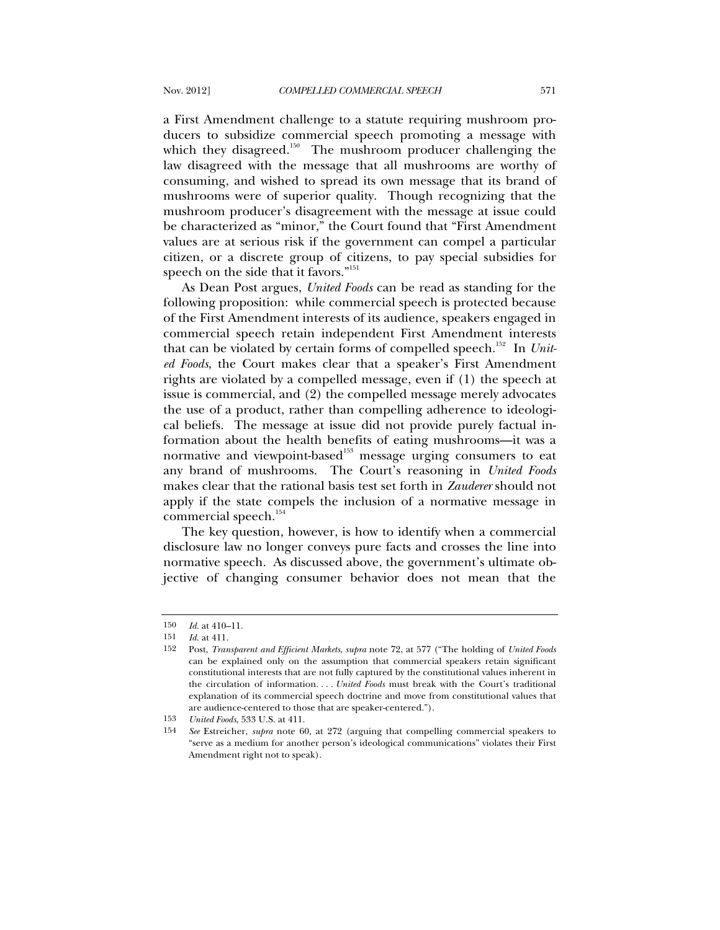a First Amendment challenge to a statute requiring mushroom producers to subsidize commercial speech promoting a message with which they disagreed.<sup>150</sup> The mushroom producer challenging the law disagreed with the message that all mushrooms are worthy of consuming, and wished to spread its own message that its brand of mushrooms were of superior quality. Though recognizing that the mushroom producer's disagreement with the message at issue could be characterized as "minor," the Court found that "First Amendment values are at serious risk if the government can compel a particular citizen, or a discrete group of citizens, to pay special subsidies for speech on the side that it favors."<sup>151</sup>

As Dean Post argues, *United Foods* can be read as standing for the following proposition: while commercial speech is protected because of the First Amendment interests of its audience, speakers engaged in commercial speech retain independent First Amendment interests that can be violated by certain forms of compelled speech.<sup>152</sup> In *United Foods*, the Court makes clear that a speaker's First Amendment rights are violated by a compelled message, even if (1) the speech at issue is commercial, and (2) the compelled message merely advocates the use of a product, rather than compelling adherence to ideological beliefs. The message at issue did not provide purely factual information about the health benefits of eating mushrooms—it was a normative and viewpoint-based<sup>153</sup> message urging consumers to eat any brand of mushrooms. The Court's reasoning in *United Foods*  makes clear that the rational basis test set forth in *Zauderer* should not apply if the state compels the inclusion of a normative message in commercial speech.<sup>154</sup>

The key question, however, is how to identify when a commercial disclosure law no longer conveys pure facts and crosses the line into normative speech. As discussed above, the government's ultimate objective of changing consumer behavior does not mean that the

<sup>150</sup> *Id.* at 410–11.

<sup>151</sup> *Id.* at 411.

<sup>152</sup> Post, *Transparent and Efficient Markets*, *supra* note 72, at 577 ("The holding of *United Foods*  can be explained only on the assumption that commercial speakers retain significant constitutional interests that are not fully captured by the constitutional values inherent in the circulation of information. . . . *United Foods* must break with the Court's traditional explanation of its commercial speech doctrine and move from constitutional values that are audience-centered to those that are speaker-centered.").

<sup>153</sup> *United Foods*, 533 U.S. at 411.

<sup>154</sup> *See* Estreicher, *supra* note 60, at 272 (arguing that compelling commercial speakers to "serve as a medium for another person's ideological communications" violates their First Amendment right not to speak).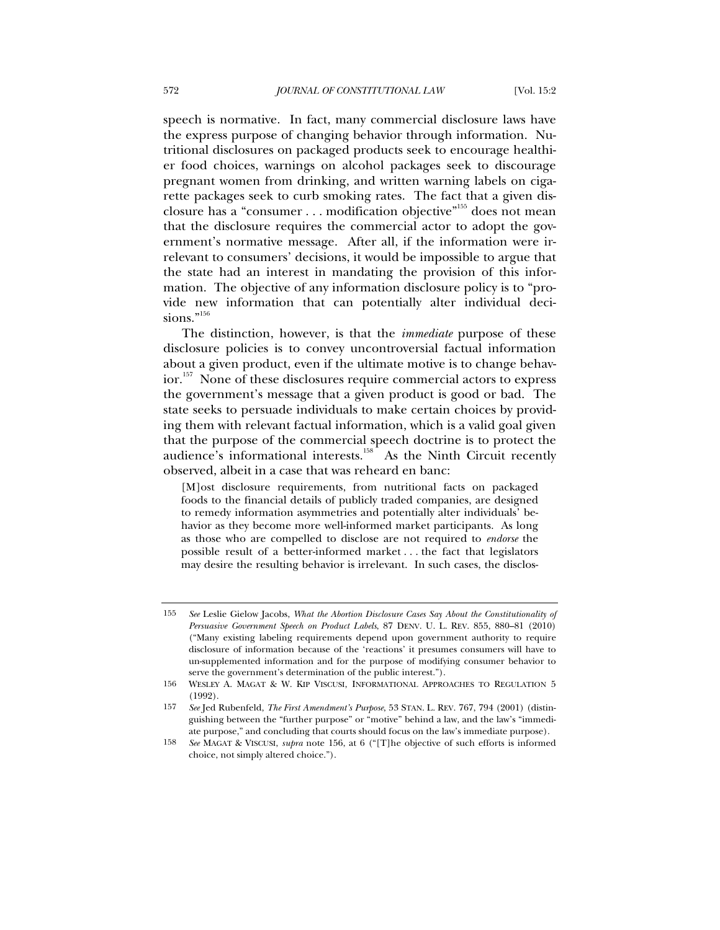speech is normative. In fact, many commercial disclosure laws have the express purpose of changing behavior through information. Nutritional disclosures on packaged products seek to encourage healthier food choices, warnings on alcohol packages seek to discourage pregnant women from drinking, and written warning labels on cigarette packages seek to curb smoking rates. The fact that a given disclosure has a "consumer . . . modification objective"155 does not mean that the disclosure requires the commercial actor to adopt the government's normative message. After all, if the information were irrelevant to consumers' decisions, it would be impossible to argue that the state had an interest in mandating the provision of this information. The objective of any information disclosure policy is to "provide new information that can potentially alter individual decisions."<sup>156</sup>

The distinction, however, is that the *immediate* purpose of these disclosure policies is to convey uncontroversial factual information about a given product, even if the ultimate motive is to change behavior.157 None of these disclosures require commercial actors to express the government's message that a given product is good or bad. The state seeks to persuade individuals to make certain choices by providing them with relevant factual information, which is a valid goal given that the purpose of the commercial speech doctrine is to protect the audience's informational interests. $158$  As the Ninth Circuit recently observed, albeit in a case that was reheard en banc:

[M]ost disclosure requirements, from nutritional facts on packaged foods to the financial details of publicly traded companies, are designed to remedy information asymmetries and potentially alter individuals' behavior as they become more well-informed market participants. As long as those who are compelled to disclose are not required to *endorse* the possible result of a better-informed market . . . the fact that legislators may desire the resulting behavior is irrelevant. In such cases, the disclos-

<sup>155</sup> *See* Leslie Gielow Jacobs, *What the Abortion Disclosure Cases Say About the Constitutionality of Persuasive Government Speech on Product Labels*, 87 DENV. U. L. REV. 855, 880–81 (2010) ("Many existing labeling requirements depend upon government authority to require disclosure of information because of the 'reactions' it presumes consumers will have to un-supplemented information and for the purpose of modifying consumer behavior to serve the government's determination of the public interest.").

<sup>156</sup> WESLEY A. MAGAT & W. KIP VISCUSI, INFORMATIONAL APPROACHES TO REGULATION 5 (1992).

<sup>157</sup> *See* Jed Rubenfeld, *The First Amendment's Purpose*, 53 STAN. L. REV. 767, 794 (2001) (distinguishing between the "further purpose" or "motive" behind a law, and the law's "immediate purpose," and concluding that courts should focus on the law's immediate purpose).

<sup>158</sup> *See* MAGAT & VISCUSI, *supra* note 156, at 6 ("[T]he objective of such efforts is informed choice, not simply altered choice.").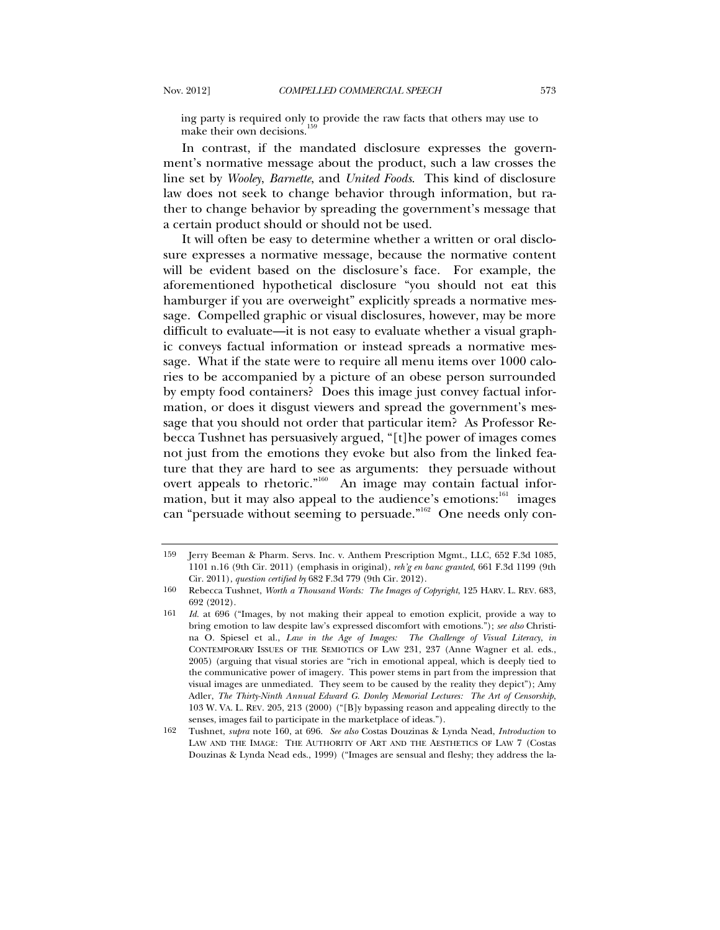ing party is required only to provide the raw facts that others may use to make their own decisions.<sup>1</sup>

In contrast, if the mandated disclosure expresses the government's normative message about the product, such a law crosses the line set by *Wooley*, *Barnette*, and *United Foods*. This kind of disclosure law does not seek to change behavior through information, but rather to change behavior by spreading the government's message that a certain product should or should not be used.

It will often be easy to determine whether a written or oral disclosure expresses a normative message, because the normative content will be evident based on the disclosure's face. For example, the aforementioned hypothetical disclosure "you should not eat this hamburger if you are overweight" explicitly spreads a normative message. Compelled graphic or visual disclosures, however, may be more difficult to evaluate—it is not easy to evaluate whether a visual graphic conveys factual information or instead spreads a normative message. What if the state were to require all menu items over 1000 calories to be accompanied by a picture of an obese person surrounded by empty food containers? Does this image just convey factual information, or does it disgust viewers and spread the government's message that you should not order that particular item? As Professor Rebecca Tushnet has persuasively argued, "[t]he power of images comes not just from the emotions they evoke but also from the linked feature that they are hard to see as arguments: they persuade without overt appeals to rhetoric."<sup>160</sup> An image may contain factual information, but it may also appeal to the audience's emotions:<sup>161</sup> images can "persuade without seeming to persuade."<sup>162</sup> One needs only con-

<sup>159</sup> Jerry Beeman & Pharm. Servs. Inc. v. Anthem Prescription Mgmt., LLC, 652 F.3d 1085, 1101 n.16 (9th Cir. 2011) (emphasis in original), *reh'g en banc granted*, 661 F.3d 1199 (9th Cir. 2011), *question certified by* 682 F.3d 779 (9th Cir. 2012).

<sup>160</sup> Rebecca Tushnet, *Worth a Thousand Words: The Images of Copyright*, 125 HARV. L. REV. 683, 692 (2012).

<sup>161</sup> *Id.* at 696 ("Images, by not making their appeal to emotion explicit, provide a way to bring emotion to law despite law's expressed discomfort with emotions."); *see also* Christina O. Spiesel et al., *Law in the Age of Images: The Challenge of Visual Literacy*, *in* CONTEMPORARY ISSUES OF THE SEMIOTICS OF LAW 231, 237 (Anne Wagner et al. eds., 2005) (arguing that visual stories are "rich in emotional appeal, which is deeply tied to the communicative power of imagery. This power stems in part from the impression that visual images are unmediated. They seem to be caused by the reality they depict"); Amy Adler, *The Thirty-Ninth Annual Edward G. Donley Memorial Lectures: The Art of Censorship*, 103 W. VA. L. REV. 205, 213 (2000) ("[B]y bypassing reason and appealing directly to the senses, images fail to participate in the marketplace of ideas.").

<sup>162</sup> Tushnet, *supra* note 160, at 696. *See also* Costas Douzinas & Lynda Nead, *Introduction* to LAW AND THE IMAGE: THE AUTHORITY OF ART AND THE AESTHETICS OF LAW 7 (Costas Douzinas & Lynda Nead eds., 1999) ("Images are sensual and fleshy; they address the la-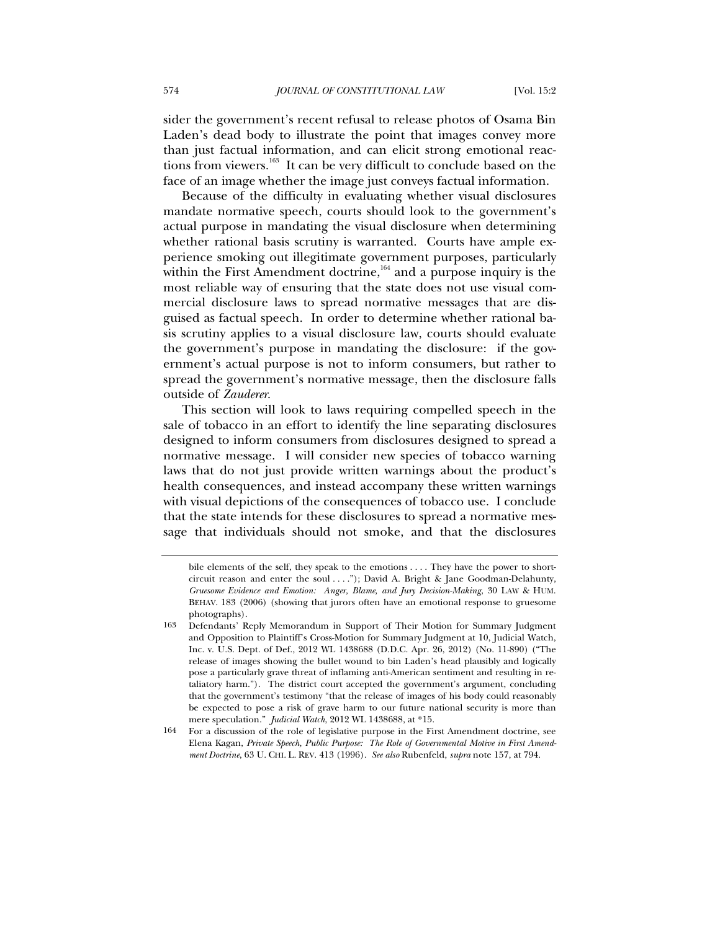sider the government's recent refusal to release photos of Osama Bin Laden's dead body to illustrate the point that images convey more than just factual information, and can elicit strong emotional reactions from viewers.<sup>163</sup> It can be very difficult to conclude based on the face of an image whether the image just conveys factual information.

Because of the difficulty in evaluating whether visual disclosures mandate normative speech, courts should look to the government's actual purpose in mandating the visual disclosure when determining whether rational basis scrutiny is warranted. Courts have ample experience smoking out illegitimate government purposes, particularly within the First Amendment doctrine, $164$  and a purpose inquiry is the most reliable way of ensuring that the state does not use visual commercial disclosure laws to spread normative messages that are disguised as factual speech. In order to determine whether rational basis scrutiny applies to a visual disclosure law, courts should evaluate the government's purpose in mandating the disclosure: if the government's actual purpose is not to inform consumers, but rather to spread the government's normative message, then the disclosure falls outside of *Zauderer*.

This section will look to laws requiring compelled speech in the sale of tobacco in an effort to identify the line separating disclosures designed to inform consumers from disclosures designed to spread a normative message. I will consider new species of tobacco warning laws that do not just provide written warnings about the product's health consequences, and instead accompany these written warnings with visual depictions of the consequences of tobacco use. I conclude that the state intends for these disclosures to spread a normative message that individuals should not smoke, and that the disclosures

bile elements of the self, they speak to the emotions . . . . They have the power to shortcircuit reason and enter the soul . . . ."); David A. Bright & Jane Goodman-Delahunty, *Gruesome Evidence and Emotion: Anger, Blame, and Jury Decision-Making*, 30 LAW & HUM. BEHAV. 183 (2006) (showing that jurors often have an emotional response to gruesome photographs).

<sup>163</sup> Defendants' Reply Memorandum in Support of Their Motion for Summary Judgment and Opposition to Plaintiff's Cross-Motion for Summary Judgment at 10, Judicial Watch, Inc. v. U.S. Dept. of Def., 2012 WL 1438688 (D.D.C. Apr. 26, 2012) (No. 11-890) ("The release of images showing the bullet wound to bin Laden's head plausibly and logically pose a particularly grave threat of inflaming anti-American sentiment and resulting in retaliatory harm."). The district court accepted the government's argument, concluding that the government's testimony "that the release of images of his body could reasonably be expected to pose a risk of grave harm to our future national security is more than mere speculation." *Judicial Watch*, 2012 WL 1438688, at \*15.

<sup>164</sup> For a discussion of the role of legislative purpose in the First Amendment doctrine, see Elena Kagan, *Private Speech, Public Purpose: The Role of Governmental Motive in First Amendment Doctrine*, 63 U. CHI. L. REV. 413 (1996). *See also* Rubenfeld, *supra* note 157, at 794.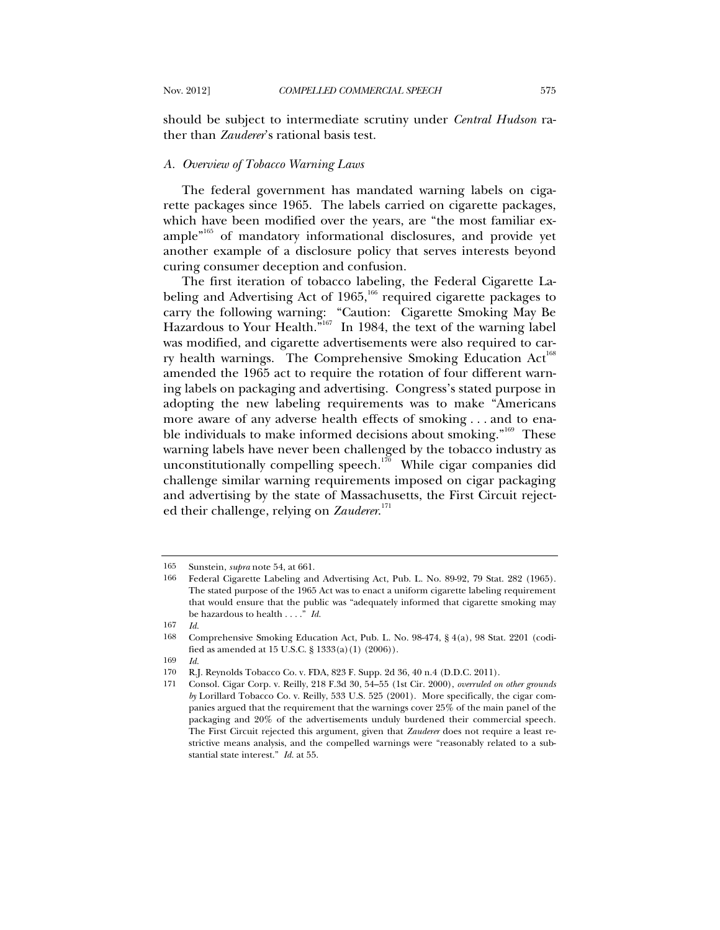should be subject to intermediate scrutiny under *Central Hudson* rather than *Zauderer*'s rational basis test.

## *A. Overview of Tobacco Warning Laws*

The federal government has mandated warning labels on cigarette packages since 1965. The labels carried on cigarette packages, which have been modified over the years, are "the most familiar example"165 of mandatory informational disclosures, and provide yet another example of a disclosure policy that serves interests beyond curing consumer deception and confusion.

The first iteration of tobacco labeling, the Federal Cigarette Labeling and Advertising Act of 1965,<sup>166</sup> required cigarette packages to carry the following warning: "Caution: Cigarette Smoking May Be Hazardous to Your Health.<sup>"167</sup> In 1984, the text of the warning label was modified, and cigarette advertisements were also required to carry health warnings. The Comprehensive Smoking Education  $Act^{168}$ amended the 1965 act to require the rotation of four different warning labels on packaging and advertising. Congress's stated purpose in adopting the new labeling requirements was to make "Americans more aware of any adverse health effects of smoking . . . and to enable individuals to make informed decisions about smoking."<sup>169</sup> These warning labels have never been challenged by the tobacco industry as unconstitutionally compelling speech.<sup>170</sup> While cigar companies did challenge similar warning requirements imposed on cigar packaging and advertising by the state of Massachusetts, the First Circuit rejected their challenge, relying on *Zauderer*. 171

<sup>165</sup> Sunstein, *supra* note 54, at 661.

<sup>166</sup> Federal Cigarette Labeling and Advertising Act, Pub. L. No. 89-92, 79 Stat. 282 (1965). The stated purpose of the 1965 Act was to enact a uniform cigarette labeling requirement that would ensure that the public was "adequately informed that cigarette smoking may be hazardous to health . . . ." *Id.*

<sup>167</sup> *Id.*

<sup>168</sup> Comprehensive Smoking Education Act, Pub. L. No. 98-474, § 4(a), 98 Stat. 2201 (codified as amended at 15 U.S.C. § 1333(a)(1) (2006)).

<sup>169</sup> *Id.*

<sup>170</sup> R.J. Reynolds Tobacco Co. v. FDA, 823 F. Supp. 2d 36, 40 n.4 (D.D.C. 2011).

<sup>171</sup> Consol. Cigar Corp. v. Reilly, 218 F.3d 30, 54–55 (1st Cir. 2000), *overruled on other grounds by* Lorillard Tobacco Co. v. Reilly, 533 U.S. 525 (2001). More specifically, the cigar companies argued that the requirement that the warnings cover 25% of the main panel of the packaging and 20% of the advertisements unduly burdened their commercial speech. The First Circuit rejected this argument, given that *Zauderer* does not require a least restrictive means analysis, and the compelled warnings were "reasonably related to a substantial state interest." *Id.* at 55.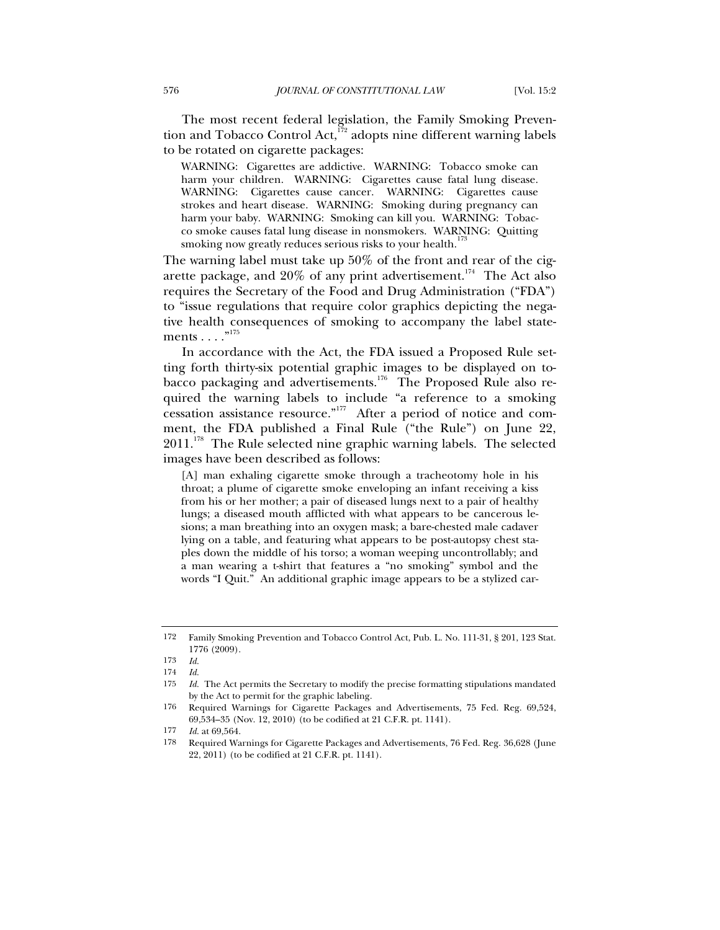The most recent federal legislation, the Family Smoking Prevention and Tobacco Control Act,<sup>172</sup> adopts nine different warning labels to be rotated on cigarette packages:

WARNING: Cigarettes are addictive. WARNING: Tobacco smoke can harm your children. WARNING: Cigarettes cause fatal lung disease. WARNING: Cigarettes cause cancer. WARNING: Cigarettes cause strokes and heart disease. WARNING: Smoking during pregnancy can harm your baby. WARNING: Smoking can kill you. WARNING: Tobacco smoke causes fatal lung disease in nonsmokers. WARNING: Quitting smoking now greatly reduces serious risks to your health.<sup>17</sup>

The warning label must take up 50% of the front and rear of the cigarette package, and  $20\%$  of any print advertisement.<sup>174</sup> The Act also requires the Secretary of the Food and Drug Administration ("FDA") to "issue regulations that require color graphics depicting the negative health consequences of smoking to accompany the label statements  $\dots$ ."175

In accordance with the Act, the FDA issued a Proposed Rule setting forth thirty-six potential graphic images to be displayed on tobacco packaging and advertisements.<sup>176</sup> The Proposed Rule also required the warning labels to include "a reference to a smoking cessation assistance resource."<sup>177</sup> After a period of notice and comment, the FDA published a Final Rule ("the Rule") on June 22,  $2011.^{178}$  The Rule selected nine graphic warning labels. The selected images have been described as follows:

[A] man exhaling cigarette smoke through a tracheotomy hole in his throat; a plume of cigarette smoke enveloping an infant receiving a kiss from his or her mother; a pair of diseased lungs next to a pair of healthy lungs; a diseased mouth afflicted with what appears to be cancerous lesions; a man breathing into an oxygen mask; a bare-chested male cadaver lying on a table, and featuring what appears to be post-autopsy chest staples down the middle of his torso; a woman weeping uncontrollably; and a man wearing a t-shirt that features a "no smoking" symbol and the words "I Quit." An additional graphic image appears to be a stylized car-

<sup>172</sup> Family Smoking Prevention and Tobacco Control Act, Pub. L. No. 111-31, § 201, 123 Stat. 1776 (2009).

<sup>173</sup> *Id.*

<sup>174</sup> *Id.*

<sup>175</sup> *Id.* The Act permits the Secretary to modify the precise formatting stipulations mandated by the Act to permit for the graphic labeling.

<sup>176</sup> Required Warnings for Cigarette Packages and Advertisements, 75 Fed. Reg. 69,524, 69,534–35 (Nov. 12, 2010) (to be codified at 21 C.F.R. pt. 1141).

<sup>177</sup> *Id.* at 69,564.

<sup>178</sup> Required Warnings for Cigarette Packages and Advertisements, 76 Fed. Reg. 36,628 (June 22, 2011) (to be codified at 21 C.F.R. pt. 1141).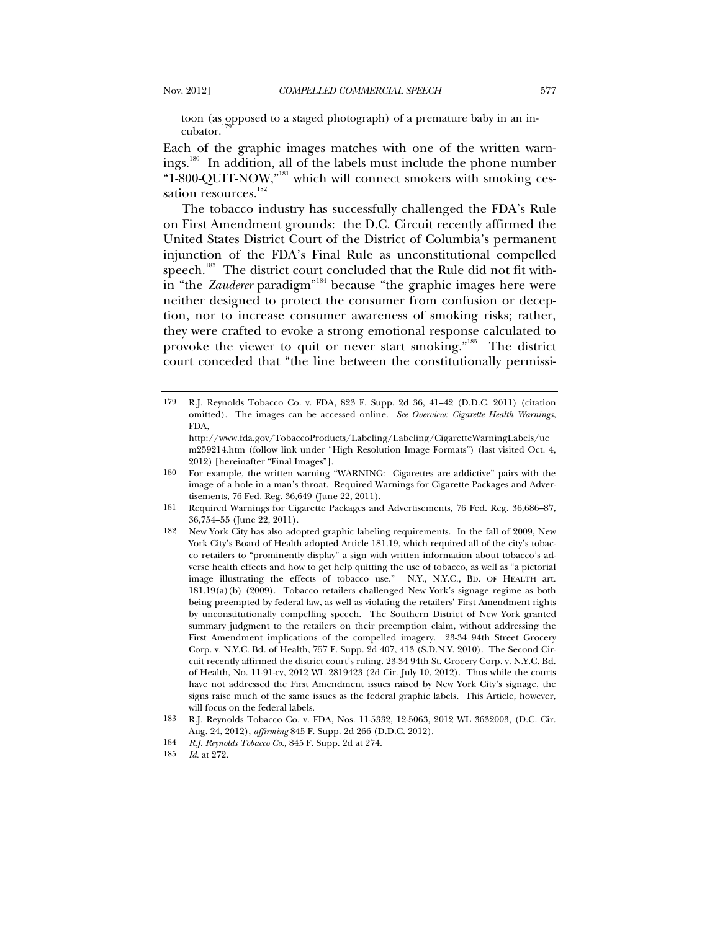toon (as opposed to a staged photograph) of a premature baby in an incubator.<sup>179</sup>

Each of the graphic images matches with one of the written warnings.<sup>180</sup> In addition, all of the labels must include the phone number "1-800-QUIT-NOW,"181 which will connect smokers with smoking cessation resources.<sup>182</sup>

The tobacco industry has successfully challenged the FDA's Rule on First Amendment grounds: the D.C. Circuit recently affirmed the United States District Court of the District of Columbia's permanent injunction of the FDA's Final Rule as unconstitutional compelled speech.<sup>183</sup> The district court concluded that the Rule did not fit within "the *Zauderer* paradigm"<sup>184</sup> because "the graphic images here were neither designed to protect the consumer from confusion or deception, nor to increase consumer awareness of smoking risks; rather, they were crafted to evoke a strong emotional response calculated to provoke the viewer to quit or never start smoking."<sup>185</sup> The district court conceded that "the line between the constitutionally permissi-

182 New York City has also adopted graphic labeling requirements. In the fall of 2009, New York City's Board of Health adopted Article 181.19, which required all of the city's tobacco retailers to "prominently display" a sign with written information about tobacco's adverse health effects and how to get help quitting the use of tobacco, as well as "a pictorial image illustrating the effects of tobacco use." N.Y., N.Y.C., BD. OF HEALTH art. 181.19(a)(b) (2009). Tobacco retailers challenged New York's signage regime as both being preempted by federal law, as well as violating the retailers' First Amendment rights by unconstitutionally compelling speech. The Southern District of New York granted summary judgment to the retailers on their preemption claim, without addressing the First Amendment implications of the compelled imagery. 23-34 94th Street Grocery Corp. v. N.Y.C. Bd. of Health, 757 F. Supp. 2d 407, 413 (S.D.N.Y. 2010). The Second Circuit recently affirmed the district court's ruling. 23-34 94th St. Grocery Corp. v. N.Y.C. Bd. of Health, No. 11-91-cv, 2012 WL 2819423 (2d Cir. July 10, 2012). Thus while the courts have not addressed the First Amendment issues raised by New York City's signage, the signs raise much of the same issues as the federal graphic labels. This Article, however, will focus on the federal labels.

<sup>179</sup> R.J. Reynolds Tobacco Co. v. FDA, 823 F. Supp. 2d 36, 41–42 (D.D.C. 2011) (citation omitted). The images can be accessed online. *See Overview: Cigarette Health Warnings*, FDA,

http://www.fda.gov/TobaccoProducts/Labeling/Labeling/CigaretteWarningLabels/uc m259214.htm (follow link under "High Resolution Image Formats") (last visited Oct. 4, 2012) [hereinafter "Final Images"].

<sup>180</sup> For example, the written warning "WARNING: Cigarettes are addictive" pairs with the image of a hole in a man's throat. Required Warnings for Cigarette Packages and Advertisements, 76 Fed. Reg. 36,649 (June 22, 2011).

<sup>181</sup> Required Warnings for Cigarette Packages and Advertisements, 76 Fed. Reg. 36,686–87, 36,754–55 (June 22, 2011).

<sup>183</sup> R.J. Reynolds Tobacco Co. v. FDA, Nos. 11-5332, 12-5063, 2012 WL 3632003, (D.C. Cir. Aug. 24, 2012), *affirming* 845 F. Supp. 2d 266 (D.D.C. 2012).

<sup>184</sup> *R.J. Reynolds Tobacco Co.*, 845 F. Supp. 2d at 274.

<sup>185</sup> *Id.* at 272.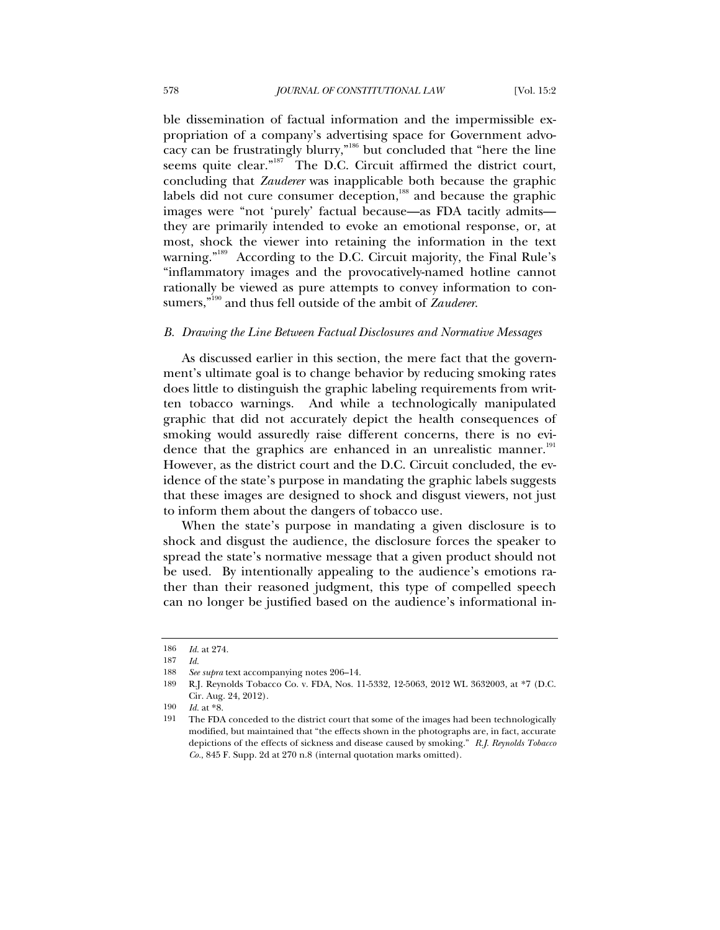ble dissemination of factual information and the impermissible expropriation of a company's advertising space for Government advocacy can be frustratingly blurry,"186 but concluded that "here the line seems quite clear."<sup>187</sup> The D.C. Circuit affirmed the district court, concluding that *Zauderer* was inapplicable both because the graphic labels did not cure consumer deception, $188$  and because the graphic images were "not 'purely' factual because—as FDA tacitly admits they are primarily intended to evoke an emotional response, or, at most, shock the viewer into retaining the information in the text warning."<sup>189</sup> According to the D.C. Circuit majority, the Final Rule's "inflammatory images and the provocatively-named hotline cannot rationally be viewed as pure attempts to convey information to consumers,"190 and thus fell outside of the ambit of *Zauderer*.

## *B. Drawing the Line Between Factual Disclosures and Normative Messages*

As discussed earlier in this section, the mere fact that the government's ultimate goal is to change behavior by reducing smoking rates does little to distinguish the graphic labeling requirements from written tobacco warnings. And while a technologically manipulated graphic that did not accurately depict the health consequences of smoking would assuredly raise different concerns, there is no evidence that the graphics are enhanced in an unrealistic manner.<sup>191</sup> However, as the district court and the D.C. Circuit concluded, the evidence of the state's purpose in mandating the graphic labels suggests that these images are designed to shock and disgust viewers, not just to inform them about the dangers of tobacco use.

When the state's purpose in mandating a given disclosure is to shock and disgust the audience, the disclosure forces the speaker to spread the state's normative message that a given product should not be used. By intentionally appealing to the audience's emotions rather than their reasoned judgment, this type of compelled speech can no longer be justified based on the audience's informational in-

<sup>186</sup> *Id.* at 274.

<sup>187</sup> *Id.*

<sup>188</sup> *See supra* text accompanying notes 206–14.

<sup>189</sup> R.J. Reynolds Tobacco Co. v. FDA, Nos. 11-5332, 12-5063, 2012 WL 3632003, at \*7 (D.C. Cir. Aug. 24, 2012).

<sup>190</sup> *Id.* at \*8.

<sup>191</sup> The FDA conceded to the district court that some of the images had been technologically modified, but maintained that "the effects shown in the photographs are, in fact, accurate depictions of the effects of sickness and disease caused by smoking." *R.J. Reynolds Tobacco Co.*, 845 F. Supp. 2d at 270 n.8 (internal quotation marks omitted).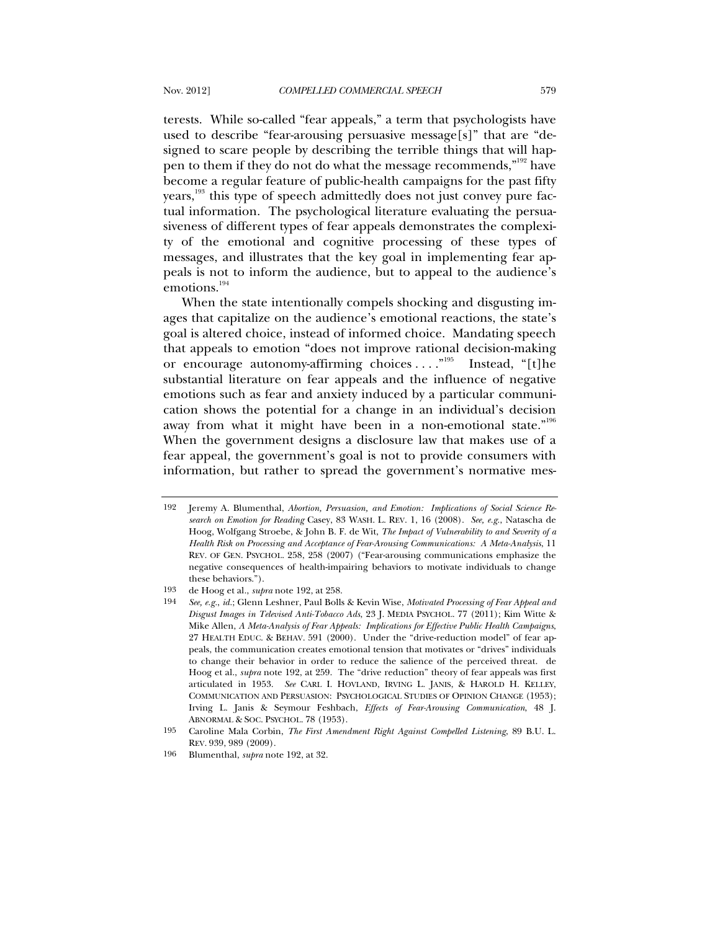terests. While so-called "fear appeals," a term that psychologists have used to describe "fear-arousing persuasive message[s]" that are "designed to scare people by describing the terrible things that will hap-

pen to them if they do not do what the message recommends,"<sup>192</sup> have become a regular feature of public-health campaigns for the past fifty years,<sup>193</sup> this type of speech admittedly does not just convey pure factual information. The psychological literature evaluating the persuasiveness of different types of fear appeals demonstrates the complexity of the emotional and cognitive processing of these types of messages, and illustrates that the key goal in implementing fear appeals is not to inform the audience, but to appeal to the audience's emotions.<sup>194</sup>

When the state intentionally compels shocking and disgusting images that capitalize on the audience's emotional reactions, the state's goal is altered choice, instead of informed choice. Mandating speech that appeals to emotion "does not improve rational decision-making or encourage autonomy-affirming choices  $\dots$ ."<sup>195</sup> Instead, "[t]he substantial literature on fear appeals and the influence of negative emotions such as fear and anxiety induced by a particular communication shows the potential for a change in an individual's decision away from what it might have been in a non-emotional state."<sup>196</sup> When the government designs a disclosure law that makes use of a fear appeal, the government's goal is not to provide consumers with information, but rather to spread the government's normative mes-

<sup>192</sup> Jeremy A. Blumenthal, *Abortion, Persuasion, and Emotion: Implications of Social Science Research on Emotion for Reading* Casey, 83 WASH. L. REV. 1, 16 (2008). *See, e.g.*, Natascha de Hoog, Wolfgang Stroebe, & John B. F. de Wit, *The Impact of Vulnerability to and Severity of a Health Risk on Processing and Acceptance of Fear-Arousing Communications: A Meta-Analysis*, 11 REV. OF GEN. PSYCHOL. 258, 258 (2007) ("Fear-arousing communications emphasize the negative consequences of health-impairing behaviors to motivate individuals to change these behaviors.").

<sup>193</sup> de Hoog et al., *supra* note 192, at 258.

<sup>194</sup> *See, e.g.*, *id.*; Glenn Leshner, Paul Bolls & Kevin Wise, *Motivated Processing of Fear Appeal and Disgust Images in Televised Anti-Tobacco Ads*, 23 J. MEDIA PSYCHOL. 77 (2011); Kim Witte & Mike Allen, *A Meta-Analysis of Fear Appeals: Implications for Effective Public Health Campaigns*, 27 HEALTH EDUC. & BEHAV. 591 (2000). Under the "drive-reduction model" of fear appeals, the communication creates emotional tension that motivates or "drives" individuals to change their behavior in order to reduce the salience of the perceived threat. de Hoog et al., *supra* note 192, at 259. The "drive reduction" theory of fear appeals was first articulated in 1953. *See* CARL I. HOVLAND, IRVING L. JANIS, & HAROLD H. KELLEY, COMMUNICATION AND PERSUASION: PSYCHOLOGICAL STUDIES OF OPINION CHANGE (1953); Irving L. Janis & Seymour Feshbach, *Effects of Fear-Arousing Communication*, 48 J. ABNORMAL & SOC. PSYCHOL. 78 (1953).

<sup>195</sup> Caroline Mala Corbin, *The First Amendment Right Against Compelled Listening*, 89 B.U. L. REV. 939, 989 (2009).

<sup>196</sup> Blumenthal, *supra* note 192, at 32.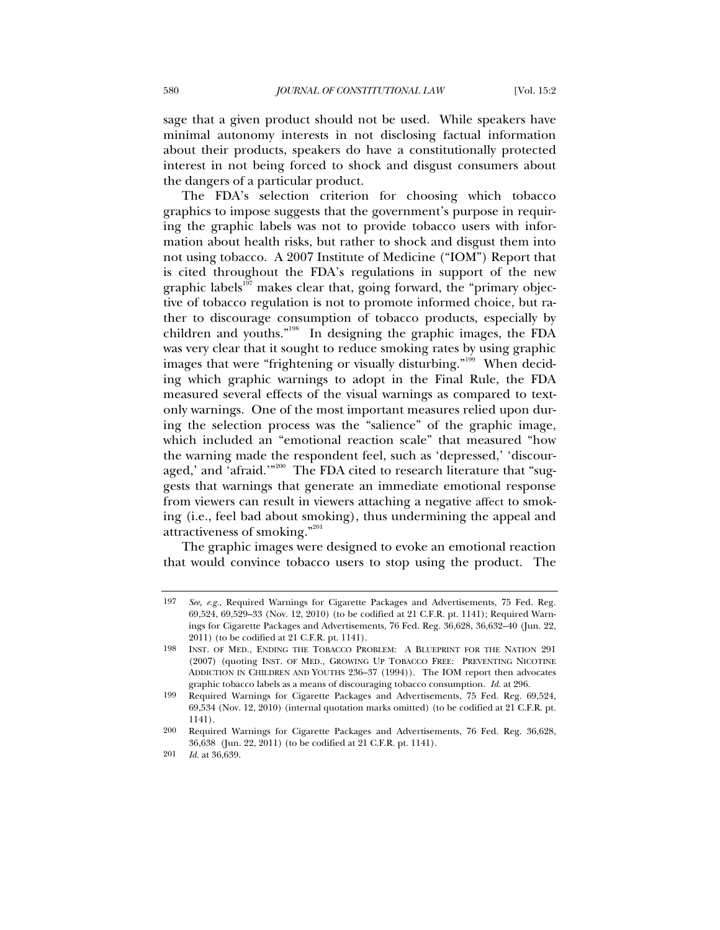sage that a given product should not be used. While speakers have minimal autonomy interests in not disclosing factual information about their products, speakers do have a constitutionally protected interest in not being forced to shock and disgust consumers about the dangers of a particular product.

The FDA's selection criterion for choosing which tobacco graphics to impose suggests that the government's purpose in requiring the graphic labels was not to provide tobacco users with information about health risks, but rather to shock and disgust them into not using tobacco. A 2007 Institute of Medicine ("IOM") Report that is cited throughout the FDA's regulations in support of the new graphic labels $197$  makes clear that, going forward, the "primary objective of tobacco regulation is not to promote informed choice, but rather to discourage consumption of tobacco products, especially by children and youths."198 In designing the graphic images, the FDA was very clear that it sought to reduce smoking rates by using graphic images that were "frightening or visually disturbing."<sup>199</sup> When deciding which graphic warnings to adopt in the Final Rule, the FDA measured several effects of the visual warnings as compared to textonly warnings. One of the most important measures relied upon during the selection process was the "salience" of the graphic image, which included an "emotional reaction scale" that measured "how the warning made the respondent feel, such as 'depressed,' 'discouraged,' and 'afraid.'"<sup>200</sup> The FDA cited to research literature that "suggests that warnings that generate an immediate emotional response from viewers can result in viewers attaching a negative affect to smoking (i.e., feel bad about smoking), thus undermining the appeal and attractiveness of smoking."201

The graphic images were designed to evoke an emotional reaction that would convince tobacco users to stop using the product. The

<sup>197</sup> *See, e.g.*, Required Warnings for Cigarette Packages and Advertisements, 75 Fed. Reg. 69,524, 69,529–33 (Nov. 12, 2010) (to be codified at 21 C.F.R. pt. 1141); Required Warnings for Cigarette Packages and Advertisements, 76 Fed. Reg. 36,628, 36,632–40 (Jun. 22, 2011) (to be codified at 21 C.F.R. pt. 1141).

<sup>198</sup> INST. OF MED., ENDING THE TOBACCO PROBLEM: A BLUEPRINT FOR THE NATION 291 (2007) (quoting INST. OF MED., GROWING UP TOBACCO FREE: PREVENTING NICOTINE ADDICTION IN CHILDREN AND YOUTHS 236–37 (1994)). The IOM report then advocates graphic tobacco labels as a means of discouraging tobacco consumption. *Id.* at 296.

<sup>199</sup> Required Warnings for Cigarette Packages and Advertisements, 75 Fed. Reg. 69,524, 69,534 (Nov. 12, 2010) (internal quotation marks omitted) (to be codified at 21 C.F.R. pt. 1141).

<sup>200</sup> Required Warnings for Cigarette Packages and Advertisements, 76 Fed. Reg. 36,628, 36,638 (Jun. 22, 2011) (to be codified at 21 C.F.R. pt. 1141).

<sup>201</sup> *Id.* at 36,639.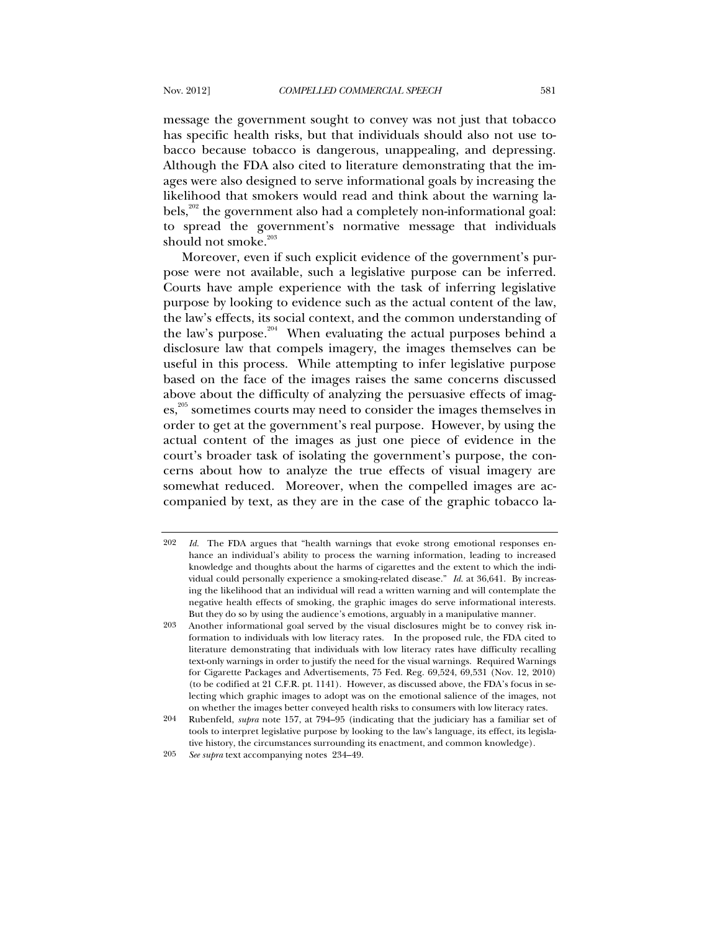message the government sought to convey was not just that tobacco has specific health risks, but that individuals should also not use tobacco because tobacco is dangerous, unappealing, and depressing. Although the FDA also cited to literature demonstrating that the images were also designed to serve informational goals by increasing the likelihood that smokers would read and think about the warning labels, $202$ <sup>202</sup> the government also had a completely non-informational goal: to spread the government's normative message that individuals should not smoke. $203$ 

Moreover, even if such explicit evidence of the government's purpose were not available, such a legislative purpose can be inferred. Courts have ample experience with the task of inferring legislative purpose by looking to evidence such as the actual content of the law, the law's effects, its social context, and the common understanding of the law's purpose. $204$  When evaluating the actual purposes behind a disclosure law that compels imagery, the images themselves can be useful in this process. While attempting to infer legislative purpose based on the face of the images raises the same concerns discussed above about the difficulty of analyzing the persuasive effects of images,<sup>205</sup> sometimes courts may need to consider the images themselves in order to get at the government's real purpose. However, by using the actual content of the images as just one piece of evidence in the court's broader task of isolating the government's purpose, the concerns about how to analyze the true effects of visual imagery are somewhat reduced. Moreover, when the compelled images are accompanied by text, as they are in the case of the graphic tobacco la-

205 *See supra* text accompanying notes 234–49.

<sup>202</sup> *Id.* The FDA argues that "health warnings that evoke strong emotional responses enhance an individual's ability to process the warning information, leading to increased knowledge and thoughts about the harms of cigarettes and the extent to which the individual could personally experience a smoking-related disease." *Id.* at 36,641. By increasing the likelihood that an individual will read a written warning and will contemplate the negative health effects of smoking, the graphic images do serve informational interests. But they do so by using the audience's emotions, arguably in a manipulative manner.

<sup>203</sup> Another informational goal served by the visual disclosures might be to convey risk information to individuals with low literacy rates. In the proposed rule, the FDA cited to literature demonstrating that individuals with low literacy rates have difficulty recalling text-only warnings in order to justify the need for the visual warnings. Required Warnings for Cigarette Packages and Advertisements, 75 Fed. Reg. 69,524, 69,531 (Nov. 12, 2010) (to be codified at 21 C.F.R. pt. 1141). However, as discussed above, the FDA's focus in selecting which graphic images to adopt was on the emotional salience of the images, not on whether the images better conveyed health risks to consumers with low literacy rates.

<sup>204</sup> Rubenfeld, *supra* note 157, at 794–95 (indicating that the judiciary has a familiar set of tools to interpret legislative purpose by looking to the law's language, its effect, its legislative history, the circumstances surrounding its enactment, and common knowledge).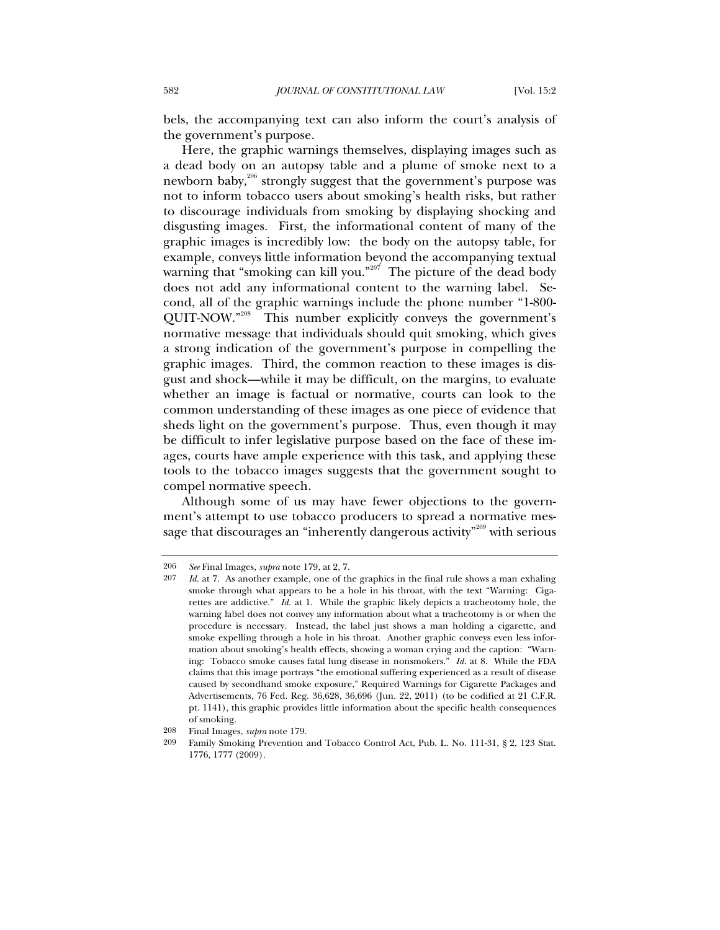bels, the accompanying text can also inform the court's analysis of the government's purpose.

Here, the graphic warnings themselves, displaying images such as a dead body on an autopsy table and a plume of smoke next to a newborn baby,<sup>206</sup> strongly suggest that the government's purpose was not to inform tobacco users about smoking's health risks, but rather to discourage individuals from smoking by displaying shocking and disgusting images. First, the informational content of many of the graphic images is incredibly low: the body on the autopsy table, for example, conveys little information beyond the accompanying textual warning that "smoking can kill you."<sup>207</sup> The picture of the dead body does not add any informational content to the warning label. Second, all of the graphic warnings include the phone number "1-800- QUIT-NOW."208 This number explicitly conveys the government's normative message that individuals should quit smoking, which gives a strong indication of the government's purpose in compelling the graphic images. Third, the common reaction to these images is disgust and shock—while it may be difficult, on the margins, to evaluate whether an image is factual or normative, courts can look to the common understanding of these images as one piece of evidence that sheds light on the government's purpose. Thus, even though it may be difficult to infer legislative purpose based on the face of these images, courts have ample experience with this task, and applying these tools to the tobacco images suggests that the government sought to compel normative speech.

Although some of us may have fewer objections to the government's attempt to use tobacco producers to spread a normative message that discourages an "inherently dangerous activity"<sup>209</sup> with serious

<sup>206</sup> *See* Final Images, *supra* note 179, at 2, 7.

<sup>207</sup> *Id.* at 7. As another example, one of the graphics in the final rule shows a man exhaling smoke through what appears to be a hole in his throat, with the text "Warning: Cigarettes are addictive." *Id.* at 1. While the graphic likely depicts a tracheotomy hole, the warning label does not convey any information about what a tracheotomy is or when the procedure is necessary. Instead, the label just shows a man holding a cigarette, and smoke expelling through a hole in his throat. Another graphic conveys even less information about smoking's health effects, showing a woman crying and the caption: "Warning: Tobacco smoke causes fatal lung disease in nonsmokers." *Id.* at 8. While the FDA claims that this image portrays "the emotional suffering experienced as a result of disease caused by secondhand smoke exposure," Required Warnings for Cigarette Packages and Advertisements, 76 Fed. Reg. 36,628, 36,696 (Jun. 22, 2011) (to be codified at 21 C.F.R. pt. 1141), this graphic provides little information about the specific health consequences of smoking.

<sup>208</sup> Final Images, *supra* note 179.

<sup>209</sup> Family Smoking Prevention and Tobacco Control Act, Pub. L. No. 111-31, § 2, 123 Stat. 1776, 1777 (2009).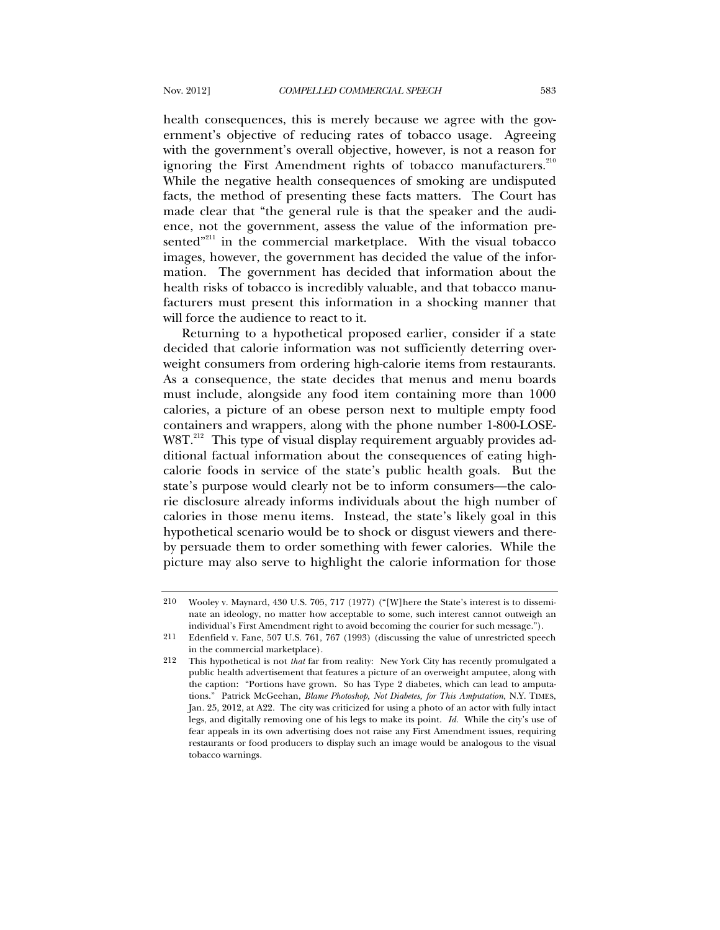health consequences, this is merely because we agree with the government's objective of reducing rates of tobacco usage. Agreeing with the government's overall objective, however, is not a reason for ignoring the First Amendment rights of tobacco manufacturers.<sup>210</sup> While the negative health consequences of smoking are undisputed facts, the method of presenting these facts matters. The Court has made clear that "the general rule is that the speaker and the audience, not the government, assess the value of the information presented"<sup>211</sup> in the commercial marketplace. With the visual tobacco images, however, the government has decided the value of the information. The government has decided that information about the health risks of tobacco is incredibly valuable, and that tobacco manufacturers must present this information in a shocking manner that will force the audience to react to it.

Returning to a hypothetical proposed earlier, consider if a state decided that calorie information was not sufficiently deterring overweight consumers from ordering high-calorie items from restaurants. As a consequence, the state decides that menus and menu boards must include, alongside any food item containing more than 1000 calories, a picture of an obese person next to multiple empty food containers and wrappers, along with the phone number 1-800-LOSE-W8T.<sup>212</sup> This type of visual display requirement arguably provides additional factual information about the consequences of eating highcalorie foods in service of the state's public health goals. But the state's purpose would clearly not be to inform consumers—the calorie disclosure already informs individuals about the high number of calories in those menu items. Instead, the state's likely goal in this hypothetical scenario would be to shock or disgust viewers and thereby persuade them to order something with fewer calories. While the picture may also serve to highlight the calorie information for those

<sup>210</sup> Wooley v. Maynard, 430 U.S. 705, 717 (1977) ("[W]here the State's interest is to disseminate an ideology, no matter how acceptable to some, such interest cannot outweigh an individual's First Amendment right to avoid becoming the courier for such message.").

<sup>211</sup> Edenfield v. Fane, 507 U.S. 761, 767 (1993) (discussing the value of unrestricted speech in the commercial marketplace).

<sup>212</sup> This hypothetical is not *that* far from reality: New York City has recently promulgated a public health advertisement that features a picture of an overweight amputee, along with the caption: "Portions have grown. So has Type 2 diabetes, which can lead to amputations." Patrick McGeehan, *Blame Photoshop, Not Diabetes, for This Amputation*, N.Y. TIMES, Jan. 25, 2012, at A22. The city was criticized for using a photo of an actor with fully intact legs, and digitally removing one of his legs to make its point. *Id.* While the city's use of fear appeals in its own advertising does not raise any First Amendment issues, requiring restaurants or food producers to display such an image would be analogous to the visual tobacco warnings.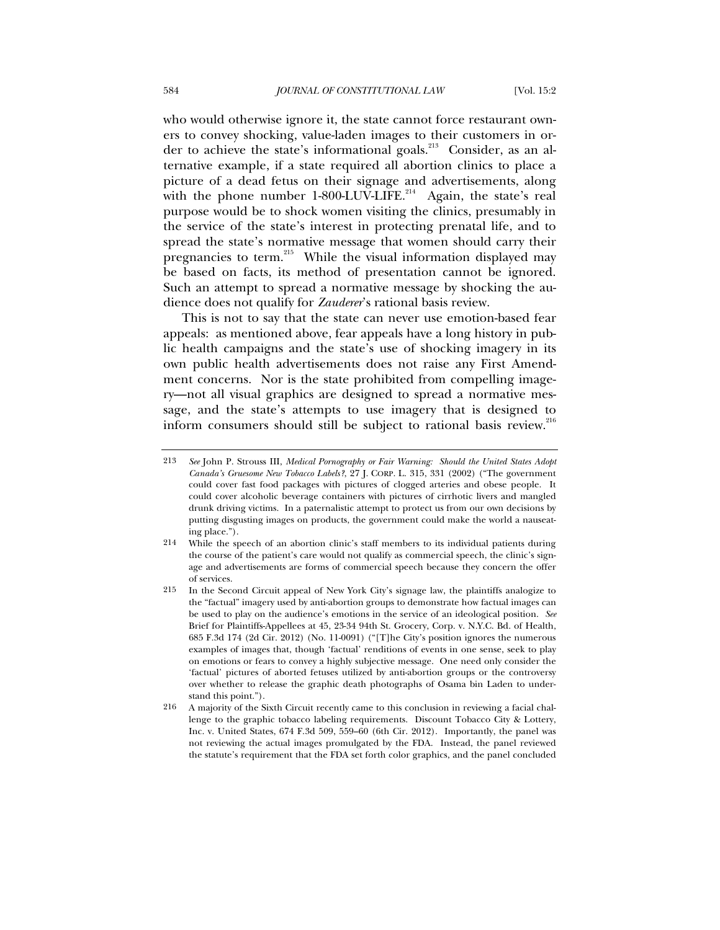who would otherwise ignore it, the state cannot force restaurant owners to convey shocking, value-laden images to their customers in order to achieve the state's informational goals.<sup>213</sup> Consider, as an alternative example, if a state required all abortion clinics to place a picture of a dead fetus on their signage and advertisements, along with the phone number  $1-800-LUV-LIFE.<sup>214</sup>$  Again, the state's real purpose would be to shock women visiting the clinics, presumably in the service of the state's interest in protecting prenatal life, and to spread the state's normative message that women should carry their pregnancies to term.<sup>215</sup> While the visual information displayed may be based on facts, its method of presentation cannot be ignored. Such an attempt to spread a normative message by shocking the audience does not qualify for *Zauderer*'s rational basis review.

This is not to say that the state can never use emotion-based fear appeals: as mentioned above, fear appeals have a long history in public health campaigns and the state's use of shocking imagery in its own public health advertisements does not raise any First Amendment concerns. Nor is the state prohibited from compelling imagery—not all visual graphics are designed to spread a normative message, and the state's attempts to use imagery that is designed to inform consumers should still be subject to rational basis review. $^{216}$ 

<sup>213</sup> *See* John P. Strouss III, *Medical Pornography or Fair Warning: Should the United States Adopt Canada's Gruesome New Tobacco Labels?*, 27 J. CORP. L. 315, 331 (2002) ("The government could cover fast food packages with pictures of clogged arteries and obese people. It could cover alcoholic beverage containers with pictures of cirrhotic livers and mangled drunk driving victims. In a paternalistic attempt to protect us from our own decisions by putting disgusting images on products, the government could make the world a nauseating place.").

<sup>214</sup> While the speech of an abortion clinic's staff members to its individual patients during the course of the patient's care would not qualify as commercial speech, the clinic's signage and advertisements are forms of commercial speech because they concern the offer of services.

<sup>215</sup> In the Second Circuit appeal of New York City's signage law, the plaintiffs analogize to the "factual" imagery used by anti-abortion groups to demonstrate how factual images can be used to play on the audience's emotions in the service of an ideological position. *See*  Brief for Plaintiffs-Appellees at 45, 23-34 94th St. Grocery, Corp. v. N.Y.C. Bd. of Health, 685 F.3d 174 (2d Cir. 2012) (No. 11-0091) ("[T]he City's position ignores the numerous examples of images that, though 'factual' renditions of events in one sense, seek to play on emotions or fears to convey a highly subjective message. One need only consider the 'factual' pictures of aborted fetuses utilized by anti-abortion groups or the controversy over whether to release the graphic death photographs of Osama bin Laden to understand this point.").

<sup>216</sup> A majority of the Sixth Circuit recently came to this conclusion in reviewing a facial challenge to the graphic tobacco labeling requirements. Discount Tobacco City & Lottery, Inc. v. United States, 674 F.3d 509, 559–60 (6th Cir. 2012). Importantly, the panel was not reviewing the actual images promulgated by the FDA. Instead, the panel reviewed the statute's requirement that the FDA set forth color graphics, and the panel concluded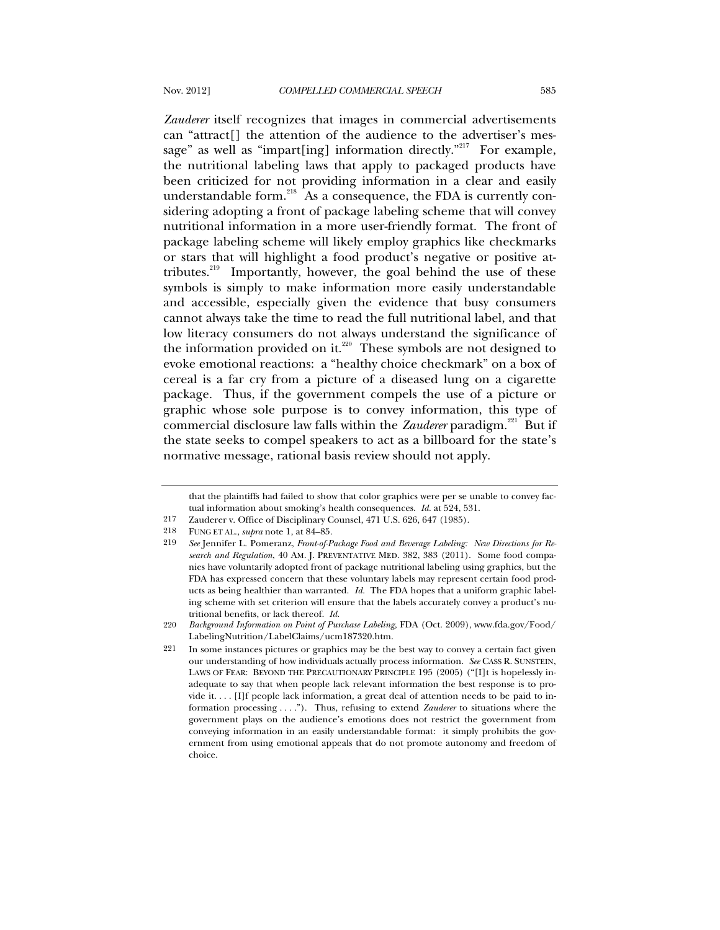*Zauderer* itself recognizes that images in commercial advertisements can "attract[] the attention of the audience to the advertiser's message" as well as "impart[ing] information directly."<sup>217</sup> For example, the nutritional labeling laws that apply to packaged products have been criticized for not providing information in a clear and easily understandable form. $^{218}$  As a consequence, the FDA is currently considering adopting a front of package labeling scheme that will convey nutritional information in a more user-friendly format. The front of package labeling scheme will likely employ graphics like checkmarks or stars that will highlight a food product's negative or positive attributes.<sup>219</sup> Importantly, however, the goal behind the use of these symbols is simply to make information more easily understandable and accessible, especially given the evidence that busy consumers cannot always take the time to read the full nutritional label, and that low literacy consumers do not always understand the significance of the information provided on it.<sup>220</sup> These symbols are not designed to evoke emotional reactions: a "healthy choice checkmark" on a box of cereal is a far cry from a picture of a diseased lung on a cigarette package. Thus, if the government compels the use of a picture or graphic whose sole purpose is to convey information, this type of commercial disclosure law falls within the *Zauderer* paradigm.<sup>221</sup> But if the state seeks to compel speakers to act as a billboard for the state's normative message, rational basis review should not apply.

that the plaintiffs had failed to show that color graphics were per se unable to convey factual information about smoking's health consequences. *Id.* at 524, 531.

<sup>217</sup> Zauderer v. Office of Disciplinary Counsel, 471 U.S. 626, 647 (1985).

<sup>218</sup> FUNG ET AL., *supra* note 1, at 84–85.

<sup>219</sup> *See* Jennifer L. Pomeranz, *Front-of-Package Food and Beverage Labeling: New Directions for Research and Regulation*, 40 AM. J. PREVENTATIVE MED. 382, 383 (2011). Some food companies have voluntarily adopted front of package nutritional labeling using graphics, but the FDA has expressed concern that these voluntary labels may represent certain food products as being healthier than warranted. *Id.* The FDA hopes that a uniform graphic labeling scheme with set criterion will ensure that the labels accurately convey a product's nutritional benefits, or lack thereof. *Id.*

<sup>220</sup> *Background Information on Point of Purchase Labeling*, FDA (Oct. 2009), www.fda.gov/Food/ LabelingNutrition/LabelClaims/ucm187320.htm.

<sup>221</sup> In some instances pictures or graphics may be the best way to convey a certain fact given our understanding of how individuals actually process information. *See* CASS R. SUNSTEIN, LAWS OF FEAR: BEYOND THE PRECAUTIONARY PRINCIPLE 195 (2005) ("[I]t is hopelessly inadequate to say that when people lack relevant information the best response is to provide it. . . . [I]f people lack information, a great deal of attention needs to be paid to information processing . . . ."). Thus, refusing to extend *Zauderer* to situations where the government plays on the audience's emotions does not restrict the government from conveying information in an easily understandable format: it simply prohibits the government from using emotional appeals that do not promote autonomy and freedom of choice.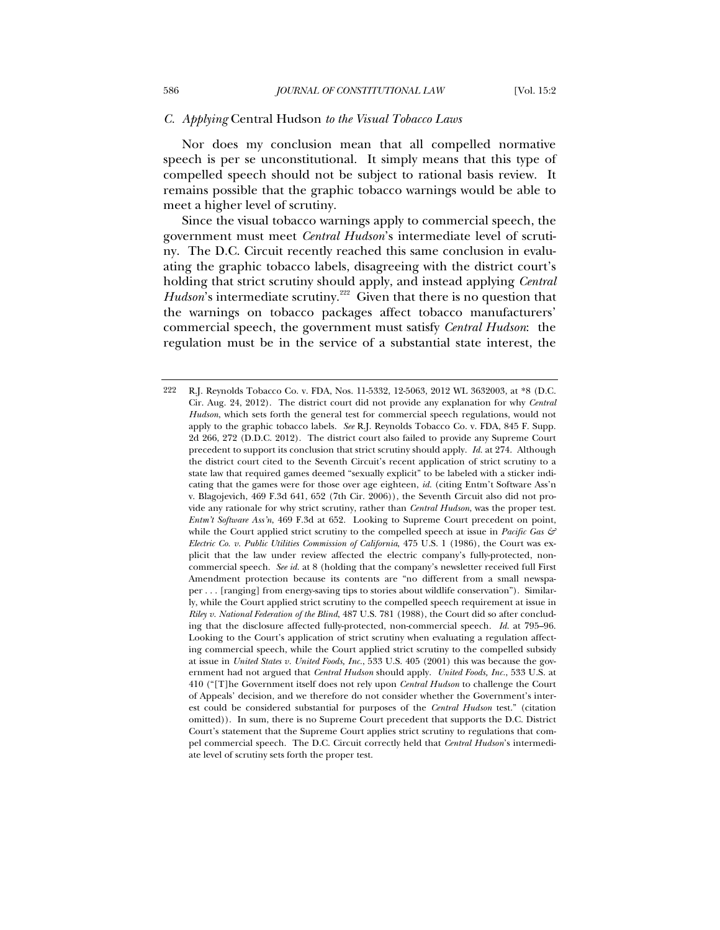## *C. Applying* Central Hudson *to the Visual Tobacco Laws*

Nor does my conclusion mean that all compelled normative speech is per se unconstitutional. It simply means that this type of compelled speech should not be subject to rational basis review. It remains possible that the graphic tobacco warnings would be able to meet a higher level of scrutiny.

Since the visual tobacco warnings apply to commercial speech, the government must meet *Central Hudson*'s intermediate level of scrutiny. The D.C. Circuit recently reached this same conclusion in evaluating the graphic tobacco labels, disagreeing with the district court's holding that strict scrutiny should apply, and instead applying *Central Hudson*'s intermediate scrutiny.<sup>222</sup> Given that there is no question that the warnings on tobacco packages affect tobacco manufacturers' commercial speech, the government must satisfy *Central Hudson*: the regulation must be in the service of a substantial state interest, the

<sup>222</sup> R.J. Reynolds Tobacco Co. v. FDA, Nos. 11-5332, 12-5063, 2012 WL 3632003, at \*8 (D.C. Cir. Aug. 24, 2012). The district court did not provide any explanation for why *Central Hudson*, which sets forth the general test for commercial speech regulations, would not apply to the graphic tobacco labels. *See* R.J. Reynolds Tobacco Co. v. FDA, 845 F. Supp. 2d 266, 272 (D.D.C. 2012). The district court also failed to provide any Supreme Court precedent to support its conclusion that strict scrutiny should apply. *Id.* at 274. Although the district court cited to the Seventh Circuit's recent application of strict scrutiny to a state law that required games deemed "sexually explicit" to be labeled with a sticker indicating that the games were for those over age eighteen, *id.* (citing Entm't Software Ass'n v. Blagojevich, 469 F.3d 641, 652 (7th Cir. 2006)), the Seventh Circuit also did not provide any rationale for why strict scrutiny, rather than *Central Hudson*, was the proper test. *Entm't Software Ass'n*, 469 F.3d at 652. Looking to Supreme Court precedent on point, while the Court applied strict scrutiny to the compelled speech at issue in *Pacific Gas*  $\mathcal{F}$ *Electric Co. v. Public Utilities Commission of California*, 475 U.S. 1 (1986), the Court was explicit that the law under review affected the electric company's fully-protected, noncommercial speech. *See id.* at 8 (holding that the company's newsletter received full First Amendment protection because its contents are "no different from a small newspaper . . . [ranging] from energy-saving tips to stories about wildlife conservation"). Similarly, while the Court applied strict scrutiny to the compelled speech requirement at issue in *Riley v. National Federation of the Blind*, 487 U.S. 781 (1988), the Court did so after concluding that the disclosure affected fully-protected, non-commercial speech. *Id.* at 795–96. Looking to the Court's application of strict scrutiny when evaluating a regulation affecting commercial speech, while the Court applied strict scrutiny to the compelled subsidy at issue in *United States v. United Foods, Inc.*, 533 U.S. 405 (2001) this was because the government had not argued that *Central Hudson* should apply. *United Foods, Inc.*, 533 U.S. at 410 ("[T]he Government itself does not rely upon *Central Hudson* to challenge the Court of Appeals' decision, and we therefore do not consider whether the Government's interest could be considered substantial for purposes of the *Central Hudson* test." (citation omitted)). In sum, there is no Supreme Court precedent that supports the D.C. District Court's statement that the Supreme Court applies strict scrutiny to regulations that compel commercial speech. The D.C. Circuit correctly held that *Central Hudson*'s intermediate level of scrutiny sets forth the proper test.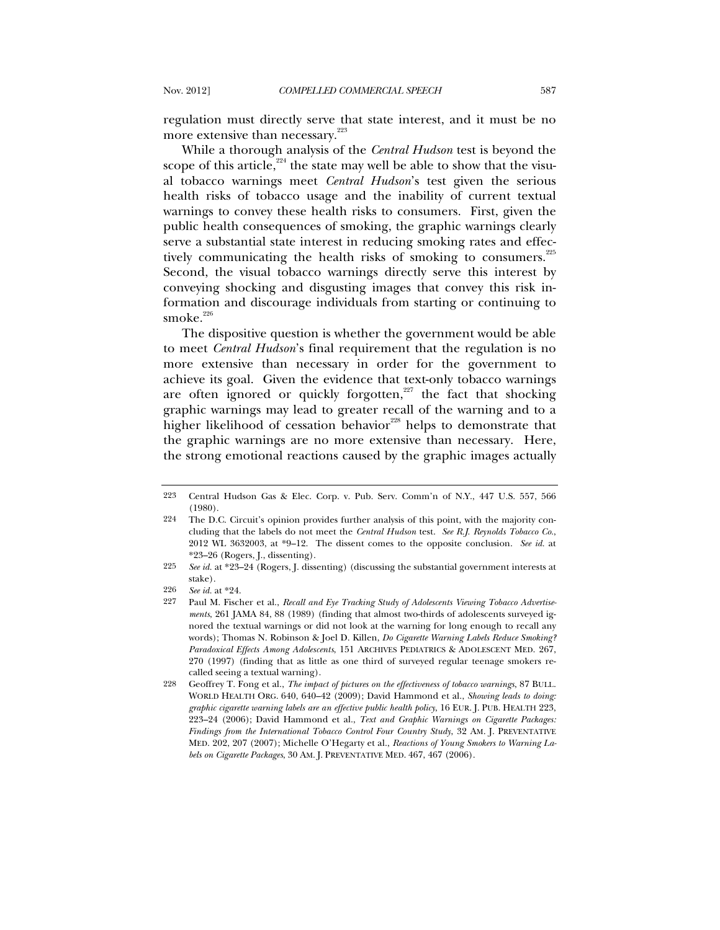regulation must directly serve that state interest, and it must be no more extensive than necessary.<sup>223</sup>

While a thorough analysis of the *Central Hudson* test is beyond the scope of this article,<sup>224</sup> the state may well be able to show that the visual tobacco warnings meet *Central Hudson*'s test given the serious health risks of tobacco usage and the inability of current textual warnings to convey these health risks to consumers. First, given the public health consequences of smoking, the graphic warnings clearly serve a substantial state interest in reducing smoking rates and effectively communicating the health risks of smoking to consumers.<sup>225</sup> Second, the visual tobacco warnings directly serve this interest by conveying shocking and disgusting images that convey this risk information and discourage individuals from starting or continuing to smoke. $226$ 

The dispositive question is whether the government would be able to meet *Central Hudson*'s final requirement that the regulation is no more extensive than necessary in order for the government to achieve its goal. Given the evidence that text-only tobacco warnings are often ignored or quickly forgotten, $227$  the fact that shocking graphic warnings may lead to greater recall of the warning and to a higher likelihood of cessation behavior<sup>228</sup> helps to demonstrate that the graphic warnings are no more extensive than necessary. Here, the strong emotional reactions caused by the graphic images actually

<sup>223</sup> Central Hudson Gas & Elec. Corp. v. Pub. Serv. Comm'n of N.Y., 447 U.S. 557, 566 (1980).

<sup>224</sup> The D.C. Circuit's opinion provides further analysis of this point, with the majority concluding that the labels do not meet the *Central Hudson* test. *See R.J. Reynolds Tobacco Co.*, 2012 WL 3632003, at \*9–12. The dissent comes to the opposite conclusion. *See id.* at \*23–26 (Rogers, J., dissenting).

<sup>225</sup> *See id.* at \*23–24 (Rogers, J. dissenting) (discussing the substantial government interests at stake).

<sup>226</sup> *See id.* at \*24.

<sup>227</sup> Paul M. Fischer et al., *Recall and Eye Tracking Study of Adolescents Viewing Tobacco Advertisements*, 261 JAMA 84, 88 (1989) (finding that almost two-thirds of adolescents surveyed ignored the textual warnings or did not look at the warning for long enough to recall any words); Thomas N. Robinson & Joel D. Killen, *Do Cigarette Warning Labels Reduce Smoking? Paradoxical Effects Among Adolescents*, 151 ARCHIVES PEDIATRICS & ADOLESCENT MED. 267, 270 (1997) (finding that as little as one third of surveyed regular teenage smokers recalled seeing a textual warning).

<sup>228</sup> Geoffrey T. Fong et al., *The impact of pictures on the effectiveness of tobacco warnings*, 87 BULL. WORLD HEALTH ORG. 640, 640–42 (2009); David Hammond et al., *Showing leads to doing: graphic cigarette warning labels are an effective public health policy*, 16 EUR. J. PUB. HEALTH 223, 223–24 (2006); David Hammond et al., *Text and Graphic Warnings on Cigarette Packages: Findings from the International Tobacco Control Four Country Study*, 32 AM. J. PREVENTATIVE MED. 202, 207 (2007); Michelle O'Hegarty et al., *Reactions of Young Smokers to Warning Labels on Cigarette Packages*, 30 AM. J. PREVENTATIVE MED. 467, 467 (2006).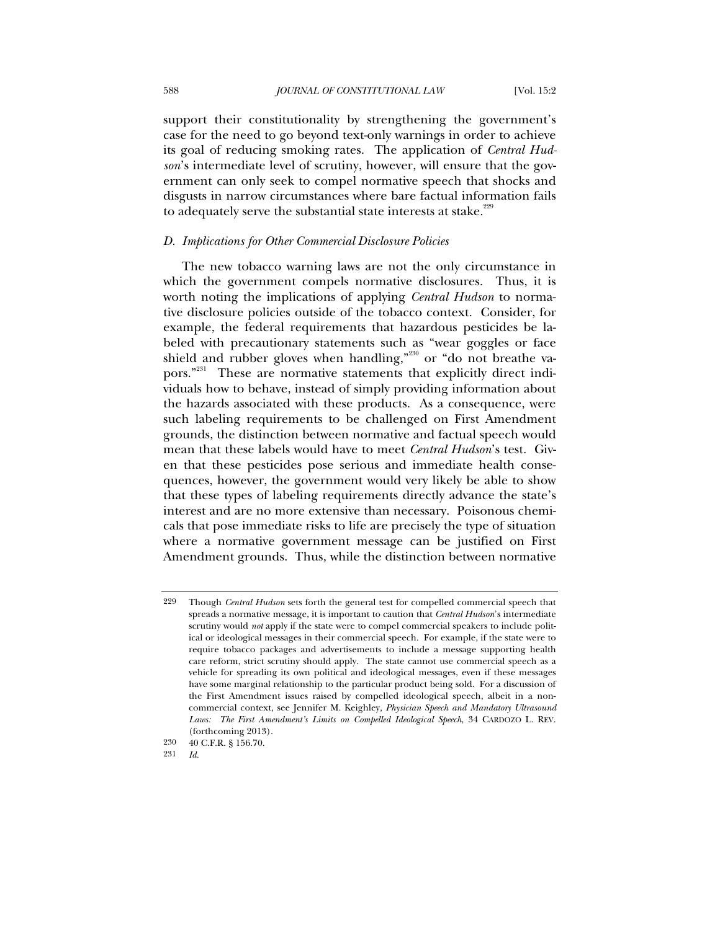support their constitutionality by strengthening the government's case for the need to go beyond text-only warnings in order to achieve its goal of reducing smoking rates. The application of *Central Hudson*'s intermediate level of scrutiny, however, will ensure that the government can only seek to compel normative speech that shocks and disgusts in narrow circumstances where bare factual information fails to adequately serve the substantial state interests at stake.<sup>229</sup>

### *D. Implications for Other Commercial Disclosure Policies*

The new tobacco warning laws are not the only circumstance in which the government compels normative disclosures. Thus, it is worth noting the implications of applying *Central Hudson* to normative disclosure policies outside of the tobacco context. Consider, for example, the federal requirements that hazardous pesticides be labeled with precautionary statements such as "wear goggles or face shield and rubber gloves when handling,"<sup>230</sup> or "do not breathe vapors."<sup>231</sup> These are normative statements that explicitly direct individuals how to behave, instead of simply providing information about the hazards associated with these products. As a consequence, were such labeling requirements to be challenged on First Amendment grounds, the distinction between normative and factual speech would mean that these labels would have to meet *Central Hudson*'s test. Given that these pesticides pose serious and immediate health consequences, however, the government would very likely be able to show that these types of labeling requirements directly advance the state's interest and are no more extensive than necessary. Poisonous chemicals that pose immediate risks to life are precisely the type of situation where a normative government message can be justified on First Amendment grounds. Thus, while the distinction between normative

<sup>229</sup> Though *Central Hudson* sets forth the general test for compelled commercial speech that spreads a normative message, it is important to caution that *Central Hudson*'s intermediate scrutiny would *not* apply if the state were to compel commercial speakers to include political or ideological messages in their commercial speech. For example, if the state were to require tobacco packages and advertisements to include a message supporting health care reform, strict scrutiny should apply. The state cannot use commercial speech as a vehicle for spreading its own political and ideological messages, even if these messages have some marginal relationship to the particular product being sold. For a discussion of the First Amendment issues raised by compelled ideological speech, albeit in a noncommercial context, see Jennifer M. Keighley, *Physician Speech and Mandatory Ultrasound Laws: The First Amendment's Limits on Compelled Ideological Speech*, 34 CARDOZO L. REV. (forthcoming 2013).

<sup>230 40</sup> C.F.R. § 156.70.

<sup>231</sup> *Id.*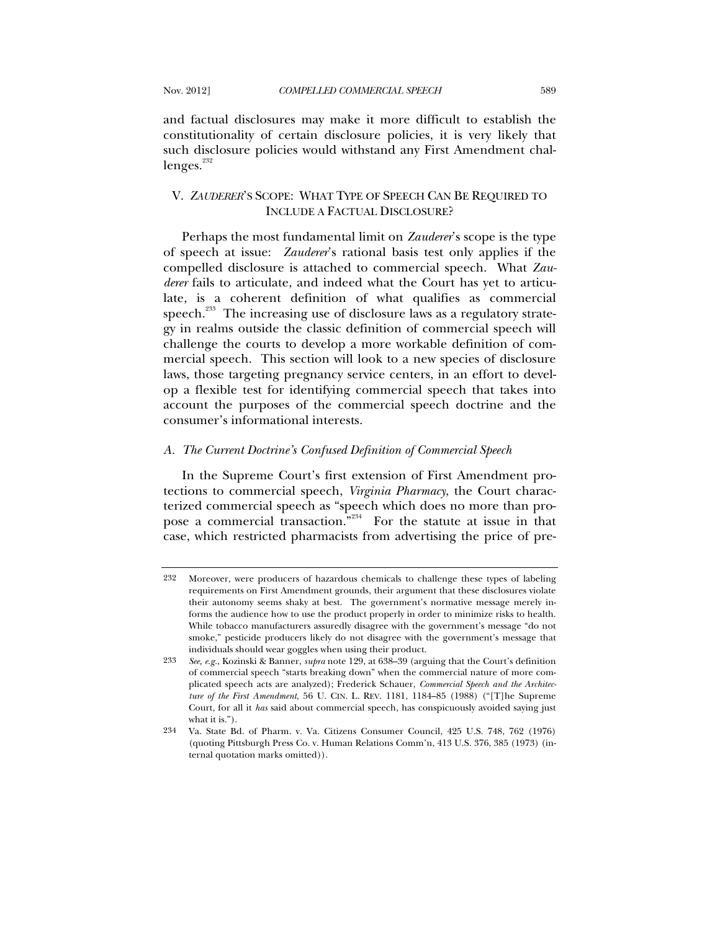and factual disclosures may make it more difficult to establish the constitutionality of certain disclosure policies, it is very likely that such disclosure policies would withstand any First Amendment chal $l$ enges.<sup>232</sup>

# V. *ZAUDERER*'S SCOPE: WHAT TYPE OF SPEECH CAN BE REQUIRED TO INCLUDE A FACTUAL DISCLOSURE?

Perhaps the most fundamental limit on *Zauderer*'s scope is the type of speech at issue: *Zauderer*'s rational basis test only applies if the compelled disclosure is attached to commercial speech. What *Zauderer* fails to articulate, and indeed what the Court has yet to articulate, is a coherent definition of what qualifies as commercial speech. $^{233}$  The increasing use of disclosure laws as a regulatory strategy in realms outside the classic definition of commercial speech will challenge the courts to develop a more workable definition of commercial speech. This section will look to a new species of disclosure laws, those targeting pregnancy service centers, in an effort to develop a flexible test for identifying commercial speech that takes into account the purposes of the commercial speech doctrine and the consumer's informational interests.

## *A. The Current Doctrine's Confused Definition of Commercial Speech*

In the Supreme Court's first extension of First Amendment protections to commercial speech, *Virginia Pharmacy*, the Court characterized commercial speech as "speech which does no more than propose a commercial transaction."234 For the statute at issue in that case, which restricted pharmacists from advertising the price of pre-

<sup>232</sup> Moreover, were producers of hazardous chemicals to challenge these types of labeling requirements on First Amendment grounds, their argument that these disclosures violate their autonomy seems shaky at best. The government's normative message merely informs the audience how to use the product properly in order to minimize risks to health. While tobacco manufacturers assuredly disagree with the government's message "do not smoke," pesticide producers likely do not disagree with the government's message that individuals should wear goggles when using their product.

<sup>233</sup> *See, e.g.*, Kozinski & Banner, *supra* note 129, at 638–39 (arguing that the Court's definition of commercial speech "starts breaking down" when the commercial nature of more complicated speech acts are analyzed); Frederick Schauer, *Commercial Speech and the Architecture of the First Amendment*, 56 U. CIN. L. REV. 1181, 1184–85 (1988) ("[T]he Supreme Court, for all it *has* said about commercial speech, has conspicuously avoided saying just what it is.").

<sup>234</sup> Va. State Bd. of Pharm. v. Va. Citizens Consumer Council, 425 U.S. 748, 762 (1976) (quoting Pittsburgh Press Co. v. Human Relations Comm'n, 413 U.S. 376, 385 (1973) (internal quotation marks omitted)).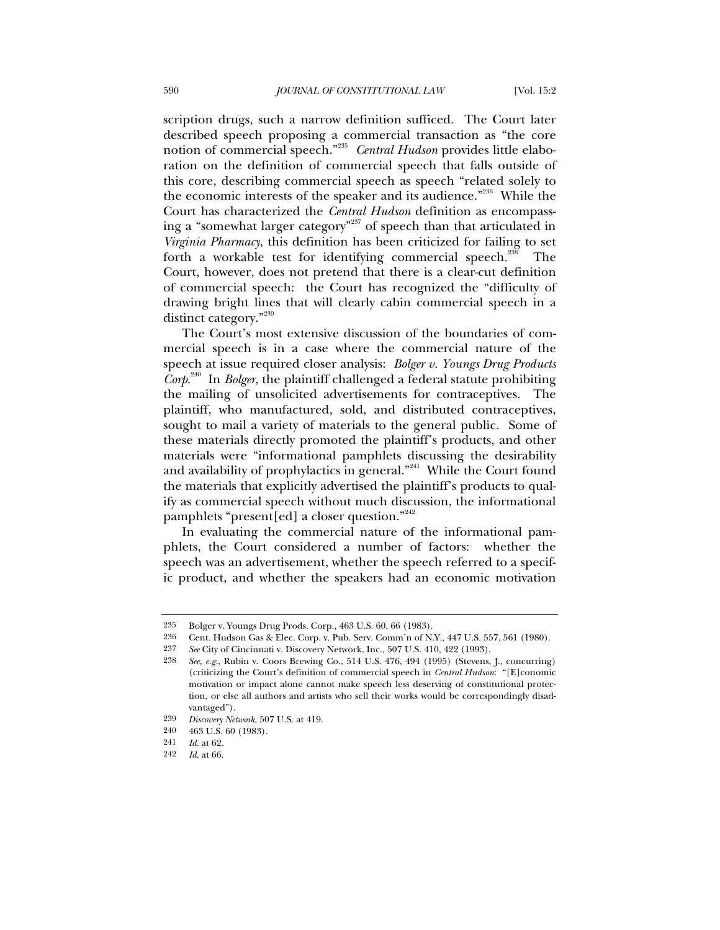scription drugs, such a narrow definition sufficed. The Court later described speech proposing a commercial transaction as "the core notion of commercial speech."<sup>235</sup> *Central Hudson* provides little elaboration on the definition of commercial speech that falls outside of this core, describing commercial speech as speech "related solely to the economic interests of the speaker and its audience."236 While the Court has characterized the *Central Hudson* definition as encompassing a "somewhat larger category"<sup>237</sup> of speech than that articulated in *Virginia Pharmacy*, this definition has been criticized for failing to set forth a workable test for identifying commercial speech.<sup>238</sup> The Court, however, does not pretend that there is a clear-cut definition of commercial speech: the Court has recognized the "difficulty of drawing bright lines that will clearly cabin commercial speech in a distinct category."<sup>239</sup>

The Court's most extensive discussion of the boundaries of commercial speech is in a case where the commercial nature of the speech at issue required closer analysis: *Bolger v. Youngs Drug Products Corp*. 240 In *Bolger*, the plaintiff challenged a federal statute prohibiting the mailing of unsolicited advertisements for contraceptives. The plaintiff, who manufactured, sold, and distributed contraceptives, sought to mail a variety of materials to the general public. Some of these materials directly promoted the plaintiff's products, and other materials were "informational pamphlets discussing the desirability and availability of prophylactics in general."<sup>241</sup> While the Court found the materials that explicitly advertised the plaintiff's products to qualify as commercial speech without much discussion, the informational pamphlets "present[ed] a closer question."<sup>242</sup>

In evaluating the commercial nature of the informational pamphlets, the Court considered a number of factors: whether the speech was an advertisement, whether the speech referred to a specific product, and whether the speakers had an economic motivation

236 Cent. Hudson Gas & Elec. Corp. v. Pub. Serv. Comm'n of N.Y., 447 U.S. 557, 561 (1980).

<sup>235</sup> Bolger v. Youngs Drug Prods. Corp., 463 U.S. 60, 66 (1983).

<sup>237</sup> *See* City of Cincinnati v. Discovery Network, Inc., 507 U.S. 410, 422 (1993).

<sup>238</sup> *See, e.g.*, Rubin v. Coors Brewing Co., 514 U.S. 476, 494 (1995) (Stevens, J., concurring) (criticizing the Court's definition of commercial speech in *Central Hudson*: "[E]conomic motivation or impact alone cannot make speech less deserving of constitutional protection, or else all authors and artists who sell their works would be correspondingly disadvantaged").

<sup>239</sup> *Discovery Network*, 507 U.S. at 419.

<sup>240 463</sup> U.S. 60 (1983).

<sup>241</sup> *Id.* at 62.

<sup>242</sup> *Id.* at 66.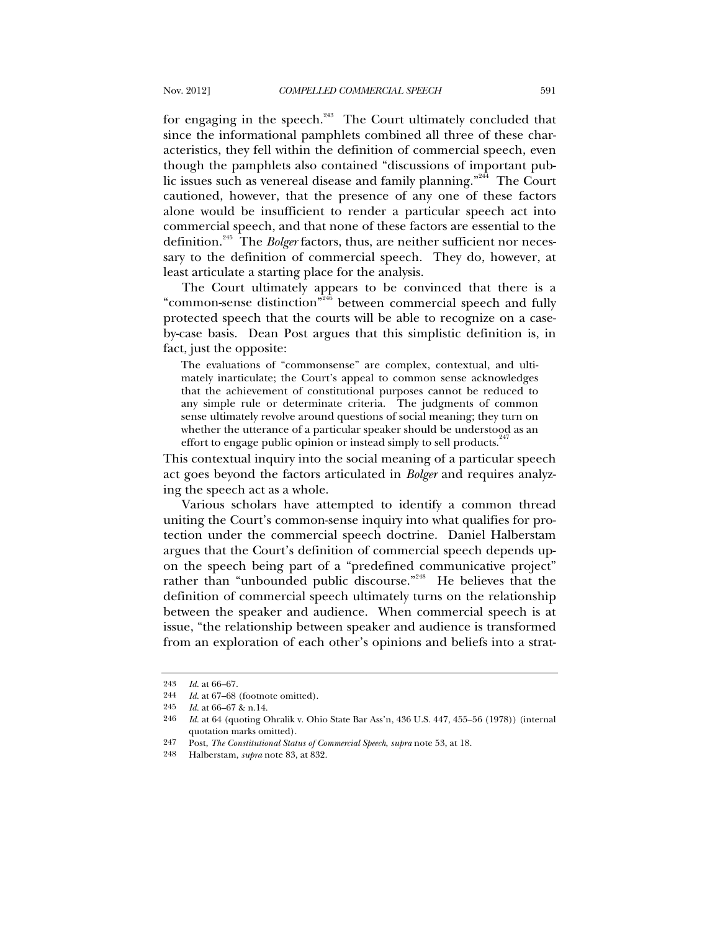for engaging in the speech.<sup>243</sup> The Court ultimately concluded that since the informational pamphlets combined all three of these characteristics, they fell within the definition of commercial speech, even though the pamphlets also contained "discussions of important public issues such as venereal disease and family planning."<sup>244</sup> The Court cautioned, however, that the presence of any one of these factors alone would be insufficient to render a particular speech act into commercial speech, and that none of these factors are essential to the definition.<sup>245</sup> The *Bolger* factors, thus, are neither sufficient nor necessary to the definition of commercial speech. They do, however, at least articulate a starting place for the analysis.

The Court ultimately appears to be convinced that there is a "common-sense distinction"<sup>246</sup> between commercial speech and fully protected speech that the courts will be able to recognize on a caseby-case basis. Dean Post argues that this simplistic definition is, in fact, just the opposite:

The evaluations of "commonsense" are complex, contextual, and ultimately inarticulate; the Court's appeal to common sense acknowledges that the achievement of constitutional purposes cannot be reduced to any simple rule or determinate criteria. The judgments of common sense ultimately revolve around questions of social meaning; they turn on whether the utterance of a particular speaker should be understood as an effort to engage public opinion or instead simply to sell products.<sup>24</sup>

This contextual inquiry into the social meaning of a particular speech act goes beyond the factors articulated in *Bolger* and requires analyzing the speech act as a whole.

Various scholars have attempted to identify a common thread uniting the Court's common-sense inquiry into what qualifies for protection under the commercial speech doctrine. Daniel Halberstam argues that the Court's definition of commercial speech depends upon the speech being part of a "predefined communicative project" rather than "unbounded public discourse."<sup>248</sup> He believes that the definition of commercial speech ultimately turns on the relationship between the speaker and audience. When commercial speech is at issue, "the relationship between speaker and audience is transformed from an exploration of each other's opinions and beliefs into a strat-

<sup>243</sup> *Id.* at 66–67.

<sup>244</sup> *Id.* at 67–68 (footnote omitted).

<sup>245</sup> *Id.* at 66–67 & n.14.

<sup>246</sup> *Id.* at 64 (quoting Ohralik v. Ohio State Bar Ass'n, 436 U.S. 447, 455–56 (1978)) (internal quotation marks omitted).

<sup>247</sup> Post, *The Constitutional Status of Commercial Speech*, *supra* note 53, at 18.

<sup>248</sup> Halberstam, *supra* note 83, at 832.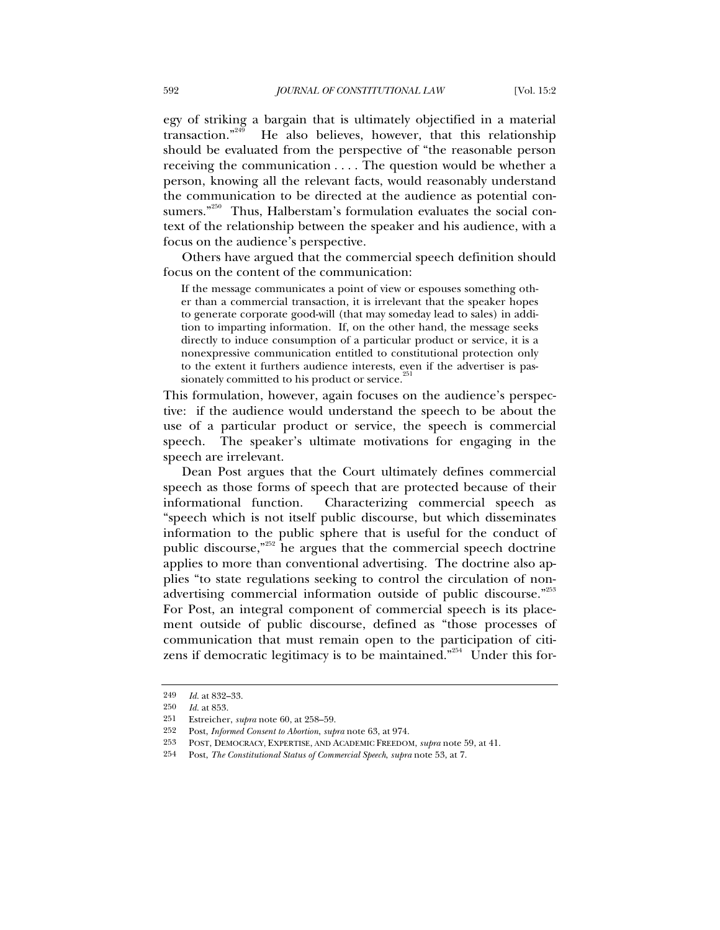egy of striking a bargain that is ultimately objectified in a material transaction." $249$  He also believes, however, that this relationship should be evaluated from the perspective of "the reasonable person receiving the communication . . . . The question would be whether a person, knowing all the relevant facts, would reasonably understand the communication to be directed at the audience as potential consumers."<sup>250</sup> Thus, Halberstam's formulation evaluates the social context of the relationship between the speaker and his audience, with a focus on the audience's perspective.

Others have argued that the commercial speech definition should focus on the content of the communication:

If the message communicates a point of view or espouses something other than a commercial transaction, it is irrelevant that the speaker hopes to generate corporate good-will (that may someday lead to sales) in addition to imparting information. If, on the other hand, the message seeks directly to induce consumption of a particular product or service, it is a nonexpressive communication entitled to constitutional protection only to the extent it furthers audience interests, even if the advertiser is passionately committed to his product or service.<sup>2</sup>

This formulation, however, again focuses on the audience's perspective: if the audience would understand the speech to be about the use of a particular product or service, the speech is commercial speech. The speaker's ultimate motivations for engaging in the speech are irrelevant.

Dean Post argues that the Court ultimately defines commercial speech as those forms of speech that are protected because of their informational function. Characterizing commercial speech as "speech which is not itself public discourse, but which disseminates information to the public sphere that is useful for the conduct of public discourse,"252 he argues that the commercial speech doctrine applies to more than conventional advertising. The doctrine also applies "to state regulations seeking to control the circulation of nonadvertising commercial information outside of public discourse."<sup>253</sup> For Post, an integral component of commercial speech is its placement outside of public discourse, defined as "those processes of communication that must remain open to the participation of citizens if democratic legitimacy is to be maintained."<sup>254</sup> Under this for-

<sup>249</sup> *Id.* at 832–33.

<sup>250</sup> *Id.* at 853.

<sup>251</sup> Estreicher, *supra* note 60, at 258–59.

<sup>252</sup> Post, *Informed Consent to Abortion*, *supra* note 63, at 974. 253 POST, DEMOCRACY, EXPERTISE, AND ACADEMIC FREEDOM, *supra* note 59, at 41.

<sup>254</sup> Post, *The Constitutional Status of Commercial Speech*, *supra* note 53, at 7.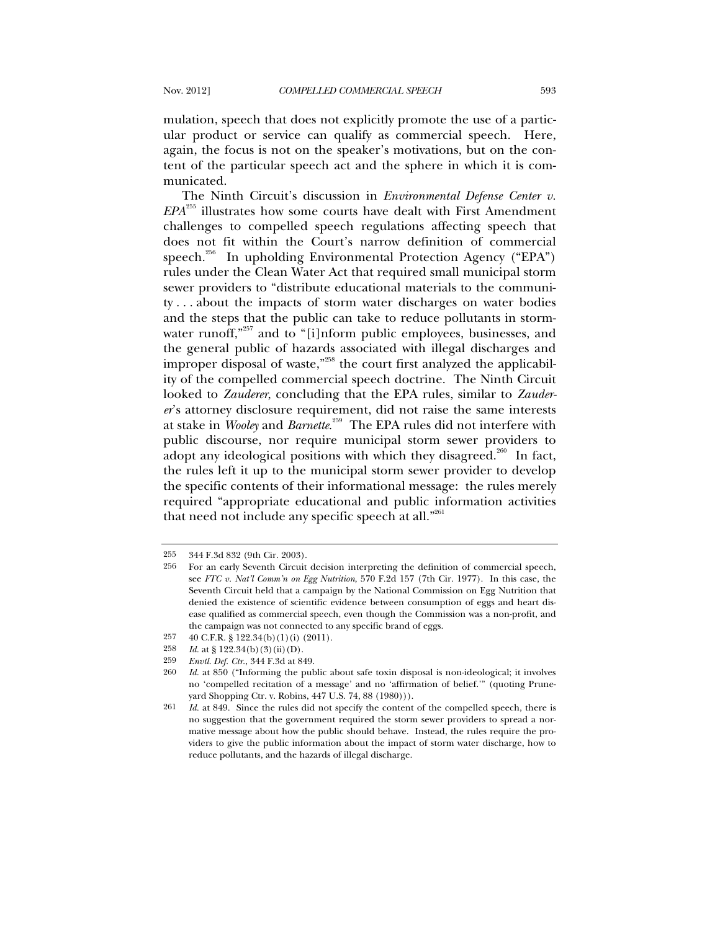mulation, speech that does not explicitly promote the use of a particular product or service can qualify as commercial speech. Here, again, the focus is not on the speaker's motivations, but on the content of the particular speech act and the sphere in which it is communicated.

The Ninth Circuit's discussion in *Environmental Defense Center v. EPA*255 illustrates how some courts have dealt with First Amendment challenges to compelled speech regulations affecting speech that does not fit within the Court's narrow definition of commercial speech.<sup>256</sup> In upholding Environmental Protection Agency ("EPA") rules under the Clean Water Act that required small municipal storm sewer providers to "distribute educational materials to the community . . . about the impacts of storm water discharges on water bodies and the steps that the public can take to reduce pollutants in stormwater runoff,"<sup>257</sup> and to "[i]nform public employees, businesses, and the general public of hazards associated with illegal discharges and improper disposal of waste,"<sup>258</sup> the court first analyzed the applicability of the compelled commercial speech doctrine. The Ninth Circuit looked to *Zauderer*, concluding that the EPA rules, similar to *Zauderer*'s attorney disclosure requirement, did not raise the same interests at stake in *Wooley* and *Barnette*. 259 The EPA rules did not interfere with public discourse, nor require municipal storm sewer providers to adopt any ideological positions with which they disagreed.<sup>260</sup> In fact, the rules left it up to the municipal storm sewer provider to develop the specific contents of their informational message: the rules merely required "appropriate educational and public information activities that need not include any specific speech at all."<sup>261</sup>

<sup>255 344</sup> F.3d 832 (9th Cir. 2003).

<sup>256</sup> For an early Seventh Circuit decision interpreting the definition of commercial speech, see *FTC v. Nat'l Comm'n on Egg Nutrition*, 570 F.2d 157 (7th Cir. 1977). In this case, the Seventh Circuit held that a campaign by the National Commission on Egg Nutrition that denied the existence of scientific evidence between consumption of eggs and heart disease qualified as commercial speech, even though the Commission was a non-profit, and the campaign was not connected to any specific brand of eggs.

<sup>257 40</sup> C.F.R. § 122.34(b)(1)(i) (2011).

<sup>258</sup> *Id.* at § 122.34(b)(3)(ii)(D).

<sup>259</sup> *Envtl. Def. Ctr.*, 344 F.3d at 849.

<sup>260</sup> *Id.* at 850 ("Informing the public about safe toxin disposal is non-ideological; it involves no 'compelled recitation of a message' and no 'affirmation of belief.'" (quoting Pruneyard Shopping Ctr. v. Robins, 447 U.S. 74, 88 (1980))).

<sup>261</sup> *Id.* at 849. Since the rules did not specify the content of the compelled speech, there is no suggestion that the government required the storm sewer providers to spread a normative message about how the public should behave. Instead, the rules require the providers to give the public information about the impact of storm water discharge, how to reduce pollutants, and the hazards of illegal discharge.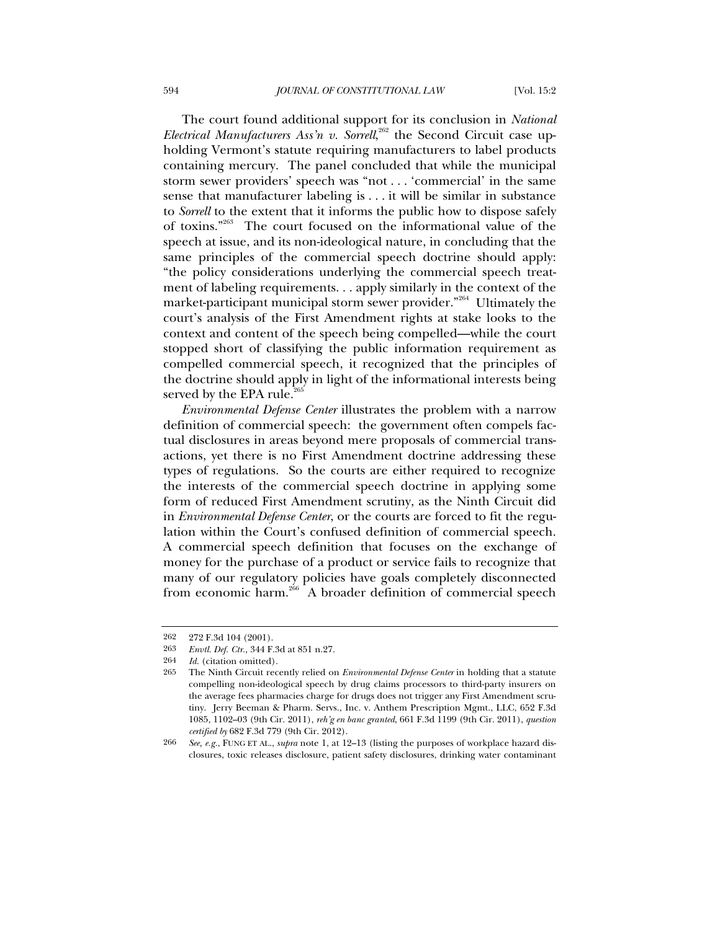The court found additional support for its conclusion in *National*  Electrical Manufacturers Ass'n v. Sorrell,<sup>262</sup> the Second Circuit case upholding Vermont's statute requiring manufacturers to label products containing mercury. The panel concluded that while the municipal storm sewer providers' speech was "not . . . 'commercial' in the same sense that manufacturer labeling is . . . it will be similar in substance to *Sorrell* to the extent that it informs the public how to dispose safely of toxins."263 The court focused on the informational value of the speech at issue, and its non-ideological nature, in concluding that the same principles of the commercial speech doctrine should apply: "the policy considerations underlying the commercial speech treatment of labeling requirements. . . apply similarly in the context of the market-participant municipal storm sewer provider.<sup>"264</sup> Ultimately the court's analysis of the First Amendment rights at stake looks to the context and content of the speech being compelled—while the court stopped short of classifying the public information requirement as compelled commercial speech, it recognized that the principles of the doctrine should apply in light of the informational interests being served by the EPA rule. $2<sup>26</sup>$ 

*Environmental Defense Center* illustrates the problem with a narrow definition of commercial speech: the government often compels factual disclosures in areas beyond mere proposals of commercial transactions, yet there is no First Amendment doctrine addressing these types of regulations. So the courts are either required to recognize the interests of the commercial speech doctrine in applying some form of reduced First Amendment scrutiny, as the Ninth Circuit did in *Environmental Defense Center*, or the courts are forced to fit the regulation within the Court's confused definition of commercial speech. A commercial speech definition that focuses on the exchange of money for the purchase of a product or service fails to recognize that many of our regulatory policies have goals completely disconnected from economic harm.<sup>266</sup> A broader definition of commercial speech

<sup>262 272</sup> F.3d 104 (2001).

<sup>263</sup> *Envtl. Def. Ctr.*, 344 F.3d at 851 n.27.

<sup>264</sup> *Id.* (citation omitted).

<sup>265</sup> The Ninth Circuit recently relied on *Environmental Defense Center* in holding that a statute compelling non-ideological speech by drug claims processors to third-party insurers on the average fees pharmacies charge for drugs does not trigger any First Amendment scrutiny. Jerry Beeman & Pharm. Servs., Inc. v. Anthem Prescription Mgmt., LLC, 652 F.3d 1085, 1102–03 (9th Cir. 2011), *reh'g en banc granted*, 661 F.3d 1199 (9th Cir. 2011), *question certified by* 682 F.3d 779 (9th Cir. 2012).

<sup>266</sup> *See, e.g.*, FUNG ET AL., *supra* note 1, at 12–13 (listing the purposes of workplace hazard disclosures, toxic releases disclosure, patient safety disclosures, drinking water contaminant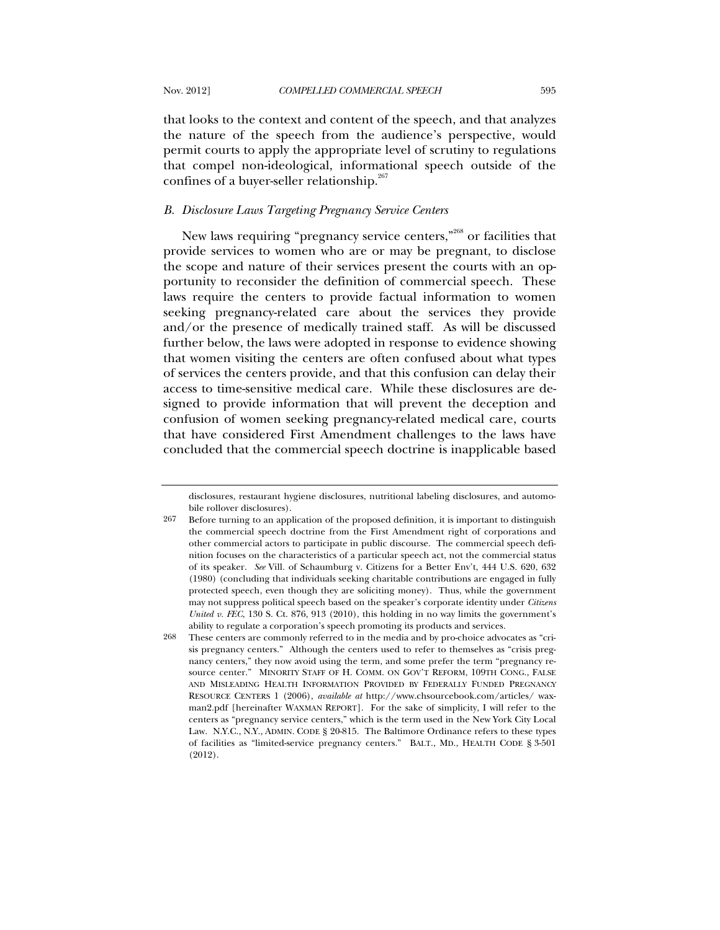that looks to the context and content of the speech, and that analyzes the nature of the speech from the audience's perspective, would permit courts to apply the appropriate level of scrutiny to regulations that compel non-ideological, informational speech outside of the confines of a buyer-seller relationship. $267$ 

# *B. Disclosure Laws Targeting Pregnancy Service Centers*

New laws requiring "pregnancy service centers,"<sup>268</sup> or facilities that provide services to women who are or may be pregnant, to disclose the scope and nature of their services present the courts with an opportunity to reconsider the definition of commercial speech. These laws require the centers to provide factual information to women seeking pregnancy-related care about the services they provide and/or the presence of medically trained staff. As will be discussed further below, the laws were adopted in response to evidence showing that women visiting the centers are often confused about what types of services the centers provide, and that this confusion can delay their access to time-sensitive medical care. While these disclosures are designed to provide information that will prevent the deception and confusion of women seeking pregnancy-related medical care, courts that have considered First Amendment challenges to the laws have concluded that the commercial speech doctrine is inapplicable based

disclosures, restaurant hygiene disclosures, nutritional labeling disclosures, and automobile rollover disclosures).

<sup>267</sup> Before turning to an application of the proposed definition, it is important to distinguish the commercial speech doctrine from the First Amendment right of corporations and other commercial actors to participate in public discourse. The commercial speech definition focuses on the characteristics of a particular speech act, not the commercial status of its speaker. *See* Vill. of Schaumburg v. Citizens for a Better Env't, 444 U.S. 620, 632 (1980) (concluding that individuals seeking charitable contributions are engaged in fully protected speech, even though they are soliciting money). Thus, while the government may not suppress political speech based on the speaker's corporate identity under *Citizens United v. FEC*, 130 S. Ct. 876, 913 (2010), this holding in no way limits the government's ability to regulate a corporation's speech promoting its products and services.

<sup>268</sup> These centers are commonly referred to in the media and by pro-choice advocates as "crisis pregnancy centers." Although the centers used to refer to themselves as "crisis pregnancy centers," they now avoid using the term, and some prefer the term "pregnancy resource center." MINORITY STAFF OF H. COMM. ON GOV'T REFORM, 109TH CONG., FALSE AND MISLEADING HEALTH INFORMATION PROVIDED BY FEDERALLY FUNDED PREGNANCY RESOURCE CENTERS 1 (2006), *available at* http://www.chsourcebook.com/articles/ waxman2.pdf [hereinafter WAXMAN REPORT]. For the sake of simplicity, I will refer to the centers as "pregnancy service centers," which is the term used in the New York City Local Law. N.Y.C., N.Y., ADMIN. CODE § 20-815. The Baltimore Ordinance refers to these types of facilities as "limited-service pregnancy centers." BALT., MD., HEALTH CODE § 3-501 (2012).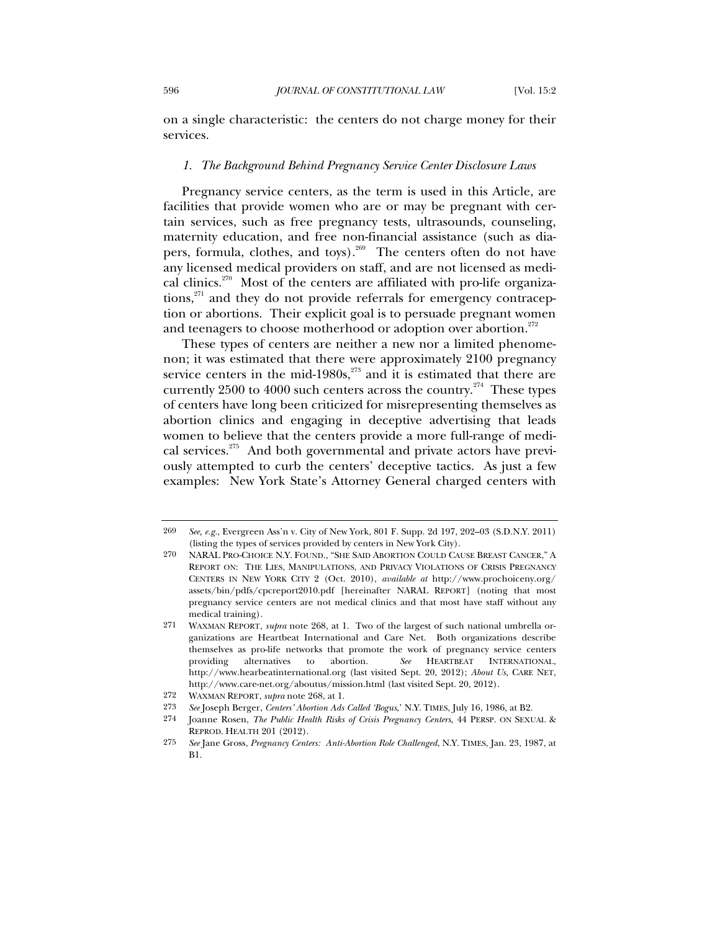on a single characteristic: the centers do not charge money for their services.

### *1. The Background Behind Pregnancy Service Center Disclosure Laws*

Pregnancy service centers, as the term is used in this Article, are facilities that provide women who are or may be pregnant with certain services, such as free pregnancy tests, ultrasounds, counseling, maternity education, and free non-financial assistance (such as diapers, formula, clothes, and toys).<sup>269</sup> The centers often do not have any licensed medical providers on staff, and are not licensed as medical clinics.<sup>270</sup> Most of the centers are affiliated with pro-life organizations,<sup>271</sup> and they do not provide referrals for emergency contraception or abortions. Their explicit goal is to persuade pregnant women and teenagers to choose motherhood or adoption over abortion.<sup>272</sup>

These types of centers are neither a new nor a limited phenomenon; it was estimated that there were approximately 2100 pregnancy service centers in the mid-1980s, $^{273}$  and it is estimated that there are currently  $2500$  to  $4000$  such centers across the country.<sup>274</sup> These types of centers have long been criticized for misrepresenting themselves as abortion clinics and engaging in deceptive advertising that leads women to believe that the centers provide a more full-range of medical services. $275$  And both governmental and private actors have previously attempted to curb the centers' deceptive tactics. As just a few examples: New York State's Attorney General charged centers with

<sup>269</sup> *See, e.g.*, Evergreen Ass'n v. City of New York, 801 F. Supp. 2d 197, 202–03 (S.D.N.Y. 2011) (listing the types of services provided by centers in New York City).

<sup>270</sup> NARAL PRO-CHOICE N.Y. FOUND., "SHE SAID ABORTION COULD CAUSE BREAST CANCER," A REPORT ON: THE LIES, MANIPULATIONS, AND PRIVACY VIOLATIONS OF CRISIS PREGNANCY CENTERS IN NEW YORK CITY 2 (Oct. 2010), *available at* http://www.prochoiceny.org/ assets/bin/pdfs/cpcreport2010.pdf [hereinafter NARAL REPORT] (noting that most pregnancy service centers are not medical clinics and that most have staff without any medical training).

<sup>271</sup> WAXMAN REPORT, *supra* note 268, at 1. Two of the largest of such national umbrella organizations are Heartbeat International and Care Net. Both organizations describe themselves as pro-life networks that promote the work of pregnancy service centers providing alternatives to abortion. *See* HEARTBEAT INTERNATIONAL, http://www.hearbeatinternational.org (last visited Sept. 20, 2012); *About Us*, CARE NET, http://www.care-net.org/aboutus/mission.html (last visited Sept. 20, 2012).

<sup>272</sup> WAXMAN REPORT, *supra* note 268, at 1.

<sup>273</sup> *See* Joseph Berger, *Centers' Abortion Ads Called 'Bogus*,' N.Y. TIMES, July 16, 1986, at B2.

<sup>274</sup> Joanne Rosen, *The Public Health Risks of Crisis Pregnancy Centers*, 44 PERSP. ON SEXUAL & REPROD. HEALTH 201 (2012).

<sup>275</sup> *See* Jane Gross, *Pregnancy Centers: Anti-Abortion Role Challenged*, N.Y. TIMES, Jan. 23, 1987, at B1.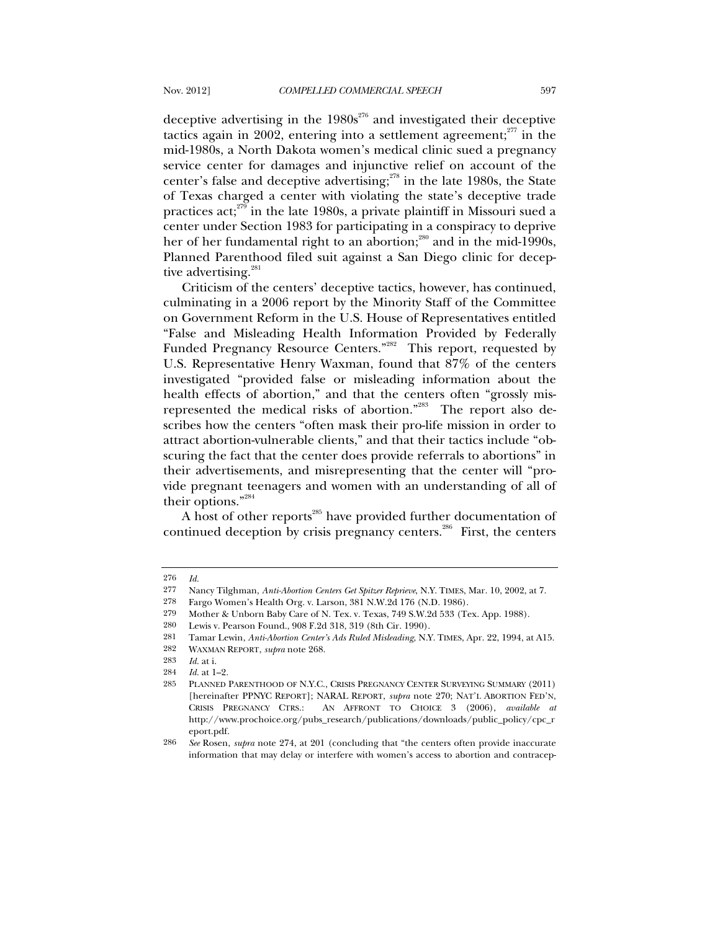deceptive advertising in the  $1980s^{276}$  and investigated their deceptive tactics again in 2002, entering into a settlement agreement; $277$  in the mid-1980s, a North Dakota women's medical clinic sued a pregnancy service center for damages and injunctive relief on account of the center's false and deceptive advertising;<sup>278</sup> in the late 1980s, the State of Texas charged a center with violating the state's deceptive trade practices act;<sup>279</sup> in the late 1980s, a private plaintiff in Missouri sued a center under Section 1983 for participating in a conspiracy to deprive her of her fundamental right to an abortion;<sup>280</sup> and in the mid-1990s, Planned Parenthood filed suit against a San Diego clinic for deceptive advertising. $281$ 

Criticism of the centers' deceptive tactics, however, has continued, culminating in a 2006 report by the Minority Staff of the Committee on Government Reform in the U.S. House of Representatives entitled "False and Misleading Health Information Provided by Federally Funded Pregnancy Resource Centers."<sup>282</sup> This report, requested by U.S. Representative Henry Waxman, found that 87% of the centers investigated "provided false or misleading information about the health effects of abortion," and that the centers often "grossly misrepresented the medical risks of abortion."<sup>283</sup> The report also describes how the centers "often mask their pro-life mission in order to attract abortion-vulnerable clients," and that their tactics include "obscuring the fact that the center does provide referrals to abortions" in their advertisements, and misrepresenting that the center will "provide pregnant teenagers and women with an understanding of all of their options."<sup>284</sup>

A host of other reports<sup>285</sup> have provided further documentation of continued deception by crisis pregnancy centers.<sup>286</sup> First, the centers

<sup>276</sup> *Id.*

<sup>277</sup> Nancy Tilghman, *Anti-Abortion Centers Get Spitzer Reprieve*, N.Y. TIMES, Mar. 10, 2002, at 7.

<sup>278</sup> Fargo Women's Health Org. v. Larson, 381 N.W.2d 176 (N.D. 1986).

<sup>279</sup> Mother & Unborn Baby Care of N. Tex. v. Texas, 749 S.W.2d 533 (Tex. App. 1988).

<sup>280</sup> Lewis v. Pearson Found., 908 F.2d 318, 319 (8th Cir. 1990).

<sup>281</sup> Tamar Lewin, *Anti-Abortion Center's Ads Ruled Misleading*, N.Y. TIMES, Apr. 22, 1994, at A15.

<sup>282</sup> WAXMAN REPORT, *supra* note 268.

<sup>283</sup> *Id.* at i.

<sup>284</sup> *Id.* at 1–2.

<sup>285</sup> PLANNED PARENTHOOD OF N.Y.C., CRISIS PREGNANCY CENTER SURVEYING SUMMARY (2011) [hereinafter PPNYC REPORT]; NARAL REPORT, *supra* note 270; NAT'L ABORTION FED'N, CRISIS PREGNANCY CTRS.: AN AFFRONT TO CHOICE 3 (2006), *available at*  http://www.prochoice.org/pubs\_research/publications/downloads/public\_policy/cpc\_r eport.pdf.

<sup>286</sup> *See* Rosen, *supra* note 274, at 201 (concluding that "the centers often provide inaccurate information that may delay or interfere with women's access to abortion and contracep-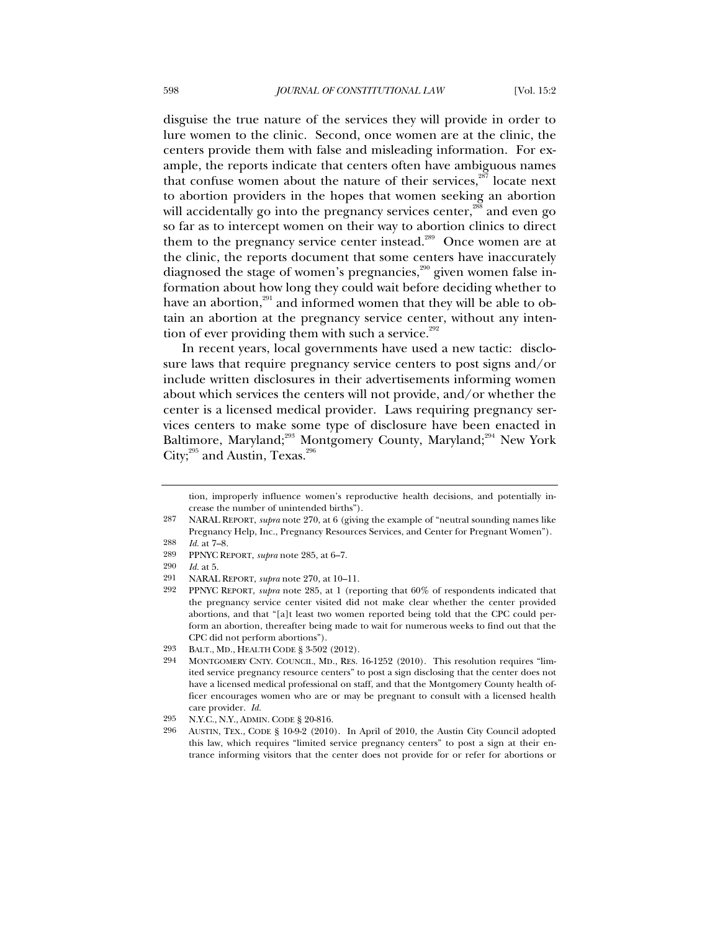disguise the true nature of the services they will provide in order to lure women to the clinic. Second, once women are at the clinic, the centers provide them with false and misleading information. For example, the reports indicate that centers often have ambiguous names that confuse women about the nature of their services, $287$  locate next to abortion providers in the hopes that women seeking an abortion will accidentally go into the pregnancy services center,<sup>288</sup> and even go so far as to intercept women on their way to abortion clinics to direct them to the pregnancy service center instead.<sup>289</sup> Once women are at the clinic, the reports document that some centers have inaccurately diagnosed the stage of women's pregnancies,<sup>290</sup> given women false information about how long they could wait before deciding whether to have an abortion, $291$  and informed women that they will be able to obtain an abortion at the pregnancy service center, without any intention of ever providing them with such a service. $292$ 

In recent years, local governments have used a new tactic: disclosure laws that require pregnancy service centers to post signs and/or include written disclosures in their advertisements informing women about which services the centers will not provide, and/or whether the center is a licensed medical provider. Laws requiring pregnancy services centers to make some type of disclosure have been enacted in Baltimore, Maryland;<sup>293</sup> Montgomery County, Maryland;<sup>294</sup> New York City;<sup>295</sup> and Austin, Texas.<sup>296</sup>

tion, improperly influence women's reproductive health decisions, and potentially increase the number of unintended births").

<sup>287</sup> NARAL REPORT, *supra* note 270, at 6 (giving the example of "neutral sounding names like Pregnancy Help, Inc., Pregnancy Resources Services, and Center for Pregnant Women"). 288 *Id.* at 7–8.

<sup>289</sup> PPNYC REPORT, *supra* note 285, at 6–7.

<sup>290</sup> *Id.* at 5.

<sup>291</sup> NARAL REPORT, *supra* note 270, at 10–11.

<sup>292</sup> PPNYC REPORT, *supra* note 285, at 1 (reporting that 60% of respondents indicated that the pregnancy service center visited did not make clear whether the center provided abortions, and that "[a]t least two women reported being told that the CPC could perform an abortion, thereafter being made to wait for numerous weeks to find out that the CPC did not perform abortions").

<sup>293</sup> BALT., MD., HEALTH CODE § 3-502 (2012).

<sup>294</sup> MONTGOMERY CNTY. COUNCIL, MD., RES. 16-1252 (2010). This resolution requires "limited service pregnancy resource centers" to post a sign disclosing that the center does not have a licensed medical professional on staff, and that the Montgomery County health officer encourages women who are or may be pregnant to consult with a licensed health care provider. *Id.*

<sup>295</sup> N.Y.C., N.Y., ADMIN. CODE § 20-816.

<sup>296</sup> AUSTIN, TEX., CODE § 10-9-2 (2010). In April of 2010, the Austin City Council adopted this law, which requires "limited service pregnancy centers" to post a sign at their entrance informing visitors that the center does not provide for or refer for abortions or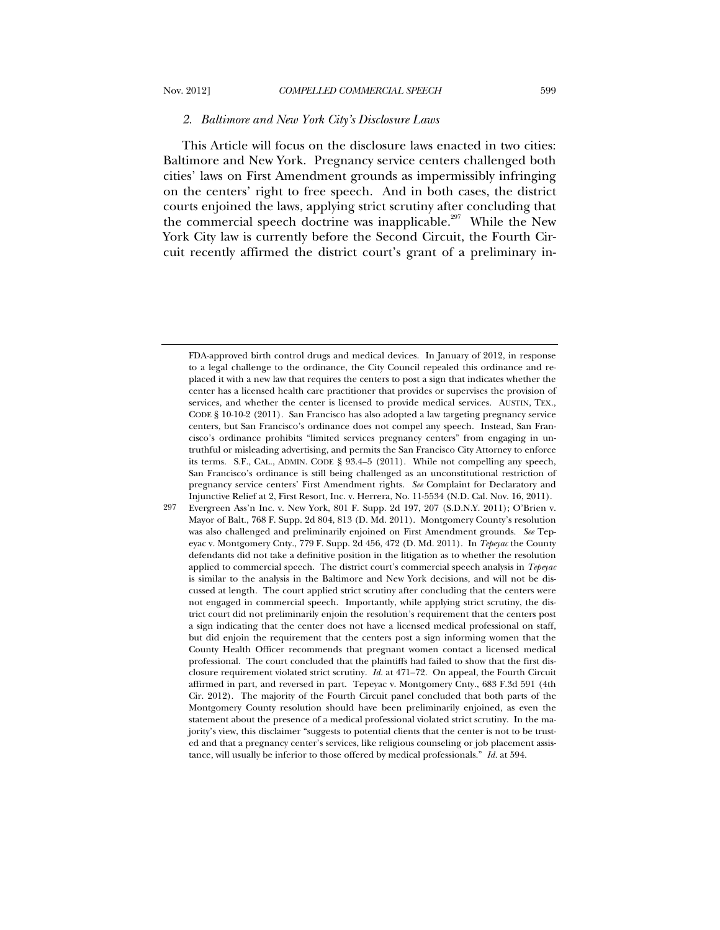#### *2. Baltimore and New York City's Disclosure Laws*

This Article will focus on the disclosure laws enacted in two cities: Baltimore and New York. Pregnancy service centers challenged both cities' laws on First Amendment grounds as impermissibly infringing on the centers' right to free speech. And in both cases, the district courts enjoined the laws, applying strict scrutiny after concluding that the commercial speech doctrine was inapplicable.<sup>297</sup> While the New York City law is currently before the Second Circuit, the Fourth Circuit recently affirmed the district court's grant of a preliminary in-

FDA-approved birth control drugs and medical devices. In January of 2012, in response to a legal challenge to the ordinance, the City Council repealed this ordinance and replaced it with a new law that requires the centers to post a sign that indicates whether the center has a licensed health care practitioner that provides or supervises the provision of services, and whether the center is licensed to provide medical services. AUSTIN, TEX., CODE § 10-10-2 (2011). San Francisco has also adopted a law targeting pregnancy service centers, but San Francisco's ordinance does not compel any speech. Instead, San Francisco's ordinance prohibits "limited services pregnancy centers" from engaging in untruthful or misleading advertising, and permits the San Francisco City Attorney to enforce its terms. S.F., CAL., ADMIN. CODE § 93.4–5 (2011). While not compelling any speech, San Francisco's ordinance is still being challenged as an unconstitutional restriction of pregnancy service centers' First Amendment rights. *See* Complaint for Declaratory and Injunctive Relief at 2, First Resort, Inc. v. Herrera, No. 11-5534 (N.D. Cal. Nov. 16, 2011).

<sup>297</sup> Evergreen Ass'n Inc. v. New York, 801 F. Supp. 2d 197, 207 (S.D.N.Y. 2011); O'Brien v. Mayor of Balt., 768 F. Supp. 2d 804, 813 (D. Md. 2011). Montgomery County's resolution was also challenged and preliminarily enjoined on First Amendment grounds. *See* Tepeyac v. Montgomery Cnty., 779 F. Supp. 2d 456, 472 (D. Md. 2011). In *Tepeyac* the County defendants did not take a definitive position in the litigation as to whether the resolution applied to commercial speech. The district court's commercial speech analysis in *Tepeyac* is similar to the analysis in the Baltimore and New York decisions, and will not be discussed at length. The court applied strict scrutiny after concluding that the centers were not engaged in commercial speech. Importantly, while applying strict scrutiny, the district court did not preliminarily enjoin the resolution's requirement that the centers post a sign indicating that the center does not have a licensed medical professional on staff, but did enjoin the requirement that the centers post a sign informing women that the County Health Officer recommends that pregnant women contact a licensed medical professional. The court concluded that the plaintiffs had failed to show that the first disclosure requirement violated strict scrutiny. *Id.* at 471–72. On appeal, the Fourth Circuit affirmed in part, and reversed in part. Tepeyac v. Montgomery Cnty., 683 F.3d 591 (4th Cir. 2012). The majority of the Fourth Circuit panel concluded that both parts of the Montgomery County resolution should have been preliminarily enjoined, as even the statement about the presence of a medical professional violated strict scrutiny. In the majority's view, this disclaimer "suggests to potential clients that the center is not to be trusted and that a pregnancy center's services, like religious counseling or job placement assistance, will usually be inferior to those offered by medical professionals." *Id.* at 594.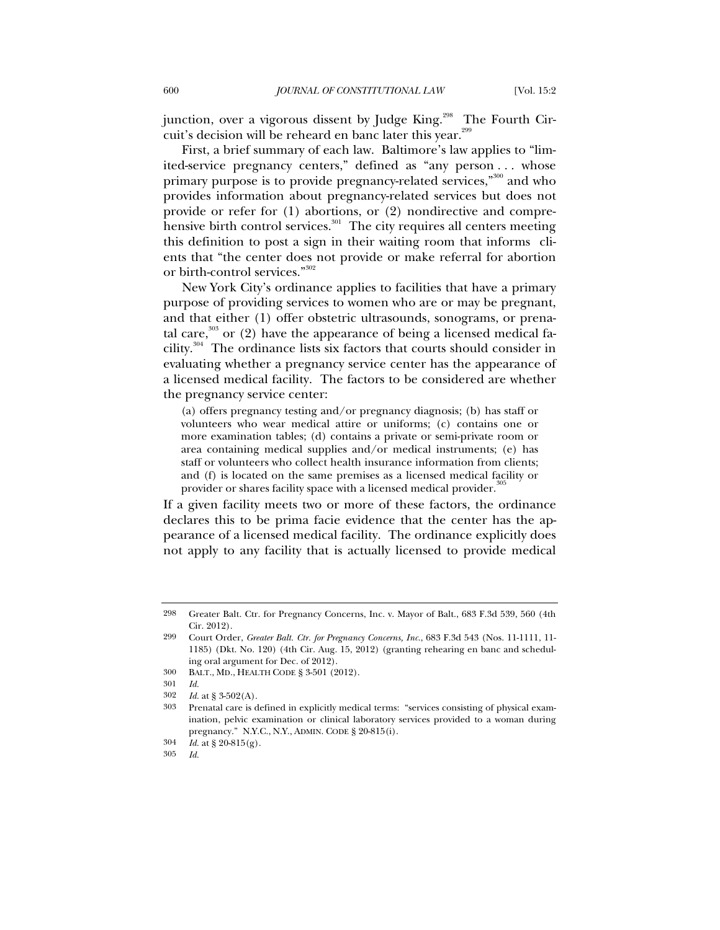junction, over a vigorous dissent by Judge King.<sup>298</sup> The Fourth Circuit's decision will be reheard en banc later this year.<sup>299</sup>

First, a brief summary of each law. Baltimore's law applies to "limited-service pregnancy centers," defined as "any person . . . whose primary purpose is to provide pregnancy-related services,"<sup>300</sup> and who provides information about pregnancy-related services but does not provide or refer for (1) abortions, or (2) nondirective and comprehensive birth control services. $301$  The city requires all centers meeting this definition to post a sign in their waiting room that informs clients that "the center does not provide or make referral for abortion or birth-control services."302

New York City's ordinance applies to facilities that have a primary purpose of providing services to women who are or may be pregnant, and that either (1) offer obstetric ultrasounds, sonograms, or prenatal care, $303$  or (2) have the appearance of being a licensed medical facility.<sup>304</sup> The ordinance lists six factors that courts should consider in evaluating whether a pregnancy service center has the appearance of a licensed medical facility. The factors to be considered are whether the pregnancy service center:

(a) offers pregnancy testing and/or pregnancy diagnosis; (b) has staff or volunteers who wear medical attire or uniforms; (c) contains one or more examination tables; (d) contains a private or semi-private room or area containing medical supplies and/or medical instruments; (e) has staff or volunteers who collect health insurance information from clients; and (f) is located on the same premises as a licensed medical facility or provider or shares facility space with a licensed medical provider.<sup>3</sup>

If a given facility meets two or more of these factors, the ordinance declares this to be prima facie evidence that the center has the appearance of a licensed medical facility. The ordinance explicitly does not apply to any facility that is actually licensed to provide medical

305 *Id.*

<sup>298</sup> Greater Balt. Ctr. for Pregnancy Concerns, Inc. v. Mayor of Balt., 683 F.3d 539, 560 (4th Cir. 2012).

<sup>299</sup> Court Order, *Greater Balt. Ctr. for Pregnancy Concerns, Inc.*, 683 F.3d 543 (Nos. 11-1111, 11- 1185) (Dkt. No. 120) (4th Cir. Aug. 15, 2012) (granting rehearing en banc and scheduling oral argument for Dec. of 2012).

<sup>300</sup> BALT., MD., HEALTH CODE § 3-501 (2012).

<sup>301</sup> *Id.*

<sup>302</sup> *Id.* at § 3-502(A).

<sup>303</sup> Prenatal care is defined in explicitly medical terms: "services consisting of physical examination, pelvic examination or clinical laboratory services provided to a woman during pregnancy." N.Y.C., N.Y., ADMIN. CODE § 20-815(i).

<sup>304</sup> *Id.* at § 20-815(g).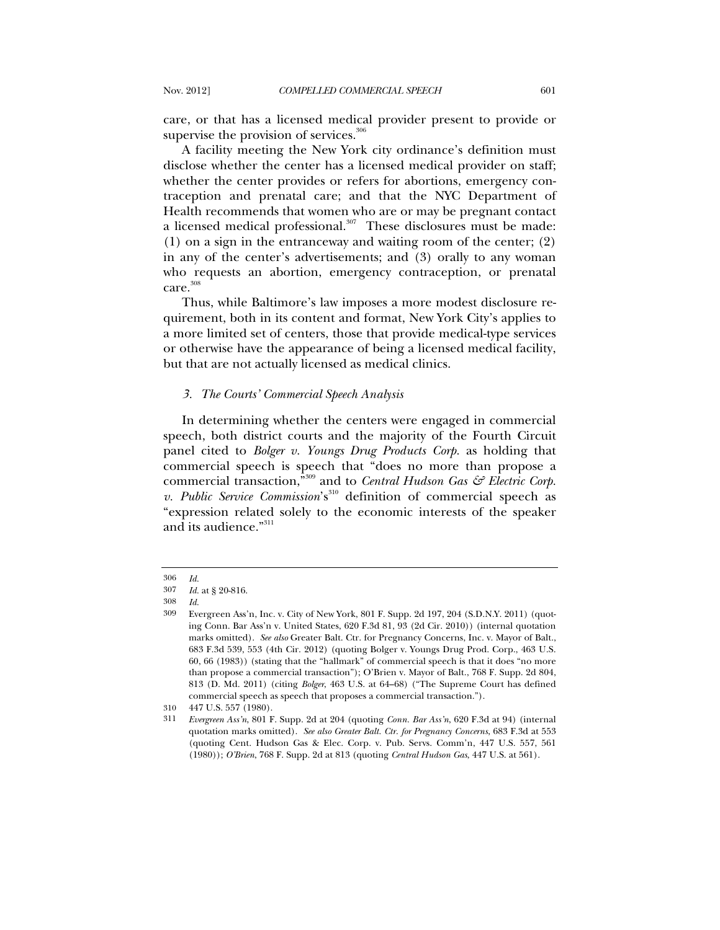care, or that has a licensed medical provider present to provide or supervise the provision of services. $306$ 

A facility meeting the New York city ordinance's definition must disclose whether the center has a licensed medical provider on staff; whether the center provides or refers for abortions, emergency contraception and prenatal care; and that the NYC Department of Health recommends that women who are or may be pregnant contact a licensed medical professional. $307$  These disclosures must be made: (1) on a sign in the entranceway and waiting room of the center; (2) in any of the center's advertisements; and (3) orally to any woman who requests an abortion, emergency contraception, or prenatal care.<sup>308</sup>

Thus, while Baltimore's law imposes a more modest disclosure requirement, both in its content and format, New York City's applies to a more limited set of centers, those that provide medical-type services or otherwise have the appearance of being a licensed medical facility, but that are not actually licensed as medical clinics.

# *3. The Courts' Commercial Speech Analysis*

In determining whether the centers were engaged in commercial speech, both district courts and the majority of the Fourth Circuit panel cited to *Bolger v. Youngs Drug Products Corp.* as holding that commercial speech is speech that "does no more than propose a commercial transaction,<sup>"309</sup> and to *Central Hudson Gas* & *Electric Corp. v. Public Service Commission*'s<sup>310</sup> definition of commercial speech as "expression related solely to the economic interests of the speaker and its audience."<sup>311</sup>

<sup>306</sup> *Id.*

<sup>307</sup> *Id.* at § 20-816.

<sup>308</sup> *Id.*

<sup>309</sup> Evergreen Ass'n, Inc. v. City of New York, 801 F. Supp. 2d 197, 204 (S.D.N.Y. 2011) (quoting Conn. Bar Ass'n v. United States, 620 F.3d 81, 93 (2d Cir. 2010)) (internal quotation marks omitted). *See also* Greater Balt. Ctr. for Pregnancy Concerns, Inc. v. Mayor of Balt., 683 F.3d 539, 553 (4th Cir. 2012) (quoting Bolger v. Youngs Drug Prod. Corp., 463 U.S. 60, 66 (1983)) (stating that the "hallmark" of commercial speech is that it does "no more than propose a commercial transaction"); O'Brien v. Mayor of Balt., 768 F. Supp. 2d 804, 813 (D. Md. 2011) (citing *Bolger*, 463 U.S. at 64–68) ("The Supreme Court has defined commercial speech as speech that proposes a commercial transaction.").

<sup>310 447</sup> U.S. 557 (1980).

<sup>311</sup> *Evergreen Ass'n*, 801 F. Supp. 2d at 204 (quoting *Conn. Bar Ass'n*, 620 F.3d at 94) (internal quotation marks omitted). *See also Greater Balt. Ctr. for Pregnancy Concerns*, 683 F.3d at 553 (quoting Cent. Hudson Gas & Elec. Corp. v. Pub. Servs. Comm'n, 447 U.S. 557, 561 (1980)); *O'Brien*, 768 F. Supp. 2d at 813 (quoting *Central Hudson Gas*, 447 U.S. at 561).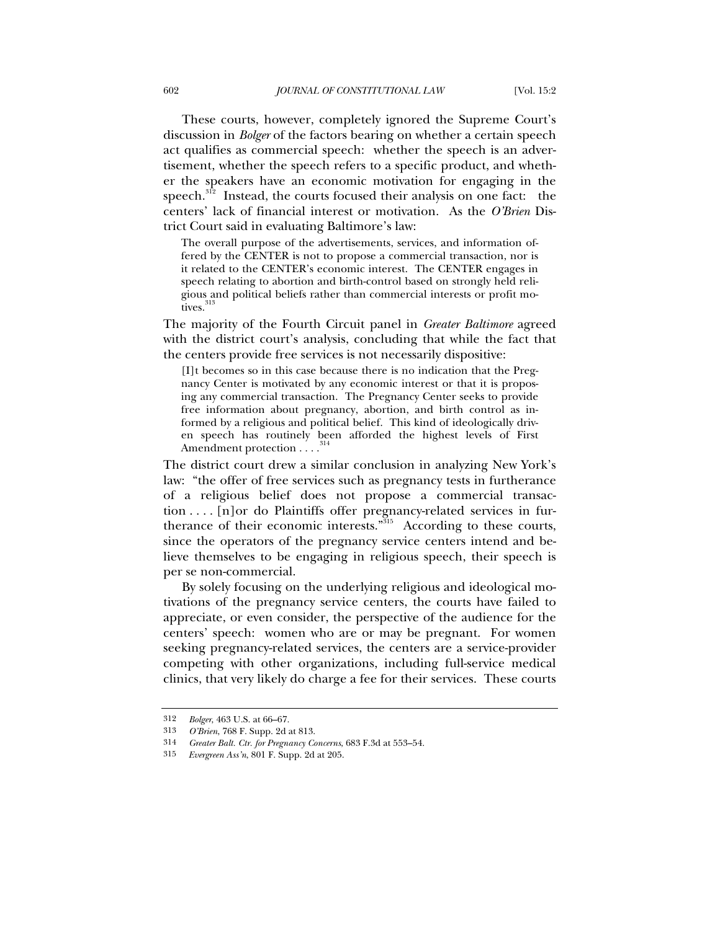These courts, however, completely ignored the Supreme Court's discussion in *Bolger* of the factors bearing on whether a certain speech act qualifies as commercial speech: whether the speech is an advertisement, whether the speech refers to a specific product, and whether the speakers have an economic motivation for engaging in the speech. $312$  Instead, the courts focused their analysis on one fact: the centers' lack of financial interest or motivation. As the *O'Brien* District Court said in evaluating Baltimore's law:

The overall purpose of the advertisements, services, and information offered by the CENTER is not to propose a commercial transaction, nor is it related to the CENTER's economic interest. The CENTER engages in speech relating to abortion and birth-control based on strongly held religious and political beliefs rather than commercial interests or profit motives.<sup>313</sup>

The majority of the Fourth Circuit panel in *Greater Baltimore* agreed with the district court's analysis, concluding that while the fact that the centers provide free services is not necessarily dispositive:

[I]t becomes so in this case because there is no indication that the Pregnancy Center is motivated by any economic interest or that it is proposing any commercial transaction. The Pregnancy Center seeks to provide free information about pregnancy, abortion, and birth control as informed by a religious and political belief. This kind of ideologically driven speech has routinely been afforded the highest levels of First Amendment protection . . . .<sup>3</sup>

The district court drew a similar conclusion in analyzing New York's law: "the offer of free services such as pregnancy tests in furtherance of a religious belief does not propose a commercial transaction . . . . [n]or do Plaintiffs offer pregnancy-related services in furtherance of their economic interests."315 According to these courts, since the operators of the pregnancy service centers intend and believe themselves to be engaging in religious speech, their speech is per se non-commercial.

By solely focusing on the underlying religious and ideological motivations of the pregnancy service centers, the courts have failed to appreciate, or even consider, the perspective of the audience for the centers' speech: women who are or may be pregnant. For women seeking pregnancy-related services, the centers are a service-provider competing with other organizations, including full-service medical clinics, that very likely do charge a fee for their services. These courts

<sup>312</sup> *Bolger*, 463 U.S. at 66–67.

<sup>313</sup> *O'Brien*, 768 F. Supp. 2d at 813.

<sup>314</sup> *Greater Balt. Ctr. for Pregnancy Concerns*, 683 F.3d at 553–54.

<sup>315</sup> *Evergreen Ass'n*, 801 F. Supp. 2d at 205.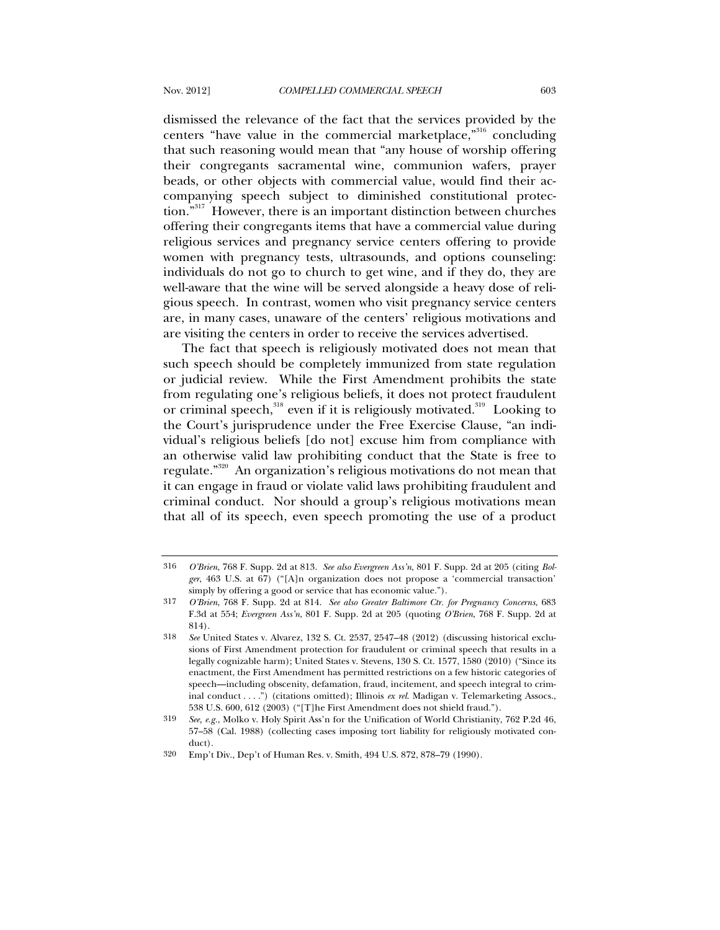dismissed the relevance of the fact that the services provided by the centers "have value in the commercial marketplace,"316 concluding that such reasoning would mean that "any house of worship offering their congregants sacramental wine, communion wafers, prayer beads, or other objects with commercial value, would find their accompanying speech subject to diminished constitutional protection."<sup>317</sup> However, there is an important distinction between churches offering their congregants items that have a commercial value during religious services and pregnancy service centers offering to provide women with pregnancy tests, ultrasounds, and options counseling: individuals do not go to church to get wine, and if they do, they are well-aware that the wine will be served alongside a heavy dose of religious speech. In contrast, women who visit pregnancy service centers are, in many cases, unaware of the centers' religious motivations and are visiting the centers in order to receive the services advertised.

The fact that speech is religiously motivated does not mean that such speech should be completely immunized from state regulation or judicial review. While the First Amendment prohibits the state from regulating one's religious beliefs, it does not protect fraudulent or criminal speech,<sup>318</sup> even if it is religiously motivated.<sup>319</sup> Looking to the Court's jurisprudence under the Free Exercise Clause, "an individual's religious beliefs [do not] excuse him from compliance with an otherwise valid law prohibiting conduct that the State is free to regulate."320 An organization's religious motivations do not mean that it can engage in fraud or violate valid laws prohibiting fraudulent and criminal conduct. Nor should a group's religious motivations mean that all of its speech, even speech promoting the use of a product

<sup>316</sup> *O'Brien*, 768 F. Supp. 2d at 813. *See also Evergreen Ass'n*, 801 F. Supp. 2d at 205 (citing *Bolger*, 463 U.S. at 67) ("[A]n organization does not propose a 'commercial transaction' simply by offering a good or service that has economic value.").

<sup>317</sup> *O'Brien*, 768 F. Supp. 2d at 814. *See also Greater Baltimore Ctr. for Pregnancy Concerns*, 683 F.3d at 554; *Evergreen Ass'n*, 801 F. Supp. 2d at 205 (quoting *O'Brien*, 768 F. Supp. 2d at 814).

<sup>318</sup> *See* United States v. Alvarez, 132 S. Ct. 2537, 2547–48 (2012) (discussing historical exclusions of First Amendment protection for fraudulent or criminal speech that results in a legally cognizable harm); United States v. Stevens, 130 S. Ct. 1577, 1580 (2010) ("Since its enactment, the First Amendment has permitted restrictions on a few historic categories of speech—including obscenity, defamation, fraud, incitement, and speech integral to criminal conduct . . . .") (citations omitted); Illinois *ex rel*. Madigan v. Telemarketing Assocs., 538 U.S. 600, 612 (2003) ("[T]he First Amendment does not shield fraud.").

<sup>319</sup> *See, e.g.*, Molko v. Holy Spirit Ass'n for the Unification of World Christianity, 762 P.2d 46, 57–58 (Cal. 1988) (collecting cases imposing tort liability for religiously motivated conduct).

<sup>320</sup> Emp't Div., Dep't of Human Res. v. Smith, 494 U.S. 872, 878–79 (1990).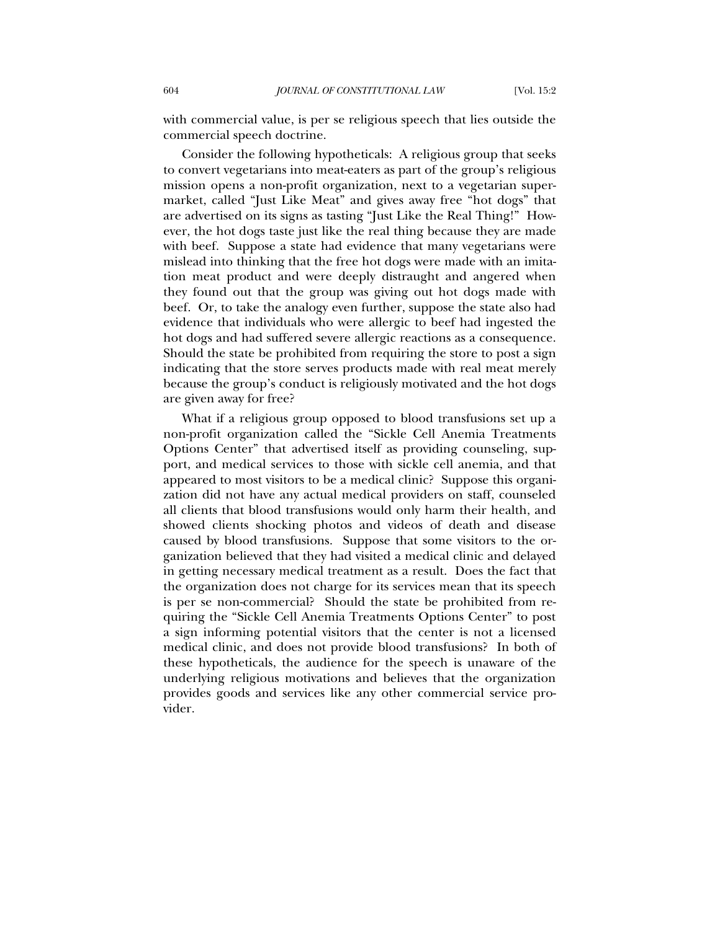with commercial value, is per se religious speech that lies outside the commercial speech doctrine.

Consider the following hypotheticals: A religious group that seeks to convert vegetarians into meat-eaters as part of the group's religious mission opens a non-profit organization, next to a vegetarian supermarket, called "Just Like Meat" and gives away free "hot dogs" that are advertised on its signs as tasting "Just Like the Real Thing!" However, the hot dogs taste just like the real thing because they are made with beef. Suppose a state had evidence that many vegetarians were mislead into thinking that the free hot dogs were made with an imitation meat product and were deeply distraught and angered when they found out that the group was giving out hot dogs made with beef. Or, to take the analogy even further, suppose the state also had evidence that individuals who were allergic to beef had ingested the hot dogs and had suffered severe allergic reactions as a consequence. Should the state be prohibited from requiring the store to post a sign indicating that the store serves products made with real meat merely because the group's conduct is religiously motivated and the hot dogs are given away for free?

What if a religious group opposed to blood transfusions set up a non-profit organization called the "Sickle Cell Anemia Treatments Options Center" that advertised itself as providing counseling, support, and medical services to those with sickle cell anemia, and that appeared to most visitors to be a medical clinic? Suppose this organization did not have any actual medical providers on staff, counseled all clients that blood transfusions would only harm their health, and showed clients shocking photos and videos of death and disease caused by blood transfusions. Suppose that some visitors to the organization believed that they had visited a medical clinic and delayed in getting necessary medical treatment as a result. Does the fact that the organization does not charge for its services mean that its speech is per se non-commercial? Should the state be prohibited from requiring the "Sickle Cell Anemia Treatments Options Center" to post a sign informing potential visitors that the center is not a licensed medical clinic, and does not provide blood transfusions? In both of these hypotheticals, the audience for the speech is unaware of the underlying religious motivations and believes that the organization provides goods and services like any other commercial service provider.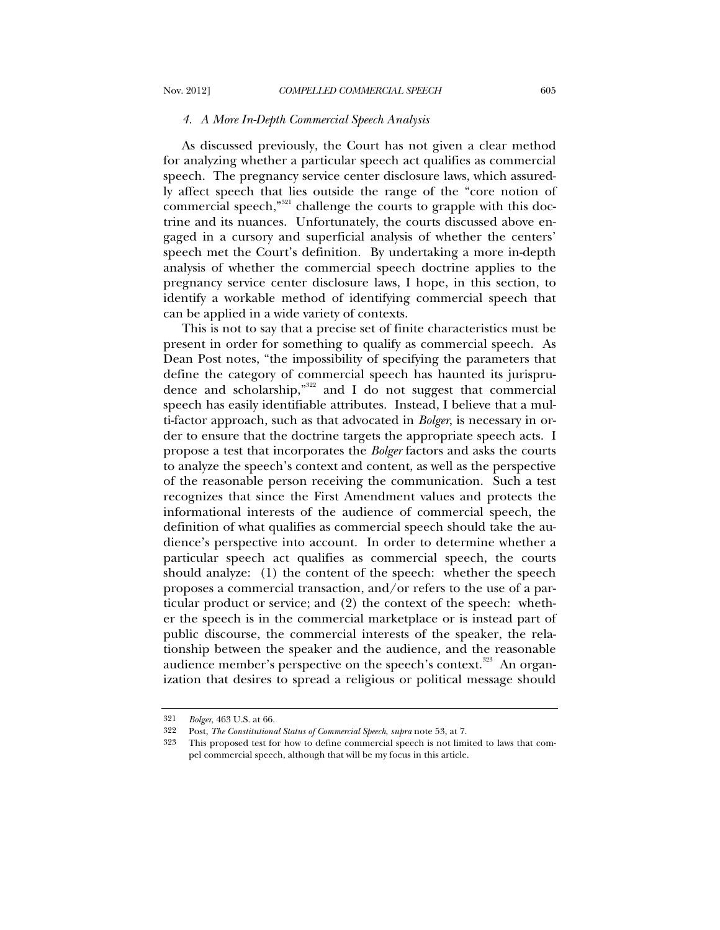#### *4. A More In-Depth Commercial Speech Analysis*

As discussed previously, the Court has not given a clear method for analyzing whether a particular speech act qualifies as commercial speech. The pregnancy service center disclosure laws, which assuredly affect speech that lies outside the range of the "core notion of commercial speech,"<sup>321</sup> challenge the courts to grapple with this doctrine and its nuances. Unfortunately, the courts discussed above engaged in a cursory and superficial analysis of whether the centers' speech met the Court's definition. By undertaking a more in-depth analysis of whether the commercial speech doctrine applies to the pregnancy service center disclosure laws, I hope, in this section, to identify a workable method of identifying commercial speech that can be applied in a wide variety of contexts.

This is not to say that a precise set of finite characteristics must be present in order for something to qualify as commercial speech. As Dean Post notes, "the impossibility of specifying the parameters that define the category of commercial speech has haunted its jurisprudence and scholarship," $322$  and I do not suggest that commercial speech has easily identifiable attributes. Instead, I believe that a multi-factor approach, such as that advocated in *Bolger*, is necessary in order to ensure that the doctrine targets the appropriate speech acts. I propose a test that incorporates the *Bolger* factors and asks the courts to analyze the speech's context and content, as well as the perspective of the reasonable person receiving the communication. Such a test recognizes that since the First Amendment values and protects the informational interests of the audience of commercial speech, the definition of what qualifies as commercial speech should take the audience's perspective into account. In order to determine whether a particular speech act qualifies as commercial speech, the courts should analyze: (1) the content of the speech: whether the speech proposes a commercial transaction, and/or refers to the use of a particular product or service; and (2) the context of the speech: whether the speech is in the commercial marketplace or is instead part of public discourse, the commercial interests of the speaker, the relationship between the speaker and the audience, and the reasonable audience member's perspective on the speech's context.<sup>323</sup> An organization that desires to spread a religious or political message should

<sup>321</sup> *Bolger*, 463 U.S. at 66.

<sup>322</sup> Post, *The Constitutional Status of Commercial Speech*, *supra* note 53, at 7.

<sup>323</sup> This proposed test for how to define commercial speech is not limited to laws that compel commercial speech, although that will be my focus in this article.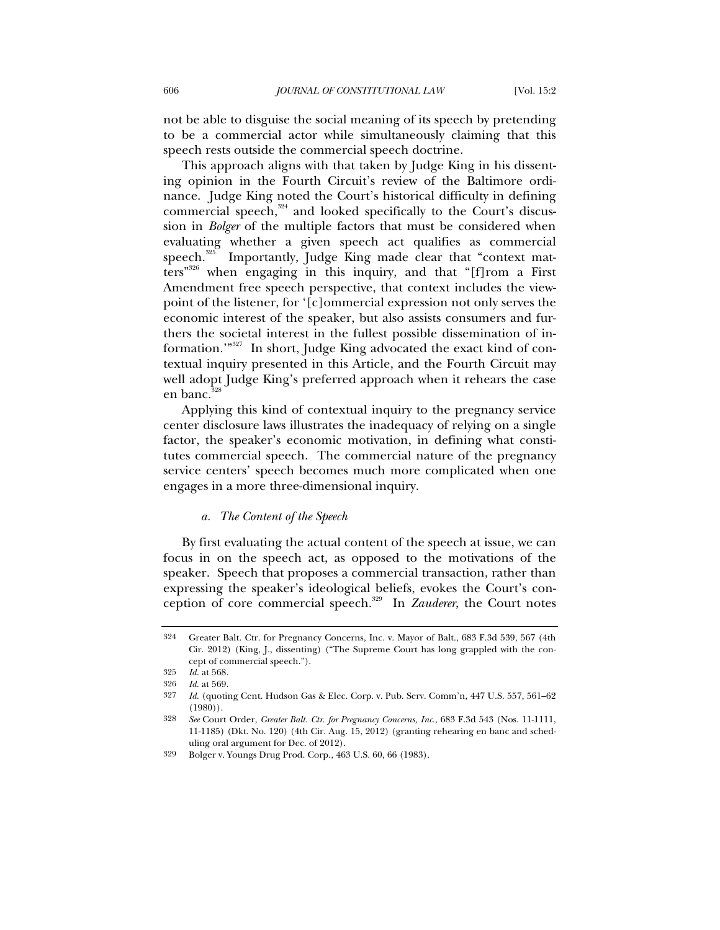not be able to disguise the social meaning of its speech by pretending to be a commercial actor while simultaneously claiming that this speech rests outside the commercial speech doctrine.

This approach aligns with that taken by Judge King in his dissenting opinion in the Fourth Circuit's review of the Baltimore ordinance. Judge King noted the Court's historical difficulty in defining commercial speech, $324$  and looked specifically to the Court's discussion in *Bolger* of the multiple factors that must be considered when evaluating whether a given speech act qualifies as commercial speech. $325$  Importantly, Judge King made clear that "context mat $t$ ers"<sup>326</sup> when engaging in this inquiry, and that "[f]rom a First Amendment free speech perspective, that context includes the viewpoint of the listener, for '[c]ommercial expression not only serves the economic interest of the speaker, but also assists consumers and furthers the societal interest in the fullest possible dissemination of information."<sup>327</sup> In short, Judge King advocated the exact kind of contextual inquiry presented in this Article, and the Fourth Circuit may well adopt Judge King's preferred approach when it rehears the case en banc. $32$ 

Applying this kind of contextual inquiry to the pregnancy service center disclosure laws illustrates the inadequacy of relying on a single factor, the speaker's economic motivation, in defining what constitutes commercial speech. The commercial nature of the pregnancy service centers' speech becomes much more complicated when one engages in a more three-dimensional inquiry.

# *a. The Content of the Speech*

By first evaluating the actual content of the speech at issue, we can focus in on the speech act, as opposed to the motivations of the speaker. Speech that proposes a commercial transaction, rather than expressing the speaker's ideological beliefs, evokes the Court's conception of core commercial speech.329 In *Zauderer*, the Court notes

<sup>324</sup> Greater Balt. Ctr. for Pregnancy Concerns, Inc. v. Mayor of Balt., 683 F.3d 539, 567 (4th Cir. 2012) (King, J., dissenting) ("The Supreme Court has long grappled with the concept of commercial speech.").

<sup>325</sup> *Id.* at 568.

<sup>326</sup> *Id.* at 569.

<sup>327</sup> *Id.* (quoting Cent. Hudson Gas & Elec. Corp. v. Pub. Serv. Comm'n, 447 U.S. 557, 561–62 (1980)).

<sup>328</sup> *See* Court Order, *Greater Balt. Ctr. for Pregnancy Concerns, Inc.*, 683 F.3d 543 (Nos. 11-1111, 11-1185) (Dkt. No. 120) (4th Cir. Aug. 15, 2012) (granting rehearing en banc and scheduling oral argument for Dec. of 2012).

<sup>329</sup> Bolger v. Youngs Drug Prod. Corp., 463 U.S. 60, 66 (1983).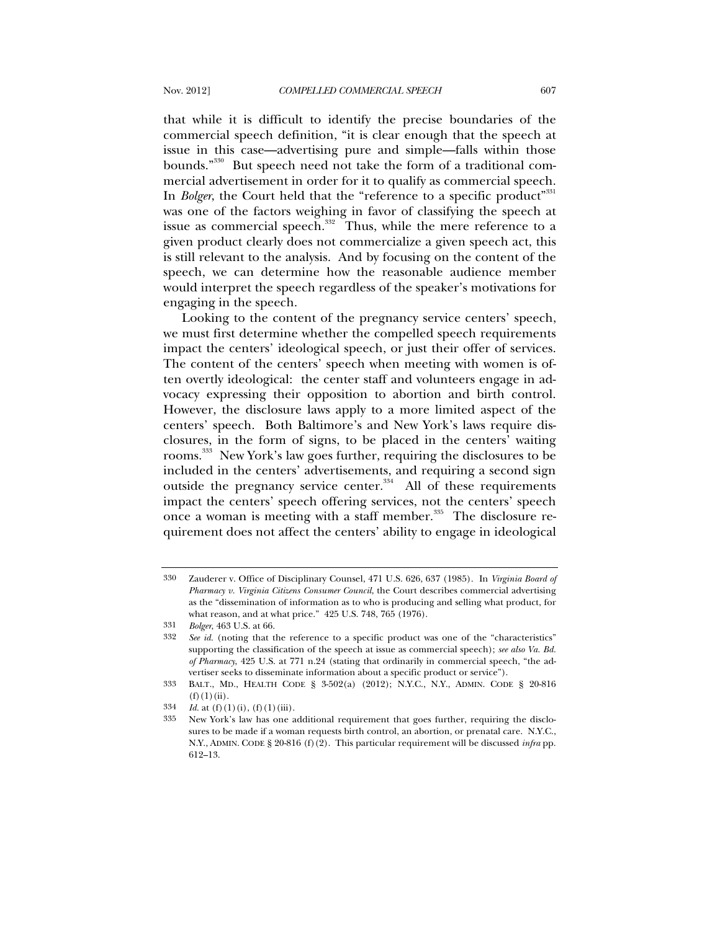that while it is difficult to identify the precise boundaries of the commercial speech definition, "it is clear enough that the speech at issue in this case—advertising pure and simple—falls within those bounds."<sup>330</sup> But speech need not take the form of a traditional commercial advertisement in order for it to qualify as commercial speech. In *Bolger*, the Court held that the "reference to a specific product"<sup>331</sup> was one of the factors weighing in favor of classifying the speech at issue as commercial speech. $332$  Thus, while the mere reference to a given product clearly does not commercialize a given speech act, this is still relevant to the analysis. And by focusing on the content of the speech, we can determine how the reasonable audience member would interpret the speech regardless of the speaker's motivations for engaging in the speech.

Looking to the content of the pregnancy service centers' speech, we must first determine whether the compelled speech requirements impact the centers' ideological speech, or just their offer of services. The content of the centers' speech when meeting with women is often overtly ideological: the center staff and volunteers engage in advocacy expressing their opposition to abortion and birth control. However, the disclosure laws apply to a more limited aspect of the centers' speech. Both Baltimore's and New York's laws require disclosures, in the form of signs, to be placed in the centers' waiting rooms.333 New York's law goes further, requiring the disclosures to be included in the centers' advertisements, and requiring a second sign outside the pregnancy service center.<sup>334</sup> All of these requirements impact the centers' speech offering services, not the centers' speech once a woman is meeting with a staff member. $335$  The disclosure requirement does not affect the centers' ability to engage in ideological

<sup>330</sup> Zauderer v. Office of Disciplinary Counsel, 471 U.S. 626, 637 (1985). In *Virginia Board of Pharmacy v. Virginia Citizens Consumer Council*, the Court describes commercial advertising as the "dissemination of information as to who is producing and selling what product, for what reason, and at what price." 425 U.S. 748, 765 (1976).

<sup>331</sup> *Bolger*, 463 U.S. at 66.

<sup>332</sup> *See id.* (noting that the reference to a specific product was one of the "characteristics" supporting the classification of the speech at issue as commercial speech); *see also Va. Bd. of Pharmacy*, 425 U.S. at 771 n.24 (stating that ordinarily in commercial speech, "the advertiser seeks to disseminate information about a specific product or service").

<sup>333</sup> BALT., MD., HEALTH CODE § 3-502(a) (2012); N.Y.C., N.Y., ADMIN. CODE § 20-816  $(f)(1)(ii)$ .

<sup>334</sup> *Id.* at (f)(1)(i), (f)(1)(iii).

<sup>335</sup> New York's law has one additional requirement that goes further, requiring the disclosures to be made if a woman requests birth control, an abortion, or prenatal care. N.Y.C., N.Y., ADMIN. CODE § 20-816 (f)(2). This particular requirement will be discussed *infra* pp. 612–13.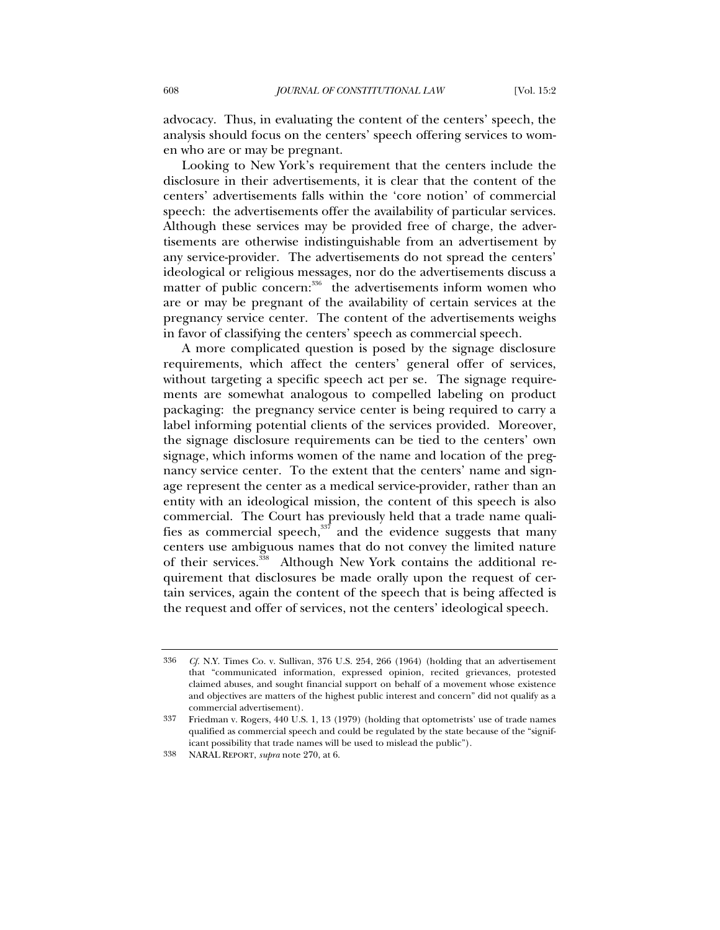advocacy. Thus, in evaluating the content of the centers' speech, the analysis should focus on the centers' speech offering services to women who are or may be pregnant.

Looking to New York's requirement that the centers include the disclosure in their advertisements, it is clear that the content of the centers' advertisements falls within the 'core notion' of commercial speech: the advertisements offer the availability of particular services. Although these services may be provided free of charge, the advertisements are otherwise indistinguishable from an advertisement by any service-provider. The advertisements do not spread the centers' ideological or religious messages, nor do the advertisements discuss a matter of public concern:<sup>336</sup> the advertisements inform women who are or may be pregnant of the availability of certain services at the pregnancy service center. The content of the advertisements weighs in favor of classifying the centers' speech as commercial speech.

A more complicated question is posed by the signage disclosure requirements, which affect the centers' general offer of services, without targeting a specific speech act per se. The signage requirements are somewhat analogous to compelled labeling on product packaging: the pregnancy service center is being required to carry a label informing potential clients of the services provided. Moreover, the signage disclosure requirements can be tied to the centers' own signage, which informs women of the name and location of the pregnancy service center. To the extent that the centers' name and signage represent the center as a medical service-provider, rather than an entity with an ideological mission, the content of this speech is also commercial. The Court has previously held that a trade name qualifies as commercial speech, $337$  and the evidence suggests that many centers use ambiguous names that do not convey the limited nature of their services.<sup>338</sup> Although New York contains the additional requirement that disclosures be made orally upon the request of certain services, again the content of the speech that is being affected is the request and offer of services, not the centers' ideological speech.

<sup>336</sup> *Cf.* N.Y. Times Co. v. Sullivan, 376 U.S. 254, 266 (1964) (holding that an advertisement that "communicated information, expressed opinion, recited grievances, protested claimed abuses, and sought financial support on behalf of a movement whose existence and objectives are matters of the highest public interest and concern" did not qualify as a commercial advertisement).

<sup>337</sup> Friedman v. Rogers, 440 U.S. 1, 13 (1979) (holding that optometrists' use of trade names qualified as commercial speech and could be regulated by the state because of the "significant possibility that trade names will be used to mislead the public").

<sup>338</sup> NARAL REPORT, *supra* note 270, at 6.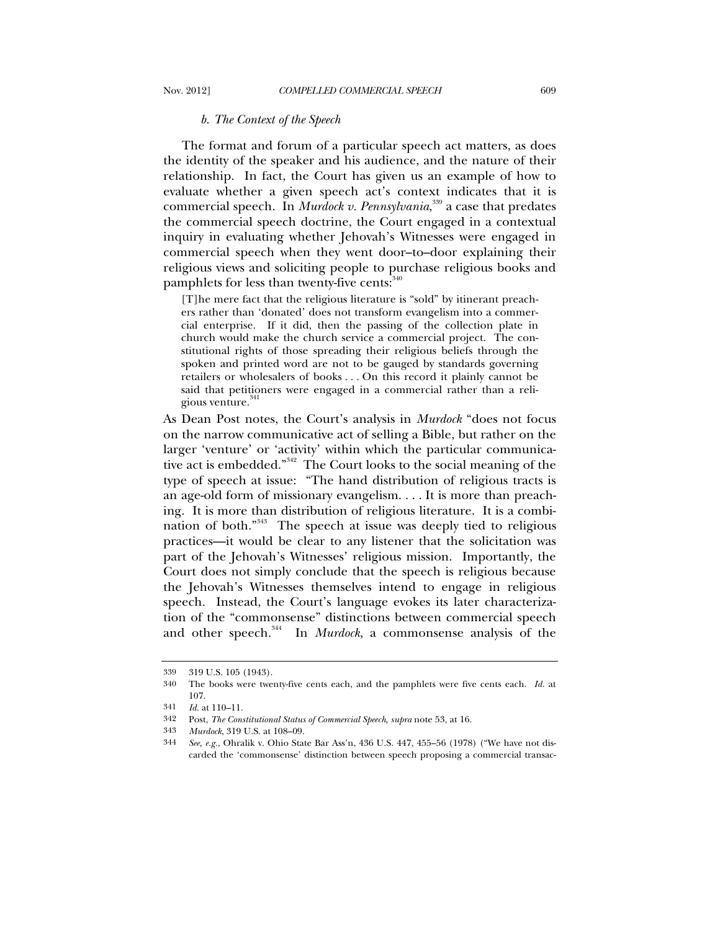#### *b. The Context of the Speech*

The format and forum of a particular speech act matters, as does the identity of the speaker and his audience, and the nature of their relationship. In fact, the Court has given us an example of how to evaluate whether a given speech act's context indicates that it is commercial speech. In *Murdock v. Pennsylvania*, 339 a case that predates the commercial speech doctrine, the Court engaged in a contextual inquiry in evaluating whether Jehovah's Witnesses were engaged in commercial speech when they went door–to–door explaining their religious views and soliciting people to purchase religious books and pamphlets for less than twenty-five cents:  $340$ 

[T]he mere fact that the religious literature is "sold" by itinerant preachers rather than 'donated' does not transform evangelism into a commercial enterprise. If it did, then the passing of the collection plate in church would make the church service a commercial project. The constitutional rights of those spreading their religious beliefs through the spoken and printed word are not to be gauged by standards governing retailers or wholesalers of books . . . On this record it plainly cannot be said that petitioners were engaged in a commercial rather than a religious venture.<sup>341</sup>

As Dean Post notes, the Court's analysis in *Murdock* "does not focus on the narrow communicative act of selling a Bible, but rather on the larger 'venture' or 'activity' within which the particular communicative act is embedded."342 The Court looks to the social meaning of the type of speech at issue: "The hand distribution of religious tracts is an age-old form of missionary evangelism. . . . It is more than preaching. It is more than distribution of religious literature. It is a combination of both."343 The speech at issue was deeply tied to religious practices—it would be clear to any listener that the solicitation was part of the Jehovah's Witnesses' religious mission. Importantly, the Court does not simply conclude that the speech is religious because the Jehovah's Witnesses themselves intend to engage in religious speech. Instead, the Court's language evokes its later characterization of the "commonsense" distinctions between commercial speech and other speech.<sup>344</sup> In *Murdock*, a commonsense analysis of the

<sup>339 319</sup> U.S. 105 (1943).

<sup>340</sup> The books were twenty-five cents each, and the pamphlets were five cents each. *Id.* at 107.

<sup>341</sup> *Id.* at 110–11.

<sup>342</sup> Post, *The Constitutional Status of Commercial Speech*, *supra* note 53, at 16.

<sup>343</sup> *Murdock*, 319 U.S. at 108–09.

<sup>344</sup> *See, e.g.*, Ohralik v. Ohio State Bar Ass'n, 436 U.S. 447, 455–56 (1978) ("We have not discarded the 'commonsense' distinction between speech proposing a commercial transac-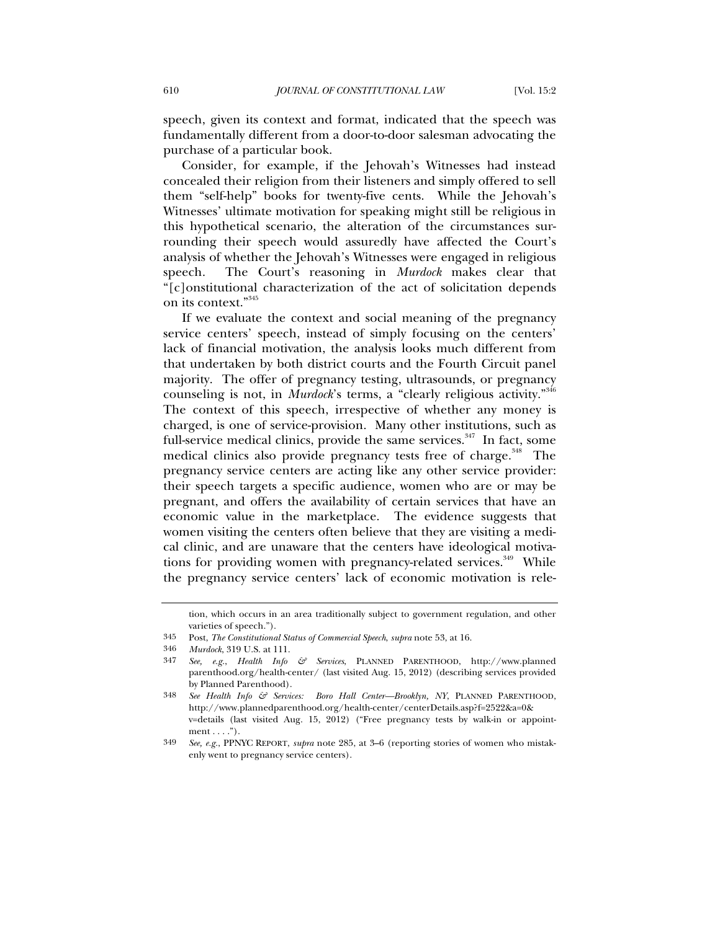speech, given its context and format, indicated that the speech was fundamentally different from a door-to-door salesman advocating the purchase of a particular book.

Consider, for example, if the Jehovah's Witnesses had instead concealed their religion from their listeners and simply offered to sell them "self-help" books for twenty-five cents. While the Jehovah's Witnesses' ultimate motivation for speaking might still be religious in this hypothetical scenario, the alteration of the circumstances surrounding their speech would assuredly have affected the Court's analysis of whether the Jehovah's Witnesses were engaged in religious speech. The Court's reasoning in *Murdock* makes clear that "[c]onstitutional characterization of the act of solicitation depends on its context."<sup>345</sup>

If we evaluate the context and social meaning of the pregnancy service centers' speech, instead of simply focusing on the centers' lack of financial motivation, the analysis looks much different from that undertaken by both district courts and the Fourth Circuit panel majority. The offer of pregnancy testing, ultrasounds, or pregnancy counseling is not, in *Murdock*'s terms, a "clearly religious activity."<sup>346</sup> The context of this speech, irrespective of whether any money is charged, is one of service-provision. Many other institutions, such as full-service medical clinics, provide the same services.<sup> $347$ </sup> In fact, some medical clinics also provide pregnancy tests free of charge.<sup>348</sup> The pregnancy service centers are acting like any other service provider: their speech targets a specific audience, women who are or may be pregnant, and offers the availability of certain services that have an economic value in the marketplace. The evidence suggests that women visiting the centers often believe that they are visiting a medical clinic, and are unaware that the centers have ideological motivations for providing women with pregnancy-related services.<sup>349</sup> While the pregnancy service centers' lack of economic motivation is rele-

tion, which occurs in an area traditionally subject to government regulation, and other varieties of speech.").

<sup>345</sup> Post, *The Constitutional Status of Commercial Speech*, *supra* note 53, at 16.

<sup>346</sup> *Murdock*, 319 U.S. at 111.

<sup>347</sup> *See, e.g.*, *Health Info & Services*, PLANNED PARENTHOOD, http://www.planned parenthood.org/health-center/ (last visited Aug. 15, 2012) (describing services provided by Planned Parenthood).

<sup>348</sup> *See Health Info & Services: Boro Hall Center—Brooklyn, NY*, PLANNED PARENTHOOD, http://www.plannedparenthood.org/health-center/centerDetails.asp?f=2522&a=0& v=details (last visited Aug. 15, 2012) ("Free pregnancy tests by walk-in or appoint $ment \ldots$ .").

<sup>349</sup> *See, e.g.*, PPNYC REPORT, *supra* note 285, at 3–6 (reporting stories of women who mistakenly went to pregnancy service centers).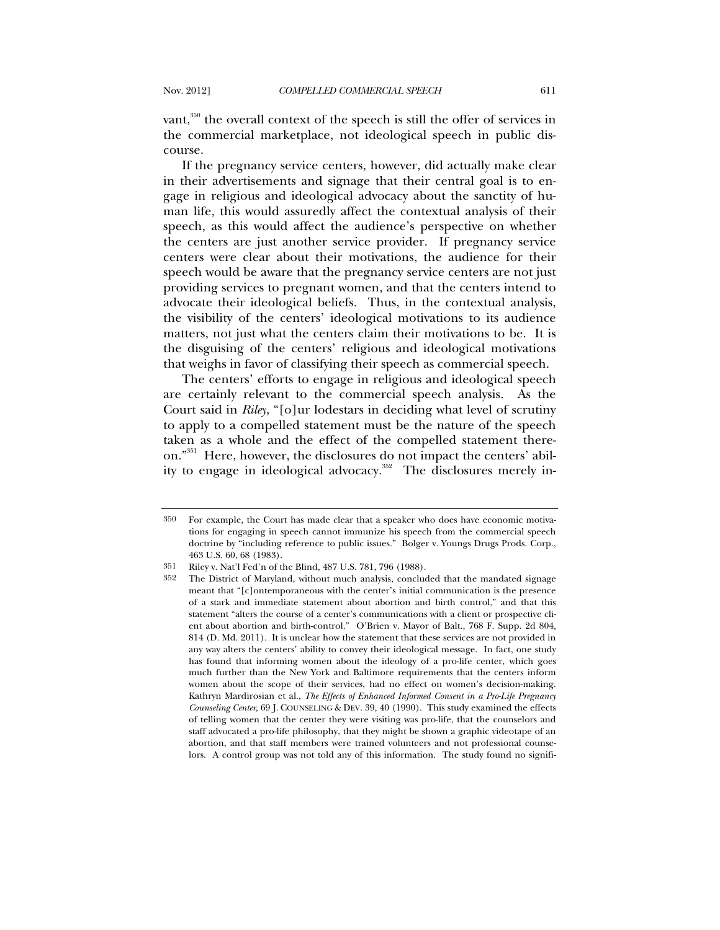vant, $350$  the overall context of the speech is still the offer of services in the commercial marketplace, not ideological speech in public discourse.

If the pregnancy service centers, however, did actually make clear in their advertisements and signage that their central goal is to engage in religious and ideological advocacy about the sanctity of human life, this would assuredly affect the contextual analysis of their speech, as this would affect the audience's perspective on whether the centers are just another service provider. If pregnancy service centers were clear about their motivations, the audience for their speech would be aware that the pregnancy service centers are not just providing services to pregnant women, and that the centers intend to advocate their ideological beliefs. Thus, in the contextual analysis, the visibility of the centers' ideological motivations to its audience matters, not just what the centers claim their motivations to be. It is the disguising of the centers' religious and ideological motivations that weighs in favor of classifying their speech as commercial speech.

The centers' efforts to engage in religious and ideological speech are certainly relevant to the commercial speech analysis. As the Court said in *Riley*, "[o]ur lodestars in deciding what level of scrutiny to apply to a compelled statement must be the nature of the speech taken as a whole and the effect of the compelled statement thereon."351 Here, however, the disclosures do not impact the centers' ability to engage in ideological advocacy.<sup>352</sup> The disclosures merely in-

<sup>350</sup> For example, the Court has made clear that a speaker who does have economic motivations for engaging in speech cannot immunize his speech from the commercial speech doctrine by "including reference to public issues." Bolger v. Youngs Drugs Prods. Corp., 463 U.S. 60, 68 (1983).

<sup>351</sup> Riley v. Nat'l Fed'n of the Blind, 487 U.S. 781, 796 (1988).

<sup>352</sup> The District of Maryland, without much analysis, concluded that the mandated signage meant that "[c]ontemporaneous with the center's initial communication is the presence of a stark and immediate statement about abortion and birth control," and that this statement "alters the course of a center's communications with a client or prospective client about abortion and birth-control." O'Brien v. Mayor of Balt., 768 F. Supp. 2d 804, 814 (D. Md. 2011). It is unclear how the statement that these services are not provided in any way alters the centers' ability to convey their ideological message. In fact, one study has found that informing women about the ideology of a pro-life center, which goes much further than the New York and Baltimore requirements that the centers inform women about the scope of their services, had no effect on women's decision-making. Kathryn Mardirosian et al., *The Effects of Enhanced Informed Consent in a Pro-Life Pregnancy Counseling Center*, 69 J. COUNSELING & DEV. 39, 40 (1990). This study examined the effects of telling women that the center they were visiting was pro-life, that the counselors and staff advocated a pro-life philosophy, that they might be shown a graphic videotape of an abortion, and that staff members were trained volunteers and not professional counselors. A control group was not told any of this information. The study found no signifi-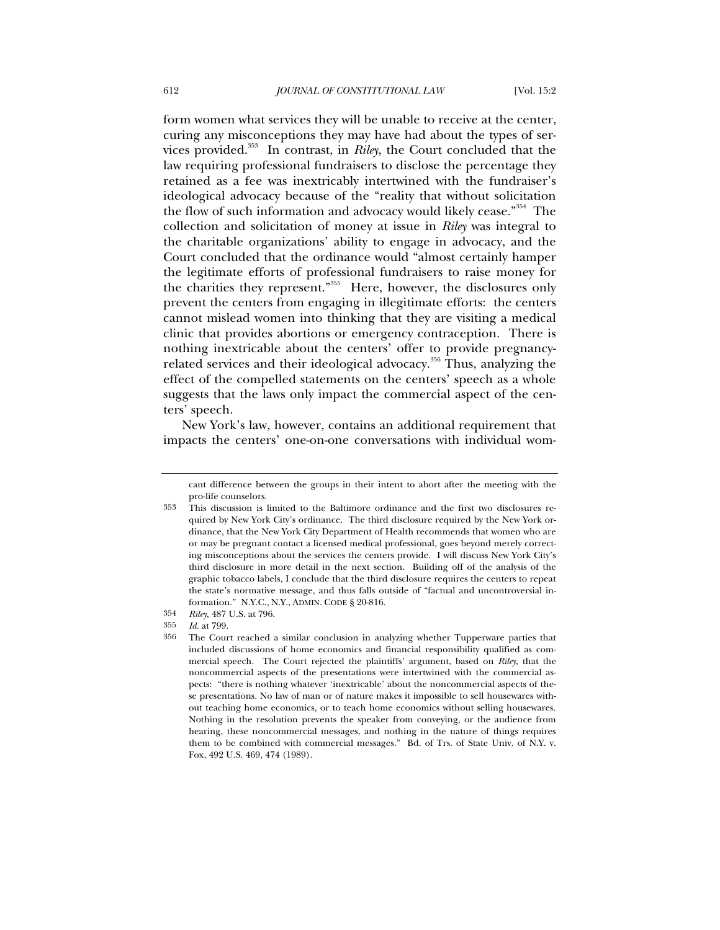form women what services they will be unable to receive at the center, curing any misconceptions they may have had about the types of services provided.353 In contrast, in *Riley*, the Court concluded that the law requiring professional fundraisers to disclose the percentage they retained as a fee was inextricably intertwined with the fundraiser's ideological advocacy because of the "reality that without solicitation the flow of such information and advocacy would likely cease."<sup>354</sup> The collection and solicitation of money at issue in *Riley* was integral to the charitable organizations' ability to engage in advocacy, and the Court concluded that the ordinance would "almost certainly hamper the legitimate efforts of professional fundraisers to raise money for the charities they represent."355 Here, however, the disclosures only prevent the centers from engaging in illegitimate efforts: the centers cannot mislead women into thinking that they are visiting a medical clinic that provides abortions or emergency contraception. There is nothing inextricable about the centers' offer to provide pregnancyrelated services and their ideological advocacy.<sup>356</sup> Thus, analyzing the effect of the compelled statements on the centers' speech as a whole suggests that the laws only impact the commercial aspect of the centers' speech.

New York's law, however, contains an additional requirement that impacts the centers' one-on-one conversations with individual wom-

cant difference between the groups in their intent to abort after the meeting with the pro-life counselors.

<sup>353</sup> This discussion is limited to the Baltimore ordinance and the first two disclosures required by New York City's ordinance. The third disclosure required by the New York ordinance, that the New York City Department of Health recommends that women who are or may be pregnant contact a licensed medical professional, goes beyond merely correcting misconceptions about the services the centers provide. I will discuss New York City's third disclosure in more detail in the next section. Building off of the analysis of the graphic tobacco labels, I conclude that the third disclosure requires the centers to repeat the state's normative message, and thus falls outside of "factual and uncontroversial information." N.Y.C., N.Y., ADMIN. CODE § 20-816.

<sup>354</sup> *Riley*, 487 U.S. at 796.

<sup>355</sup> *Id.* at 799.

<sup>356</sup> The Court reached a similar conclusion in analyzing whether Tupperware parties that included discussions of home economics and financial responsibility qualified as commercial speech. The Court rejected the plaintiffs' argument, based on *Riley*, that the noncommercial aspects of the presentations were intertwined with the commercial aspects: "there is nothing whatever 'inextricable' about the noncommercial aspects of these presentations. No law of man or of nature makes it impossible to sell housewares without teaching home economics, or to teach home economics without selling housewares. Nothing in the resolution prevents the speaker from conveying, or the audience from hearing, these noncommercial messages, and nothing in the nature of things requires them to be combined with commercial messages." Bd. of Trs. of State Univ. of N.Y. v. Fox, 492 U.S. 469, 474 (1989).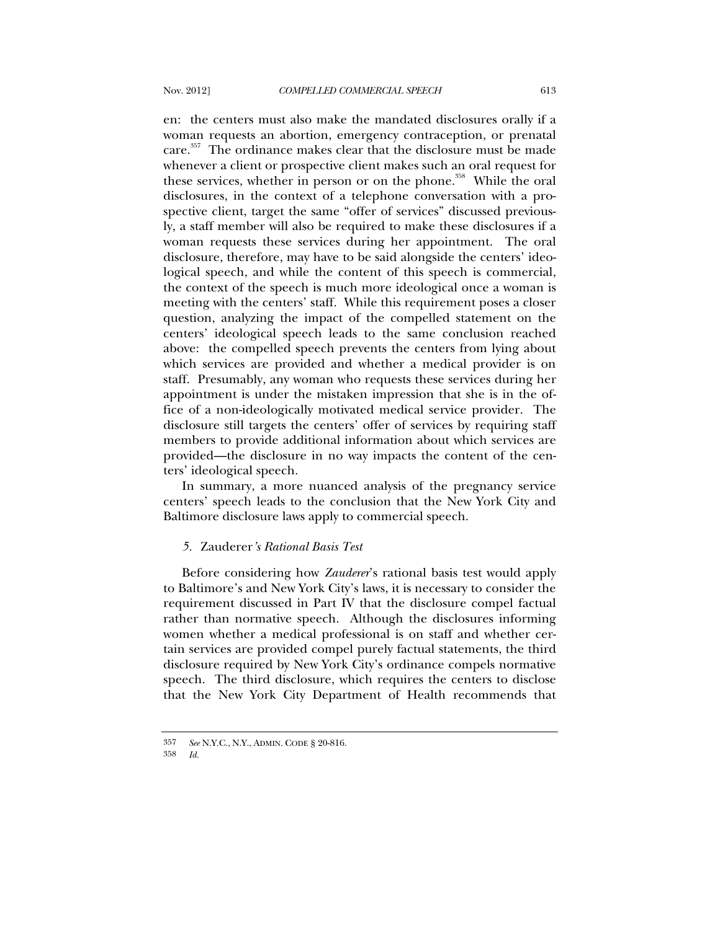en: the centers must also make the mandated disclosures orally if a woman requests an abortion, emergency contraception, or prenatal care.<sup>357</sup> The ordinance makes clear that the disclosure must be made whenever a client or prospective client makes such an oral request for these services, whether in person or on the phone.<sup>358</sup> While the oral disclosures, in the context of a telephone conversation with a prospective client, target the same "offer of services" discussed previously, a staff member will also be required to make these disclosures if a woman requests these services during her appointment. The oral disclosure, therefore, may have to be said alongside the centers' ideological speech, and while the content of this speech is commercial, the context of the speech is much more ideological once a woman is meeting with the centers' staff. While this requirement poses a closer question, analyzing the impact of the compelled statement on the centers' ideological speech leads to the same conclusion reached above: the compelled speech prevents the centers from lying about which services are provided and whether a medical provider is on staff. Presumably, any woman who requests these services during her appointment is under the mistaken impression that she is in the office of a non-ideologically motivated medical service provider. The disclosure still targets the centers' offer of services by requiring staff members to provide additional information about which services are provided—the disclosure in no way impacts the content of the centers' ideological speech.

In summary, a more nuanced analysis of the pregnancy service centers' speech leads to the conclusion that the New York City and Baltimore disclosure laws apply to commercial speech.

## *5.* Zauderer*'s Rational Basis Test*

Before considering how *Zauderer*'s rational basis test would apply to Baltimore's and New York City's laws, it is necessary to consider the requirement discussed in Part IV that the disclosure compel factual rather than normative speech. Although the disclosures informing women whether a medical professional is on staff and whether certain services are provided compel purely factual statements, the third disclosure required by New York City's ordinance compels normative speech. The third disclosure, which requires the centers to disclose that the New York City Department of Health recommends that

<sup>357</sup> *See* N.Y.C., N.Y., ADMIN. CODE § 20-816.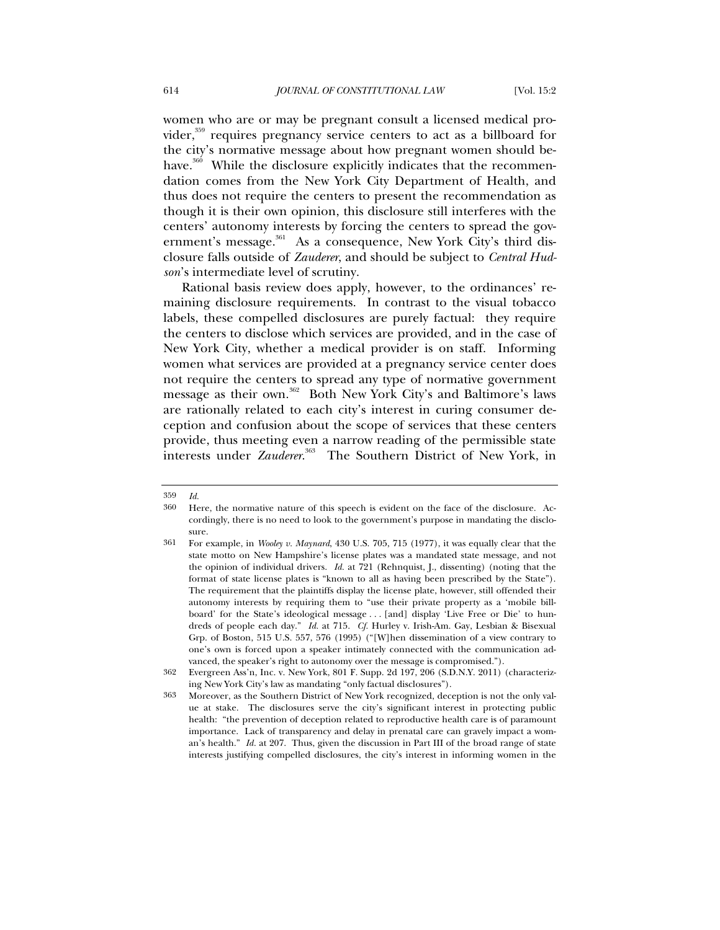women who are or may be pregnant consult a licensed medical provider, $359$  requires pregnancy service centers to act as a billboard for the city's normative message about how pregnant women should behave.<sup>360</sup> While the disclosure explicitly indicates that the recommendation comes from the New York City Department of Health, and thus does not require the centers to present the recommendation as though it is their own opinion, this disclosure still interferes with the centers' autonomy interests by forcing the centers to spread the government's message.<sup>361</sup> As a consequence, New York City's third disclosure falls outside of *Zauderer*, and should be subject to *Central Hudson*'s intermediate level of scrutiny.

Rational basis review does apply, however, to the ordinances' remaining disclosure requirements. In contrast to the visual tobacco labels, these compelled disclosures are purely factual: they require the centers to disclose which services are provided, and in the case of New York City, whether a medical provider is on staff. Informing women what services are provided at a pregnancy service center does not require the centers to spread any type of normative government message as their own.<sup>362</sup> Both New York City's and Baltimore's laws are rationally related to each city's interest in curing consumer deception and confusion about the scope of services that these centers provide, thus meeting even a narrow reading of the permissible state interests under *Zauderer*. 363 The Southern District of New York, in

<sup>359</sup> *Id.*

<sup>360</sup> Here, the normative nature of this speech is evident on the face of the disclosure. Accordingly, there is no need to look to the government's purpose in mandating the disclosure.

<sup>361</sup> For example, in *Wooley v. Maynard*, 430 U.S. 705, 715 (1977), it was equally clear that the state motto on New Hampshire's license plates was a mandated state message, and not the opinion of individual drivers. *Id.* at 721 (Rehnquist, J., dissenting) (noting that the format of state license plates is "known to all as having been prescribed by the State"). The requirement that the plaintiffs display the license plate, however, still offended their autonomy interests by requiring them to "use their private property as a 'mobile billboard' for the State's ideological message . . . [and] display 'Live Free or Die' to hundreds of people each day." *Id.* at 715. *Cf.* Hurley v. Irish-Am. Gay, Lesbian & Bisexual Grp. of Boston, 515 U.S. 557, 576 (1995) ("[W]hen dissemination of a view contrary to one's own is forced upon a speaker intimately connected with the communication advanced, the speaker's right to autonomy over the message is compromised.").

<sup>362</sup> Evergreen Ass'n, Inc. v. New York, 801 F. Supp. 2d 197, 206 (S.D.N.Y. 2011) (characterizing New York City's law as mandating "only factual disclosures").

<sup>363</sup> Moreover, as the Southern District of New York recognized, deception is not the only value at stake. The disclosures serve the city's significant interest in protecting public health: "the prevention of deception related to reproductive health care is of paramount importance. Lack of transparency and delay in prenatal care can gravely impact a woman's health." *Id.* at 207. Thus, given the discussion in Part III of the broad range of state interests justifying compelled disclosures, the city's interest in informing women in the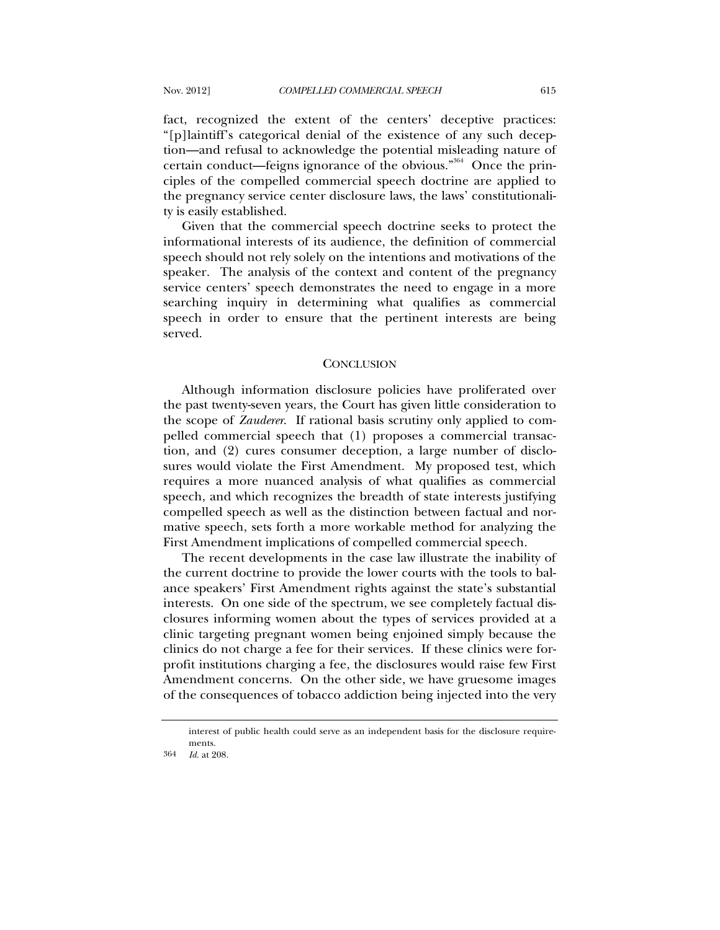fact, recognized the extent of the centers' deceptive practices: "[p]laintiff's categorical denial of the existence of any such deception—and refusal to acknowledge the potential misleading nature of certain conduct—feigns ignorance of the obvious."<sup>364</sup> Once the principles of the compelled commercial speech doctrine are applied to the pregnancy service center disclosure laws, the laws' constitutionality is easily established.

Given that the commercial speech doctrine seeks to protect the informational interests of its audience, the definition of commercial speech should not rely solely on the intentions and motivations of the speaker. The analysis of the context and content of the pregnancy service centers' speech demonstrates the need to engage in a more searching inquiry in determining what qualifies as commercial speech in order to ensure that the pertinent interests are being served.

## **CONCLUSION**

Although information disclosure policies have proliferated over the past twenty-seven years, the Court has given little consideration to the scope of *Zauderer*. If rational basis scrutiny only applied to compelled commercial speech that (1) proposes a commercial transaction, and (2) cures consumer deception, a large number of disclosures would violate the First Amendment. My proposed test, which requires a more nuanced analysis of what qualifies as commercial speech, and which recognizes the breadth of state interests justifying compelled speech as well as the distinction between factual and normative speech, sets forth a more workable method for analyzing the First Amendment implications of compelled commercial speech.

The recent developments in the case law illustrate the inability of the current doctrine to provide the lower courts with the tools to balance speakers' First Amendment rights against the state's substantial interests. On one side of the spectrum, we see completely factual disclosures informing women about the types of services provided at a clinic targeting pregnant women being enjoined simply because the clinics do not charge a fee for their services. If these clinics were forprofit institutions charging a fee, the disclosures would raise few First Amendment concerns. On the other side, we have gruesome images of the consequences of tobacco addiction being injected into the very

interest of public health could serve as an independent basis for the disclosure requirements.

<sup>364</sup> *Id.* at 208.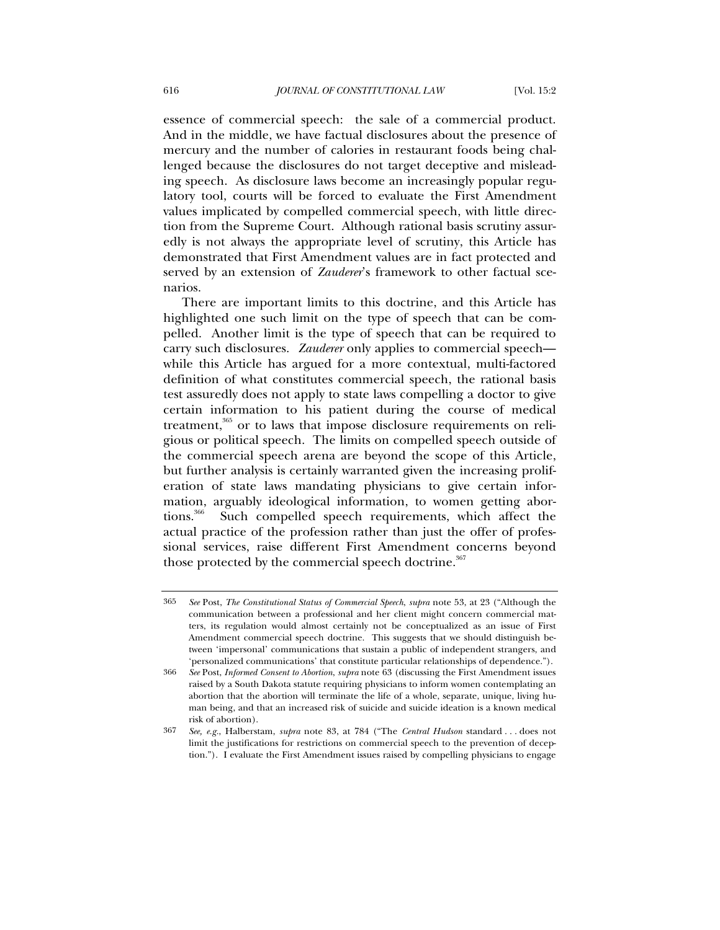essence of commercial speech: the sale of a commercial product. And in the middle, we have factual disclosures about the presence of mercury and the number of calories in restaurant foods being challenged because the disclosures do not target deceptive and misleading speech. As disclosure laws become an increasingly popular regulatory tool, courts will be forced to evaluate the First Amendment values implicated by compelled commercial speech, with little direction from the Supreme Court. Although rational basis scrutiny assuredly is not always the appropriate level of scrutiny, this Article has demonstrated that First Amendment values are in fact protected and served by an extension of *Zauderer*'s framework to other factual scenarios.

There are important limits to this doctrine, and this Article has highlighted one such limit on the type of speech that can be compelled. Another limit is the type of speech that can be required to carry such disclosures. *Zauderer* only applies to commercial speech while this Article has argued for a more contextual, multi-factored definition of what constitutes commercial speech, the rational basis test assuredly does not apply to state laws compelling a doctor to give certain information to his patient during the course of medical treatment,<sup>365</sup> or to laws that impose disclosure requirements on religious or political speech. The limits on compelled speech outside of the commercial speech arena are beyond the scope of this Article, but further analysis is certainly warranted given the increasing proliferation of state laws mandating physicians to give certain information, arguably ideological information, to women getting abortions.<sup>366</sup> Such compelled speech requirements, which affect the actual practice of the profession rather than just the offer of professional services, raise different First Amendment concerns beyond those protected by the commercial speech doctrine.<sup>367</sup>

<sup>365</sup> *See* Post, *The Constitutional Status of Commercial Speech*, *supra* note 53, at 23 ("Although the communication between a professional and her client might concern commercial matters, its regulation would almost certainly not be conceptualized as an issue of First Amendment commercial speech doctrine. This suggests that we should distinguish between 'impersonal' communications that sustain a public of independent strangers, and 'personalized communications' that constitute particular relationships of dependence.").

<sup>366</sup> *See* Post, *Informed Consent to Abortion*, *supra* note 63 (discussing the First Amendment issues raised by a South Dakota statute requiring physicians to inform women contemplating an abortion that the abortion will terminate the life of a whole, separate, unique, living human being, and that an increased risk of suicide and suicide ideation is a known medical risk of abortion).

<sup>367</sup> *See, e.g.*, Halberstam, *supra* note 83, at 784 ("The *Central Hudson* standard . . . does not limit the justifications for restrictions on commercial speech to the prevention of deception."). I evaluate the First Amendment issues raised by compelling physicians to engage